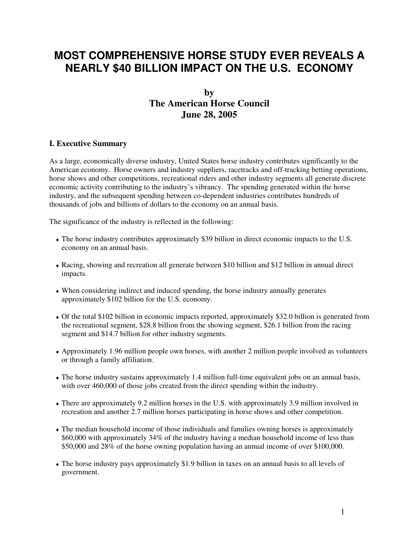# **MOST COMPREHENSIVE HORSE STUDY EVER REVEALS A NEARLY \$40 BILLION IMPACT ON THE U.S. ECONOMY**

## **by The American Horse Council June 28, 2005**

#### **I. Executive Summary**

As a large, economically diverse industry, United States horse industry contributes significantly to the American economy. Horse owners and industry suppliers, racetracks and off-tracking betting operations, horse shows and other competitions, recreational riders and other industry segments all generate discrete economic activity contributing to the industry's vibrancy. The spending generated within the horse industry, and the subsequent spending between co-dependent industries contributes hundreds of thousands of jobs and billions of dollars to the economy on an annual basis.

The significance of the industry is reflected in the following:

- ♦ The horse industry contributes approximately \$39 billion in direct economic impacts to the U.S. economy on an annual basis.
- ♦ Racing, showing and recreation all generate between \$10 billion and \$12 billion in annual direct impacts.
- ♦ When considering indirect and induced spending, the horse industry annually generates approximately \$102 billion for the U.S. economy.
- ♦ Of the total \$102 billion in economic impacts reported, approximately \$32.0 billion is generated from the recreational segment, \$28.8 billion from the showing segment, \$26.1 billion from the racing segment and \$14.7 billion for other industry segments.
- ♦ Approximately 1.96 million people own horses, with another 2 million people involved as volunteers or through a family affiliation.
- ♦ The horse industry sustains approximately 1.4 million full-time equivalent jobs on an annual basis, with over 460,000 of those jobs created from the direct spending within the industry.
- ♦ There are approximately 9.2 million horses in the U.S. with approximately 3.9 million involved in recreation and another 2.7 million horses participating in horse shows and other competition.
- ♦ The median household income of those individuals and families owning horses is approximately \$60,000 with approximately 34% of the industry having a median household income of less than \$50,000 and 28% of the horse owning population having an annual income of over \$100,000.
- ♦ The horse industry pays approximately \$1.9 billion in taxes on an annual basis to all levels of government.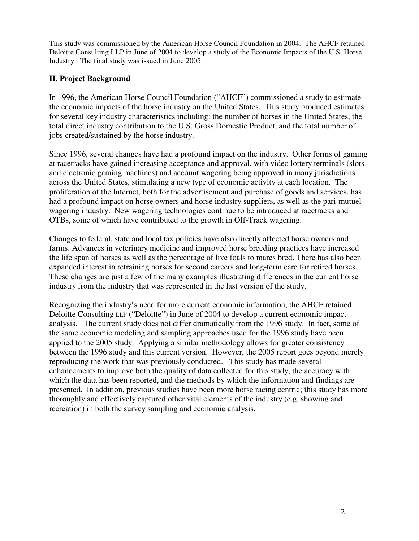This study was commissioned by the American Horse Council Foundation in 2004. The AHCF retained Deloitte Consulting LLP in June of 2004 to develop a study of the Economic Impacts of the U.S. Horse Industry. The final study was issued in June 2005.

### **II. Project Background**

In 1996, the American Horse Council Foundation ("AHCF") commissioned a study to estimate the economic impacts of the horse industry on the United States. This study produced estimates for several key industry characteristics including: the number of horses in the United States, the total direct industry contribution to the U.S. Gross Domestic Product, and the total number of jobs created/sustained by the horse industry.

Since 1996, several changes have had a profound impact on the industry. Other forms of gaming at racetracks have gained increasing acceptance and approval, with video lottery terminals (slots and electronic gaming machines) and account wagering being approved in many jurisdictions across the United States, stimulating a new type of economic activity at each location. The proliferation of the Internet, both for the advertisement and purchase of goods and services, has had a profound impact on horse owners and horse industry suppliers, as well as the pari-mutuel wagering industry. New wagering technologies continue to be introduced at racetracks and OTBs, some of which have contributed to the growth in Off-Track wagering.

Changes to federal, state and local tax policies have also directly affected horse owners and farms. Advances in veterinary medicine and improved horse breeding practices have increased the life span of horses as well as the percentage of live foals to mares bred. There has also been expanded interest in retraining horses for second careers and long-term care for retired horses. These changes are just a few of the many examples illustrating differences in the current horse industry from the industry that was represented in the last version of the study.

Recognizing the industry's need for more current economic information, the AHCF retained Deloitte Consulting LLP ("Deloitte") in June of 2004 to develop a current economic impact analysis. The current study does not differ dramatically from the 1996 study. In fact, some of the same economic modeling and sampling approaches used for the 1996 study have been applied to the 2005 study. Applying a similar methodology allows for greater consistency between the 1996 study and this current version. However, the 2005 report goes beyond merely reproducing the work that was previously conducted. This study has made several enhancements to improve both the quality of data collected for this study, the accuracy with which the data has been reported, and the methods by which the information and findings are presented. In addition, previous studies have been more horse racing centric; this study has more thoroughly and effectively captured other vital elements of the industry (e.g. showing and recreation) in both the survey sampling and economic analysis.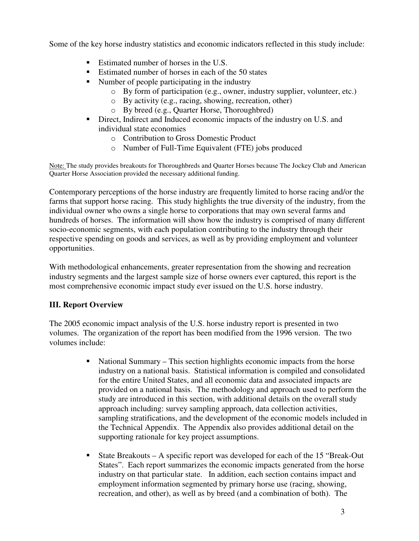Some of the key horse industry statistics and economic indicators reflected in this study include:

- Estimated number of horses in the U.S.
- Estimated number of horses in each of the 50 states
- Number of people participating in the industry
	- o By form of participation (e.g., owner, industry supplier, volunteer, etc.)
	- o By activity (e.g., racing, showing, recreation, other)
	- o By breed (e.g., Quarter Horse, Thoroughbred)
- Direct, Indirect and Induced economic impacts of the industry on U.S. and individual state economies
	- o Contribution to Gross Domestic Product
	- o Number of Full-Time Equivalent (FTE) jobs produced

Note: The study provides breakouts for Thoroughbreds and Quarter Horses because The Jockey Club and American Quarter Horse Association provided the necessary additional funding.

Contemporary perceptions of the horse industry are frequently limited to horse racing and/or the farms that support horse racing. This study highlights the true diversity of the industry, from the individual owner who owns a single horse to corporations that may own several farms and hundreds of horses. The information will show how the industry is comprised of many different socio-economic segments, with each population contributing to the industry through their respective spending on goods and services, as well as by providing employment and volunteer opportunities.

With methodological enhancements, greater representation from the showing and recreation industry segments and the largest sample size of horse owners ever captured, this report is the most comprehensive economic impact study ever issued on the U.S. horse industry.

## **III. Report Overview**

The 2005 economic impact analysis of the U.S. horse industry report is presented in two volumes. The organization of the report has been modified from the 1996 version. The two volumes include:

- National Summary This section highlights economic impacts from the horse industry on a national basis. Statistical information is compiled and consolidated for the entire United States, and all economic data and associated impacts are provided on a national basis. The methodology and approach used to perform the study are introduced in this section, with additional details on the overall study approach including: survey sampling approach, data collection activities, sampling stratifications, and the development of the economic models included in the Technical Appendix. The Appendix also provides additional detail on the supporting rationale for key project assumptions.
- State Breakouts A specific report was developed for each of the 15 "Break-Out States". Each report summarizes the economic impacts generated from the horse industry on that particular state. In addition, each section contains impact and employment information segmented by primary horse use (racing, showing, recreation, and other), as well as by breed (and a combination of both). The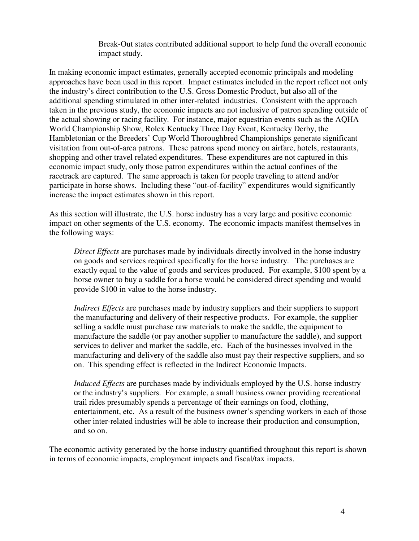Break-Out states contributed additional support to help fund the overall economic impact study.

In making economic impact estimates, generally accepted economic principals and modeling approaches have been used in this report. Impact estimates included in the report reflect not only the industry's direct contribution to the U.S. Gross Domestic Product, but also all of the additional spending stimulated in other inter-related industries. Consistent with the approach taken in the previous study, the economic impacts are not inclusive of patron spending outside of the actual showing or racing facility. For instance, major equestrian events such as the AQHA World Championship Show, Rolex Kentucky Three Day Event, Kentucky Derby, the Hambletonian or the Breeders' Cup World Thoroughbred Championships generate significant visitation from out-of-area patrons. These patrons spend money on airfare, hotels, restaurants, shopping and other travel related expenditures. These expenditures are not captured in this economic impact study, only those patron expenditures within the actual confines of the racetrack are captured. The same approach is taken for people traveling to attend and/or participate in horse shows. Including these "out-of-facility" expenditures would significantly increase the impact estimates shown in this report.

As this section will illustrate, the U.S. horse industry has a very large and positive economic impact on other segments of the U.S. economy. The economic impacts manifest themselves in the following ways:

*Direct Effects* are purchases made by individuals directly involved in the horse industry on goods and services required specifically for the horse industry. The purchases are exactly equal to the value of goods and services produced. For example, \$100 spent by a horse owner to buy a saddle for a horse would be considered direct spending and would provide \$100 in value to the horse industry.

*Indirect Effects* are purchases made by industry suppliers and their suppliers to support the manufacturing and delivery of their respective products. For example, the supplier selling a saddle must purchase raw materials to make the saddle, the equipment to manufacture the saddle (or pay another supplier to manufacture the saddle), and support services to deliver and market the saddle, etc. Each of the businesses involved in the manufacturing and delivery of the saddle also must pay their respective suppliers, and so on. This spending effect is reflected in the Indirect Economic Impacts.

*Induced Effects* are purchases made by individuals employed by the U.S. horse industry or the industry's suppliers. For example, a small business owner providing recreational trail rides presumably spends a percentage of their earnings on food, clothing, entertainment, etc. As a result of the business owner's spending workers in each of those other inter-related industries will be able to increase their production and consumption, and so on.

The economic activity generated by the horse industry quantified throughout this report is shown in terms of economic impacts, employment impacts and fiscal/tax impacts.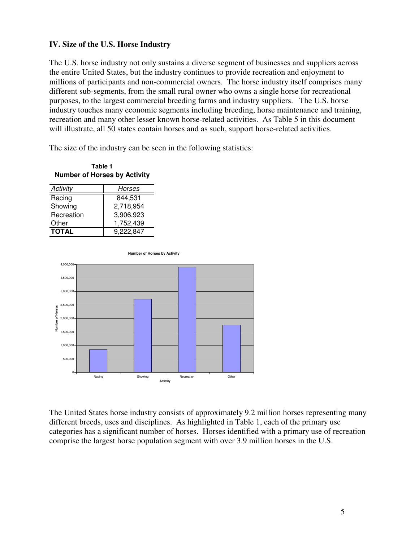#### **IV. Size of the U.S. Horse Industry**

The U.S. horse industry not only sustains a diverse segment of businesses and suppliers across the entire United States, but the industry continues to provide recreation and enjoyment to millions of participants and non-commercial owners. The horse industry itself comprises many different sub-segments, from the small rural owner who owns a single horse for recreational purposes, to the largest commercial breeding farms and industry suppliers. The U.S. horse industry touches many economic segments including breeding, horse maintenance and training, recreation and many other lesser known horse-related activities. As Table 5 in this document will illustrate, all 50 states contain horses and as such, support horse-related activities.

The size of the industry can be seen in the following statistics:

#### **Table 1 Number of Horses by Activity**

| Activity     | Horses    |
|--------------|-----------|
| Racing       | 844.531   |
| Showing      | 2,718,954 |
| Recreation   | 3,906,923 |
| Other        | 1,752,439 |
| <b>TOTAL</b> | 9,222,847 |

**Number of Horses by Activity**



The United States horse industry consists of approximately 9.2 million horses representing many different breeds, uses and disciplines. As highlighted in Table 1, each of the primary use categories has a significant number of horses. Horses identified with a primary use of recreation comprise the largest horse population segment with over 3.9 million horses in the U.S.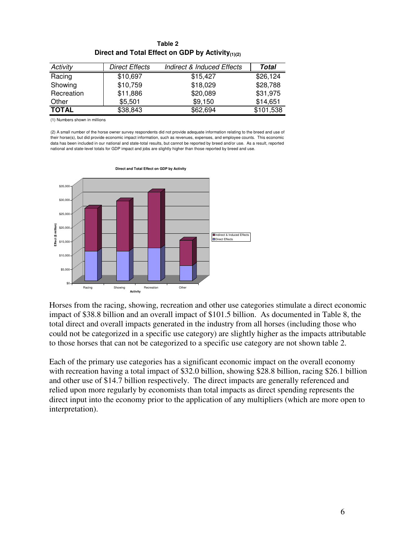|              |                       | $\cdots$                              |           |
|--------------|-----------------------|---------------------------------------|-----------|
| Activity     | <b>Direct Effects</b> | <b>Indirect &amp; Induced Effects</b> | Total     |
| Racing       | \$10,697              | \$15,427                              | \$26,124  |
| Showing      | \$10,759              | \$18,029                              | \$28,788  |
| Recreation   | \$11,886              | \$20,089                              | \$31,975  |
| Other        | \$5,501               | \$9,150                               | \$14,651  |
| <b>TOTAL</b> | \$38,843              | \$62,694                              | \$101,538 |

**Table 2 Direct and Total Effect on GDP by Activity(1)(2)**

(1) Numbers shown in millions

(2) A small number of the horse owner survey respondents did not provide adequate information relating to the breed and use of their horse(s), but did provide economic impact information, such as revenues, expenses, and employee counts. This economic data has been included in our national and state-total results, but cannot be reported by breed and/or use. As a result, reported national and state-level totals for GDP impact and jobs are slightly higher than those reported by breed and use.



**Activity** Horses from the racing, showing, recreation and other use categories stimulate a direct economic impact of \$38.8 billion and an overall impact of \$101.5 billion. As documented in Table 8, the total direct and overall impacts generated in the industry from all horses (including those who could not be categorized in a specific use category) are slightly higher as the impacts attributable

to those horses that can not be categorized to a specific use category are not shown table 2.

Each of the primary use categories has a significant economic impact on the overall economy with recreation having a total impact of \$32.0 billion, showing \$28.8 billion, racing \$26.1 billion and other use of \$14.7 billion respectively. The direct impacts are generally referenced and relied upon more regularly by economists than total impacts as direct spending represents the direct input into the economy prior to the application of any multipliers (which are more open to interpretation).

**Direct and Total Effect on GDP by Activity**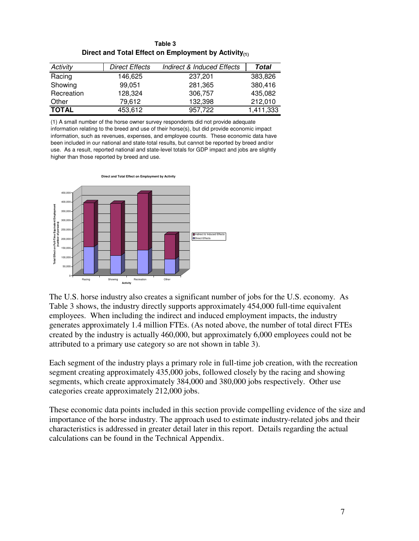| Table 3                                                    |  |  |
|------------------------------------------------------------|--|--|
| Direct and Total Effect on Employment by Activity $_{(1)}$ |  |  |

| Activity     | <b>Direct Effects</b> | <b>Indirect &amp; Induced Effects</b> | Total     |
|--------------|-----------------------|---------------------------------------|-----------|
| Racing       | 146,625               | 237,201                               | 383,826   |
| Showing      | 99.051                | 281,365                               | 380,416   |
| Recreation   | 128,324               | 306.757                               | 435,082   |
| Other        | 79.612                | 132,398                               | 212,010   |
| <b>TOTAL</b> | 453,612               | 957,722                               | 1,411,333 |

(1) A small number of the horse owner survey respondents did not provide adequate information relating to the breed and use of their horse(s), but did provide economic impact information, such as revenues, expenses, and employee counts. These economic data have been included in our national and state-total results, but cannot be reported by breed and/or use. As a result, reported national and state-level totals for GDP impact and jobs are slightly higher than those reported by breed and use.



The U.S. horse industry also creates a significant number of jobs for the U.S. economy. As Table 3 shows, the industry directly supports approximately 454,000 full-time equivalent employees. When including the indirect and induced employment impacts, the industry generates approximately 1.4 million FTEs. (As noted above, the number of total direct FTEs created by the industry is actually 460,000, but approximately 6,000 employees could not be attributed to a primary use category so are not shown in table 3).

Each segment of the industry plays a primary role in full-time job creation, with the recreation segment creating approximately 435,000 jobs, followed closely by the racing and showing segments, which create approximately 384,000 and 380,000 jobs respectively. Other use categories create approximately 212,000 jobs.

These economic data points included in this section provide compelling evidence of the size and importance of the horse industry. The approach used to estimate industry-related jobs and their characteristics is addressed in greater detail later in this report. Details regarding the actual calculations can be found in the Technical Appendix.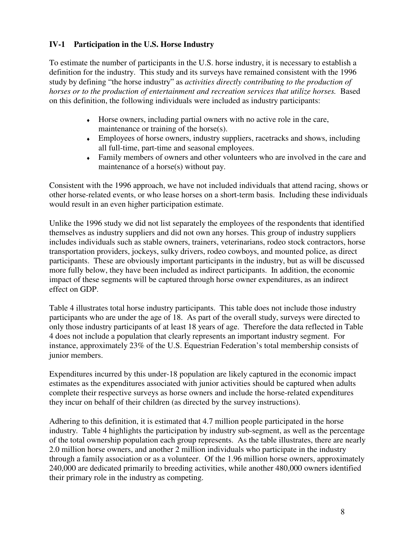### **IV-1 Participation in the U.S. Horse Industry**

To estimate the number of participants in the U.S. horse industry, it is necessary to establish a definition for the industry. This study and its surveys have remained consistent with the 1996 study by defining "the horse industry" as *activities directly contributing to the production of horses or to the production of entertainment and recreation services that utilize horses.* Based on this definition, the following individuals were included as industry participants:

- ♦ Horse owners, including partial owners with no active role in the care, maintenance or training of the horse(s).
- ♦ Employees of horse owners, industry suppliers, racetracks and shows, including all full-time, part-time and seasonal employees.
- ♦ Family members of owners and other volunteers who are involved in the care and maintenance of a horse(s) without pay.

Consistent with the 1996 approach, we have not included individuals that attend racing, shows or other horse-related events, or who lease horses on a short-term basis. Including these individuals would result in an even higher participation estimate.

Unlike the 1996 study we did not list separately the employees of the respondents that identified themselves as industry suppliers and did not own any horses. This group of industry suppliers includes individuals such as stable owners, trainers, veterinarians, rodeo stock contractors, horse transportation providers, jockeys, sulky drivers, rodeo cowboys, and mounted police, as direct participants. These are obviously important participants in the industry, but as will be discussed more fully below, they have been included as indirect participants. In addition, the economic impact of these segments will be captured through horse owner expenditures, as an indirect effect on GDP.

Table 4 illustrates total horse industry participants. This table does not include those industry participants who are under the age of 18. As part of the overall study, surveys were directed to only those industry participants of at least 18 years of age. Therefore the data reflected in Table 4 does not include a population that clearly represents an important industry segment. For instance, approximately 23% of the U.S. Equestrian Federation's total membership consists of junior members.

Expenditures incurred by this under-18 population are likely captured in the economic impact estimates as the expenditures associated with junior activities should be captured when adults complete their respective surveys as horse owners and include the horse-related expenditures they incur on behalf of their children (as directed by the survey instructions).

Adhering to this definition, it is estimated that 4.7 million people participated in the horse industry. Table 4 highlights the participation by industry sub-segment, as well as the percentage of the total ownership population each group represents. As the table illustrates, there are nearly 2.0 million horse owners, and another 2 million individuals who participate in the industry through a family association or as a volunteer. Of the 1.96 million horse owners, approximately 240,000 are dedicated primarily to breeding activities, while another 480,000 owners identified their primary role in the industry as competing.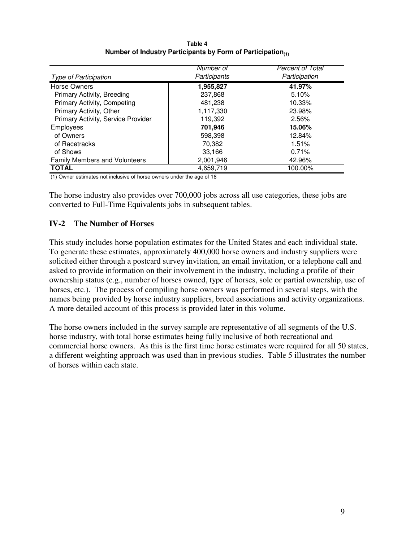| Table 4                                                                 |
|-------------------------------------------------------------------------|
| Number of Industry Participants by Form of Participation <sub>(1)</sub> |

|                                      | Number of    | <b>Percent of Total</b> |
|--------------------------------------|--------------|-------------------------|
| <b>Type of Participation</b>         | Participants | Participation           |
| Horse Owners                         | 1,955,827    | 41.97%                  |
| Primary Activity, Breeding           | 237,868      | 5.10%                   |
| Primary Activity, Competing          | 481,238      | 10.33%                  |
| Primary Activity, Other              | 1,117,330    | 23.98%                  |
| Primary Activity, Service Provider   | 119,392      | 2.56%                   |
| <b>Employees</b>                     | 701,946      | 15.06%                  |
| of Owners                            | 598,398      | 12.84%                  |
| of Racetracks                        | 70.382       | 1.51%                   |
| of Shows                             | 33.166       | 0.71%                   |
| <b>Family Members and Volunteers</b> | 2,001,946    | 42.96%                  |
| <b>TOTAL</b>                         | 4,659,719    | 100.00%                 |

(1) Owner estimates not inclusive of horse owners under the age of 18

The horse industry also provides over 700,000 jobs across all use categories, these jobs are converted to Full-Time Equivalents jobs in subsequent tables.

#### **IV-2 The Number of Horses**

This study includes horse population estimates for the United States and each individual state. To generate these estimates, approximately 400,000 horse owners and industry suppliers were solicited either through a postcard survey invitation, an email invitation, or a telephone call and asked to provide information on their involvement in the industry, including a profile of their ownership status (e.g., number of horses owned, type of horses, sole or partial ownership, use of horses, etc.). The process of compiling horse owners was performed in several steps, with the names being provided by horse industry suppliers, breed associations and activity organizations. A more detailed account of this process is provided later in this volume.

The horse owners included in the survey sample are representative of all segments of the U.S. horse industry, with total horse estimates being fully inclusive of both recreational and commercial horse owners. As this is the first time horse estimates were required for all 50 states, a different weighting approach was used than in previous studies. Table 5 illustrates the number of horses within each state.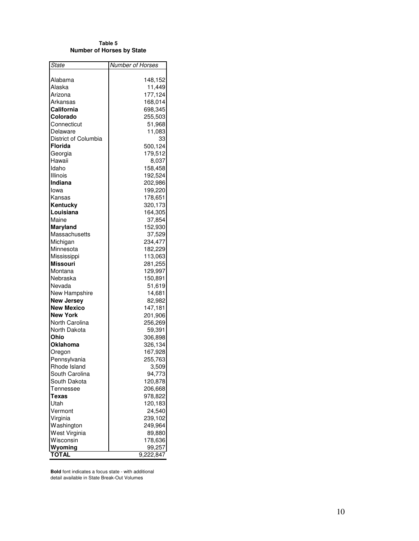| Number of Horses<br>State<br>Alabama<br>148,152<br>Alaska<br>11,449<br>177,124<br>Arizona<br>168,014<br>Arkansas<br>California<br>698,345<br>Colorado<br>255,503<br>Connecticut<br>51,968<br>11,083<br>Delaware<br>District of Columbia<br>33<br><b>Florida</b><br>500,124<br>179,512<br>Georgia<br>Hawaii<br>8,037<br>Idaho<br>158,458<br>192,524<br>Illinois<br><b>Indiana</b><br>202,986<br>lowa<br>199,220<br>Kansas<br>178,651<br>320,173<br>Kentucky<br>164,305<br>Louisiana<br>Maine<br>37,854<br>152,930<br>Maryland<br>Massachusetts<br>37,529<br>234,477<br>Michigan<br>182,229<br>Minnesota<br>Mississippi<br>113,063<br><b>Missouri</b><br>281,255<br>129,997<br>Montana<br>Nebraska<br>150,891<br>Nevada<br>51,619<br>New Hampshire<br>14,681<br><b>New Jersey</b><br>82,982<br><b>New Mexico</b><br>147,181<br><b>New York</b><br>201,906<br>North Carolina<br>256,269<br>North Dakota<br>59,391<br>Ohio<br>306,898<br>326,134<br>Oklahoma<br>167,928<br>Oregon<br>Pennsylvania<br>255,763<br>Rhode Island<br>3,509<br>South Carolina<br>94,773<br>South Dakota<br>120,878<br>Tennessee<br>206,668<br>Texas<br>978,822<br>Utah<br>120,183<br>24,540<br>Vermont<br>Virginia<br>239,102<br>Washington<br>249,964<br>West Virginia<br>89,880<br>Wisconsin<br>178,636<br>Wyoming<br>99,257<br><b>TOTAL</b><br>9,222,847 | Table 5<br>Number of Horses by State |  |  |  |  |
|-----------------------------------------------------------------------------------------------------------------------------------------------------------------------------------------------------------------------------------------------------------------------------------------------------------------------------------------------------------------------------------------------------------------------------------------------------------------------------------------------------------------------------------------------------------------------------------------------------------------------------------------------------------------------------------------------------------------------------------------------------------------------------------------------------------------------------------------------------------------------------------------------------------------------------------------------------------------------------------------------------------------------------------------------------------------------------------------------------------------------------------------------------------------------------------------------------------------------------------------------------------------------------------------------------------------------------------|--------------------------------------|--|--|--|--|
|                                                                                                                                                                                                                                                                                                                                                                                                                                                                                                                                                                                                                                                                                                                                                                                                                                                                                                                                                                                                                                                                                                                                                                                                                                                                                                                                   |                                      |  |  |  |  |
|                                                                                                                                                                                                                                                                                                                                                                                                                                                                                                                                                                                                                                                                                                                                                                                                                                                                                                                                                                                                                                                                                                                                                                                                                                                                                                                                   |                                      |  |  |  |  |
|                                                                                                                                                                                                                                                                                                                                                                                                                                                                                                                                                                                                                                                                                                                                                                                                                                                                                                                                                                                                                                                                                                                                                                                                                                                                                                                                   |                                      |  |  |  |  |
|                                                                                                                                                                                                                                                                                                                                                                                                                                                                                                                                                                                                                                                                                                                                                                                                                                                                                                                                                                                                                                                                                                                                                                                                                                                                                                                                   |                                      |  |  |  |  |
|                                                                                                                                                                                                                                                                                                                                                                                                                                                                                                                                                                                                                                                                                                                                                                                                                                                                                                                                                                                                                                                                                                                                                                                                                                                                                                                                   |                                      |  |  |  |  |
|                                                                                                                                                                                                                                                                                                                                                                                                                                                                                                                                                                                                                                                                                                                                                                                                                                                                                                                                                                                                                                                                                                                                                                                                                                                                                                                                   |                                      |  |  |  |  |
|                                                                                                                                                                                                                                                                                                                                                                                                                                                                                                                                                                                                                                                                                                                                                                                                                                                                                                                                                                                                                                                                                                                                                                                                                                                                                                                                   |                                      |  |  |  |  |
|                                                                                                                                                                                                                                                                                                                                                                                                                                                                                                                                                                                                                                                                                                                                                                                                                                                                                                                                                                                                                                                                                                                                                                                                                                                                                                                                   |                                      |  |  |  |  |
|                                                                                                                                                                                                                                                                                                                                                                                                                                                                                                                                                                                                                                                                                                                                                                                                                                                                                                                                                                                                                                                                                                                                                                                                                                                                                                                                   |                                      |  |  |  |  |
|                                                                                                                                                                                                                                                                                                                                                                                                                                                                                                                                                                                                                                                                                                                                                                                                                                                                                                                                                                                                                                                                                                                                                                                                                                                                                                                                   |                                      |  |  |  |  |
|                                                                                                                                                                                                                                                                                                                                                                                                                                                                                                                                                                                                                                                                                                                                                                                                                                                                                                                                                                                                                                                                                                                                                                                                                                                                                                                                   |                                      |  |  |  |  |
|                                                                                                                                                                                                                                                                                                                                                                                                                                                                                                                                                                                                                                                                                                                                                                                                                                                                                                                                                                                                                                                                                                                                                                                                                                                                                                                                   |                                      |  |  |  |  |
|                                                                                                                                                                                                                                                                                                                                                                                                                                                                                                                                                                                                                                                                                                                                                                                                                                                                                                                                                                                                                                                                                                                                                                                                                                                                                                                                   |                                      |  |  |  |  |
|                                                                                                                                                                                                                                                                                                                                                                                                                                                                                                                                                                                                                                                                                                                                                                                                                                                                                                                                                                                                                                                                                                                                                                                                                                                                                                                                   |                                      |  |  |  |  |
|                                                                                                                                                                                                                                                                                                                                                                                                                                                                                                                                                                                                                                                                                                                                                                                                                                                                                                                                                                                                                                                                                                                                                                                                                                                                                                                                   |                                      |  |  |  |  |
|                                                                                                                                                                                                                                                                                                                                                                                                                                                                                                                                                                                                                                                                                                                                                                                                                                                                                                                                                                                                                                                                                                                                                                                                                                                                                                                                   |                                      |  |  |  |  |
|                                                                                                                                                                                                                                                                                                                                                                                                                                                                                                                                                                                                                                                                                                                                                                                                                                                                                                                                                                                                                                                                                                                                                                                                                                                                                                                                   |                                      |  |  |  |  |
|                                                                                                                                                                                                                                                                                                                                                                                                                                                                                                                                                                                                                                                                                                                                                                                                                                                                                                                                                                                                                                                                                                                                                                                                                                                                                                                                   |                                      |  |  |  |  |
|                                                                                                                                                                                                                                                                                                                                                                                                                                                                                                                                                                                                                                                                                                                                                                                                                                                                                                                                                                                                                                                                                                                                                                                                                                                                                                                                   |                                      |  |  |  |  |
|                                                                                                                                                                                                                                                                                                                                                                                                                                                                                                                                                                                                                                                                                                                                                                                                                                                                                                                                                                                                                                                                                                                                                                                                                                                                                                                                   |                                      |  |  |  |  |
|                                                                                                                                                                                                                                                                                                                                                                                                                                                                                                                                                                                                                                                                                                                                                                                                                                                                                                                                                                                                                                                                                                                                                                                                                                                                                                                                   |                                      |  |  |  |  |
|                                                                                                                                                                                                                                                                                                                                                                                                                                                                                                                                                                                                                                                                                                                                                                                                                                                                                                                                                                                                                                                                                                                                                                                                                                                                                                                                   |                                      |  |  |  |  |
|                                                                                                                                                                                                                                                                                                                                                                                                                                                                                                                                                                                                                                                                                                                                                                                                                                                                                                                                                                                                                                                                                                                                                                                                                                                                                                                                   |                                      |  |  |  |  |
|                                                                                                                                                                                                                                                                                                                                                                                                                                                                                                                                                                                                                                                                                                                                                                                                                                                                                                                                                                                                                                                                                                                                                                                                                                                                                                                                   |                                      |  |  |  |  |
|                                                                                                                                                                                                                                                                                                                                                                                                                                                                                                                                                                                                                                                                                                                                                                                                                                                                                                                                                                                                                                                                                                                                                                                                                                                                                                                                   |                                      |  |  |  |  |
|                                                                                                                                                                                                                                                                                                                                                                                                                                                                                                                                                                                                                                                                                                                                                                                                                                                                                                                                                                                                                                                                                                                                                                                                                                                                                                                                   |                                      |  |  |  |  |
|                                                                                                                                                                                                                                                                                                                                                                                                                                                                                                                                                                                                                                                                                                                                                                                                                                                                                                                                                                                                                                                                                                                                                                                                                                                                                                                                   |                                      |  |  |  |  |
|                                                                                                                                                                                                                                                                                                                                                                                                                                                                                                                                                                                                                                                                                                                                                                                                                                                                                                                                                                                                                                                                                                                                                                                                                                                                                                                                   |                                      |  |  |  |  |
|                                                                                                                                                                                                                                                                                                                                                                                                                                                                                                                                                                                                                                                                                                                                                                                                                                                                                                                                                                                                                                                                                                                                                                                                                                                                                                                                   |                                      |  |  |  |  |
|                                                                                                                                                                                                                                                                                                                                                                                                                                                                                                                                                                                                                                                                                                                                                                                                                                                                                                                                                                                                                                                                                                                                                                                                                                                                                                                                   |                                      |  |  |  |  |
|                                                                                                                                                                                                                                                                                                                                                                                                                                                                                                                                                                                                                                                                                                                                                                                                                                                                                                                                                                                                                                                                                                                                                                                                                                                                                                                                   |                                      |  |  |  |  |
|                                                                                                                                                                                                                                                                                                                                                                                                                                                                                                                                                                                                                                                                                                                                                                                                                                                                                                                                                                                                                                                                                                                                                                                                                                                                                                                                   |                                      |  |  |  |  |
|                                                                                                                                                                                                                                                                                                                                                                                                                                                                                                                                                                                                                                                                                                                                                                                                                                                                                                                                                                                                                                                                                                                                                                                                                                                                                                                                   |                                      |  |  |  |  |
|                                                                                                                                                                                                                                                                                                                                                                                                                                                                                                                                                                                                                                                                                                                                                                                                                                                                                                                                                                                                                                                                                                                                                                                                                                                                                                                                   |                                      |  |  |  |  |
|                                                                                                                                                                                                                                                                                                                                                                                                                                                                                                                                                                                                                                                                                                                                                                                                                                                                                                                                                                                                                                                                                                                                                                                                                                                                                                                                   |                                      |  |  |  |  |
|                                                                                                                                                                                                                                                                                                                                                                                                                                                                                                                                                                                                                                                                                                                                                                                                                                                                                                                                                                                                                                                                                                                                                                                                                                                                                                                                   |                                      |  |  |  |  |
|                                                                                                                                                                                                                                                                                                                                                                                                                                                                                                                                                                                                                                                                                                                                                                                                                                                                                                                                                                                                                                                                                                                                                                                                                                                                                                                                   |                                      |  |  |  |  |
|                                                                                                                                                                                                                                                                                                                                                                                                                                                                                                                                                                                                                                                                                                                                                                                                                                                                                                                                                                                                                                                                                                                                                                                                                                                                                                                                   |                                      |  |  |  |  |
|                                                                                                                                                                                                                                                                                                                                                                                                                                                                                                                                                                                                                                                                                                                                                                                                                                                                                                                                                                                                                                                                                                                                                                                                                                                                                                                                   |                                      |  |  |  |  |
|                                                                                                                                                                                                                                                                                                                                                                                                                                                                                                                                                                                                                                                                                                                                                                                                                                                                                                                                                                                                                                                                                                                                                                                                                                                                                                                                   |                                      |  |  |  |  |
|                                                                                                                                                                                                                                                                                                                                                                                                                                                                                                                                                                                                                                                                                                                                                                                                                                                                                                                                                                                                                                                                                                                                                                                                                                                                                                                                   |                                      |  |  |  |  |
|                                                                                                                                                                                                                                                                                                                                                                                                                                                                                                                                                                                                                                                                                                                                                                                                                                                                                                                                                                                                                                                                                                                                                                                                                                                                                                                                   |                                      |  |  |  |  |
|                                                                                                                                                                                                                                                                                                                                                                                                                                                                                                                                                                                                                                                                                                                                                                                                                                                                                                                                                                                                                                                                                                                                                                                                                                                                                                                                   |                                      |  |  |  |  |
|                                                                                                                                                                                                                                                                                                                                                                                                                                                                                                                                                                                                                                                                                                                                                                                                                                                                                                                                                                                                                                                                                                                                                                                                                                                                                                                                   |                                      |  |  |  |  |
|                                                                                                                                                                                                                                                                                                                                                                                                                                                                                                                                                                                                                                                                                                                                                                                                                                                                                                                                                                                                                                                                                                                                                                                                                                                                                                                                   |                                      |  |  |  |  |
|                                                                                                                                                                                                                                                                                                                                                                                                                                                                                                                                                                                                                                                                                                                                                                                                                                                                                                                                                                                                                                                                                                                                                                                                                                                                                                                                   |                                      |  |  |  |  |
|                                                                                                                                                                                                                                                                                                                                                                                                                                                                                                                                                                                                                                                                                                                                                                                                                                                                                                                                                                                                                                                                                                                                                                                                                                                                                                                                   |                                      |  |  |  |  |
|                                                                                                                                                                                                                                                                                                                                                                                                                                                                                                                                                                                                                                                                                                                                                                                                                                                                                                                                                                                                                                                                                                                                                                                                                                                                                                                                   |                                      |  |  |  |  |
|                                                                                                                                                                                                                                                                                                                                                                                                                                                                                                                                                                                                                                                                                                                                                                                                                                                                                                                                                                                                                                                                                                                                                                                                                                                                                                                                   |                                      |  |  |  |  |
|                                                                                                                                                                                                                                                                                                                                                                                                                                                                                                                                                                                                                                                                                                                                                                                                                                                                                                                                                                                                                                                                                                                                                                                                                                                                                                                                   |                                      |  |  |  |  |

**Bold** font indicates a focus state - with additional detail available in State Break-Out Volumes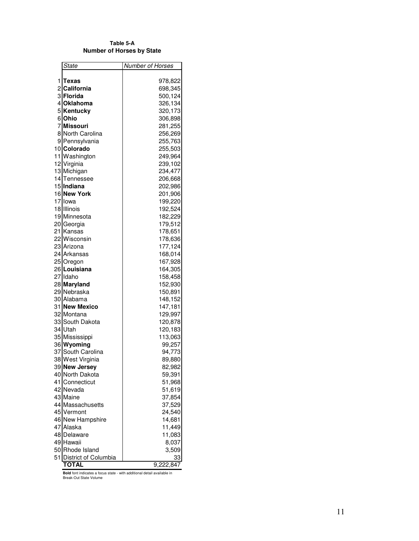**T a b l e 5 - A Number of Horses by State** 

|    | State                | Number of Horses |
|----|----------------------|------------------|
|    |                      |                  |
|    | 1 Texas              | 978,822          |
|    | 2 California         | 698,345          |
|    | 3 Florida            | 500,124          |
|    | 4 Oklahoma           | 326,134          |
|    | 5 Kentucky           | 320,173          |
|    | 6 Ohio               | 306,898          |
|    | 7 Missouri           | 281,255          |
|    | 8 North Carolina     | 256,269          |
|    | 9 Pennsylvania       | 255,763          |
|    | 10 Colorado          | 255,503          |
|    | 11 Washington        | 249,964          |
|    | 12 Virginia          | 239,102          |
|    | 13 Michigan          | 234,477          |
|    | 14 Tennessee         | 206,668          |
|    | 15 Indiana           | 202,986          |
|    | 16 New York          | 201,906          |
|    | 17 Iowa              | 199,220          |
|    | 18 Illinois          | 192,524          |
|    | 19 Minnesota         | 182,229          |
|    | 20 Georgia           | 179,512          |
|    | 21 Kansas            | 178,651          |
|    | 22 Wisconsin         | 178,636          |
|    | 23 Arizona           | 177,124          |
|    | 24 Arkansas          | 168,014          |
|    | 25 Oregon            | 167,928          |
|    | 26 Louisiana         | 164,305          |
|    | 27 Idaho             | 158,458          |
|    | 28 Maryland          | 152,930          |
|    | 29 Nebraska          | 150,891          |
|    | 30 Alabama           | 148,152          |
|    | 31 New Mexico        | 147,181          |
|    | 32 Montana           | 129,997          |
|    | 33 South Dakota      | 120,878          |
|    | 34 Utah              | 120,183          |
|    | 35 Mississippi       | 113,063          |
|    | 36 Wyoming           | 99,257           |
|    | 37 South Carolina    | 94,773           |
|    | 38 West Virginia     | 89,880           |
|    | 39 New Jersey        | 82,982           |
|    | 40 North Dakota      | 59,391           |
| 41 | Connecticut          | 51,968           |
|    | 42 Nevada            | 51,619           |
|    | 43 Maine             | 37,854           |
|    | 44 Massachusetts     | 37,529           |
|    | 45 Vermont           | 24,540           |
|    | 46 New Hampshire     | 14,681           |
|    | 47 Alaska            | 11,449           |
|    | 48 Delaware          | 11,083           |
|    | 49 Hawaii            | 8,037            |
|    | 50 Rhode Island      | 3,509            |
| 51 | District of Columbia | 33               |
|    | <b>TOTAL</b>         | 9,222,847        |

**Bold** font indicates a focus state - with additional detail available in<br>Break-Out State Volume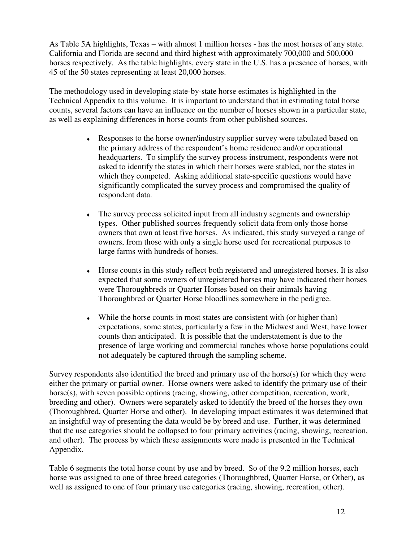As Table 5A highlights, Texas – with almost 1 million horses - has the most horses of any state. California and Florida are second and third highest with approximately 700,000 and 500,000 horses respectively. As the table highlights, every state in the U.S. has a presence of horses, with 45 of the 50 states representing at least 20,000 horses.

The methodology used in developing state-by-state horse estimates is highlighted in the Technical Appendix to this volume. It is important to understand that in estimating total horse counts, several factors can have an influence on the number of horses shown in a particular state, as well as explaining differences in horse counts from other published sources.

- Responses to the horse owner/industry supplier survey were tabulated based on the primary address of the respondent's home residence and/or operational headquarters. To simplify the survey process instrument, respondents were not asked to identify the states in which their horses were stabled, nor the states in which they competed. Asking additional state-specific questions would have significantly complicated the survey process and compromised the quality of respondent data.
- The survey process solicited input from all industry segments and ownership types. Other published sources frequently solicit data from only those horse owners that own at least five horses. As indicated, this study surveyed a range of owners, from those with only a single horse used for recreational purposes to large farms with hundreds of horses.
- ♦ Horse counts in this study reflect both registered and unregistered horses. It is also expected that some owners of unregistered horses may have indicated their horses were Thoroughbreds or Quarter Horses based on their animals having Thoroughbred or Quarter Horse bloodlines somewhere in the pedigree.
- ♦ While the horse counts in most states are consistent with (or higher than) expectations, some states, particularly a few in the Midwest and West, have lower counts than anticipated. It is possible that the understatement is due to the presence of large working and commercial ranches whose horse populations could not adequately be captured through the sampling scheme.

Survey respondents also identified the breed and primary use of the horse(s) for which they were either the primary or partial owner. Horse owners were asked to identify the primary use of their horse(s), with seven possible options (racing, showing, other competition, recreation, work, breeding and other). Owners were separately asked to identify the breed of the horses they own (Thoroughbred, Quarter Horse and other). In developing impact estimates it was determined that an insightful way of presenting the data would be by breed and use. Further, it was determined that the use categories should be collapsed to four primary activities (racing, showing, recreation, and other). The process by which these assignments were made is presented in the Technical Appendix.

Table 6 segments the total horse count by use and by breed. So of the 9.2 million horses, each horse was assigned to one of three breed categories (Thoroughbred, Quarter Horse, or Other), as well as assigned to one of four primary use categories (racing, showing, recreation, other).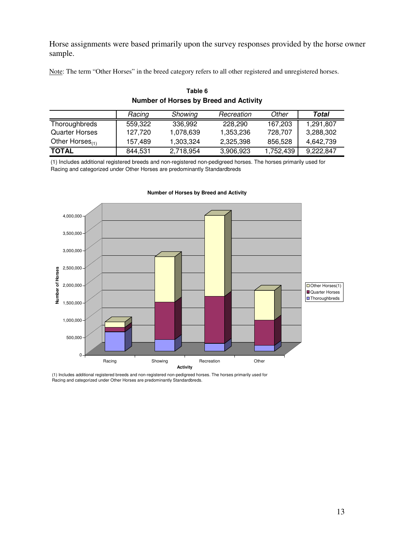Horse assignments were based primarily upon the survey responses provided by the horse owner sample.

Note: The term "Other Horses" in the breed category refers to all other registered and unregistered horses.

|                       | Racing  | Showing   | Recreation | Other     | Total     |
|-----------------------|---------|-----------|------------|-----------|-----------|
| Thoroughbreds         | 559.322 | 336.992   | 228,290    | 167,203   | 1,291,807 |
| <b>Quarter Horses</b> | 127.720 | 1.078.639 | 1,353,236  | 728,707   | 3,288,302 |
| Other Horses $_{(1)}$ | 157.489 | 1.303.324 | 2.325.398  | 856.528   | 4.642.739 |
| <b>TOTAL</b>          | 844,531 | 2,718,954 | 3,906,923  | 1,752,439 | 9,222,847 |

#### **Table 6 Number of Horses by Breed and Activity**

(1) Includes additional registered breeds and non-registered non-pedigreed horses. The horses primarily used for Racing and categorized under Other Horses are predominantly Standardbreds



#### **Number of Horses by Breed and Activity**

(1) Includes additional registered breeds and non-registered non-pedigreed horses. The horses primarily used for Racing and categorized under Other Horses are predominantly Standardbreds.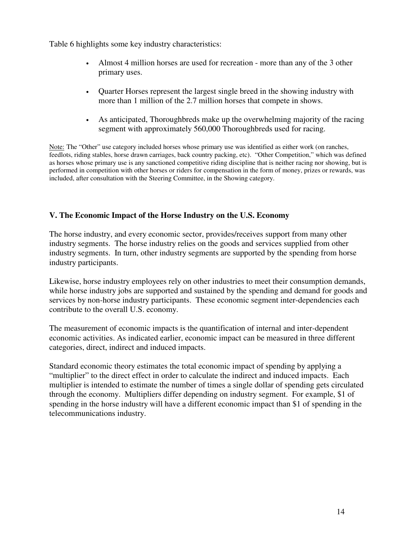Table 6 highlights some key industry characteristics:

- Almost 4 million horses are used for recreation more than any of the 3 other primary uses.
- Quarter Horses represent the largest single breed in the showing industry with more than 1 million of the 2.7 million horses that compete in shows.
- As anticipated, Thoroughbreds make up the overwhelming majority of the racing segment with approximately 560,000 Thoroughbreds used for racing.

Note: The "Other" use category included horses whose primary use was identified as either work (on ranches, feedlots, riding stables, horse drawn carriages, back country packing, etc). "Other Competition," which was defined as horses whose primary use is any sanctioned competitive riding discipline that is neither racing nor showing, but is performed in competition with other horses or riders for compensation in the form of money, prizes or rewards, was included, after consultation with the Steering Committee, in the Showing category.

### **V. The Economic Impact of the Horse Industry on the U.S. Economy**

The horse industry, and every economic sector, provides/receives support from many other industry segments. The horse industry relies on the goods and services supplied from other industry segments. In turn, other industry segments are supported by the spending from horse industry participants.

Likewise, horse industry employees rely on other industries to meet their consumption demands, while horse industry jobs are supported and sustained by the spending and demand for goods and services by non-horse industry participants. These economic segment inter-dependencies each contribute to the overall U.S. economy.

The measurement of economic impacts is the quantification of internal and inter-dependent economic activities. As indicated earlier, economic impact can be measured in three different categories, direct, indirect and induced impacts.

Standard economic theory estimates the total economic impact of spending by applying a "multiplier" to the direct effect in order to calculate the indirect and induced impacts. Each multiplier is intended to estimate the number of times a single dollar of spending gets circulated through the economy. Multipliers differ depending on industry segment. For example, \$1 of spending in the horse industry will have a different economic impact than \$1 of spending in the telecommunications industry.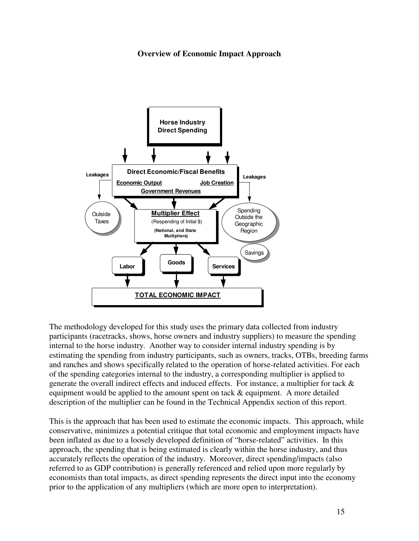#### **Overview of Economic Impact Approach**



The methodology developed for this study uses the primary data collected from industry participants (racetracks, shows, horse owners and industry suppliers) to measure the spending internal to the horse industry. Another way to consider internal industry spending is by estimating the spending from industry participants, such as owners, tracks, OTBs, breeding farms and ranches and shows specifically related to the operation of horse-related activities. For each of the spending categories internal to the industry, a corresponding multiplier is applied to generate the overall indirect effects and induced effects. For instance, a multiplier for tack & equipment would be applied to the amount spent on tack & equipment. A more detailed description of the multiplier can be found in the Technical Appendix section of this report.

This is the approach that has been used to estimate the economic impacts. This approach, while conservative, minimizes a potential critique that total economic and employment impacts have been inflated as due to a loosely developed definition of "horse-related" activities. In this approach, the spending that is being estimated is clearly within the horse industry, and thus accurately reflects the operation of the industry. Moreover, direct spending/impacts (also referred to as GDP contribution) is generally referenced and relied upon more regularly by economists than total impacts, as direct spending represents the direct input into the economy prior to the application of any multipliers (which are more open to interpretation).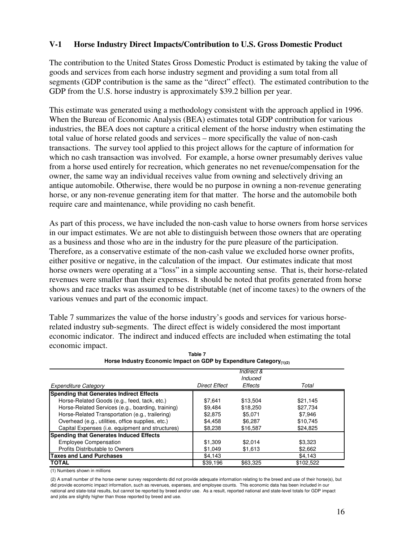#### **V-1 Horse Industry Direct Impacts/Contribution to U.S. Gross Domestic Product**

The contribution to the United States Gross Domestic Product is estimated by taking the value of goods and services from each horse industry segment and providing a sum total from all segments (GDP contribution is the same as the "direct" effect). The estimated contribution to the GDP from the U.S. horse industry is approximately \$39.2 billion per year.

This estimate was generated using a methodology consistent with the approach applied in 1996. When the Bureau of Economic Analysis (BEA) estimates total GDP contribution for various industries, the BEA does not capture a critical element of the horse industry when estimating the total value of horse related goods and services – more specifically the value of non-cash transactions. The survey tool applied to this project allows for the capture of information for which no cash transaction was involved. For example, a horse owner presumably derives value from a horse used entirely for recreation, which generates no net revenue/compensation for the owner, the same way an individual receives value from owning and selectively driving an antique automobile. Otherwise, there would be no purpose in owning a non-revenue generating horse, or any non-revenue generating item for that matter. The horse and the automobile both require care and maintenance, while providing no cash benefit.

As part of this process, we have included the non-cash value to horse owners from horse services in our impact estimates. We are not able to distinguish between those owners that are operating as a business and those who are in the industry for the pure pleasure of the participation. Therefore, as a conservative estimate of the non-cash value we excluded horse owner profits, either positive or negative, in the calculation of the impact. Our estimates indicate that most horse owners were operating at a "loss" in a simple accounting sense. That is, their horse-related revenues were smaller than their expenses. It should be noted that profits generated from horse shows and race tracks was assumed to be distributable (net of income taxes) to the owners of the various venues and part of the economic impact.

Table 7 summarizes the value of the horse industry's goods and services for various horserelated industry sub-segments. The direct effect is widely considered the most important economic indicator. The indirect and induced effects are included when estimating the total economic impact.

|                                                          |                      | Indirect &<br>Induced |           |
|----------------------------------------------------------|----------------------|-----------------------|-----------|
| <b>Expenditure Category</b>                              | <b>Direct Effect</b> | Effects               | Total     |
| <b>Spending that Generates Indirect Effects</b>          |                      |                       |           |
| Horse-Related Goods (e.g., feed, tack, etc.)             | \$7.641              | \$13.504              | \$21.145  |
| Horse-Related Services (e.g., boarding, training)        | \$9.484              | \$18,250              | \$27.734  |
| Horse-Related Transportation (e.g., trailering)          | \$2,875              | \$5.071               | \$7.946   |
| Overhead (e.g., utilities, office supplies, etc.)        | \$4.458              | \$6.287               | \$10.745  |
| Capital Expenses ( <i>i.e.</i> equipment and structures) | \$8,238              | \$16,587              | \$24.825  |
| <b>Spending that Generates Induced Effects</b>           |                      |                       |           |
| <b>Employee Compensation</b>                             | \$1,309              | \$2,014               | \$3.323   |
| Profits Distributable to Owners                          | \$1,049              | \$1,613               | \$2,662   |
| <b>Taxes and Land Purchases</b>                          | \$4,143              |                       | \$4.143   |
| <b>TOTAL</b>                                             | \$39,196             | \$63.325              | \$102,522 |

| Table 7                                                                         |  |
|---------------------------------------------------------------------------------|--|
| Horse Industry Economic Impact on GDP by Expenditure Category <sub>(1)(2)</sub> |  |

(1) Numbers shown in millions

(2) A small number of the horse owner survey respondents did not provide adequate information relating to the breed and use of their horse(s), but did provide economic impact information, such as revenues, expenses, and employee counts. This economic data has been included in our national and state-total results, but cannot be reported by breed and/or use. As a result, reported national and state-level totals for GDP impact and jobs are slightly higher than those reported by breed and use.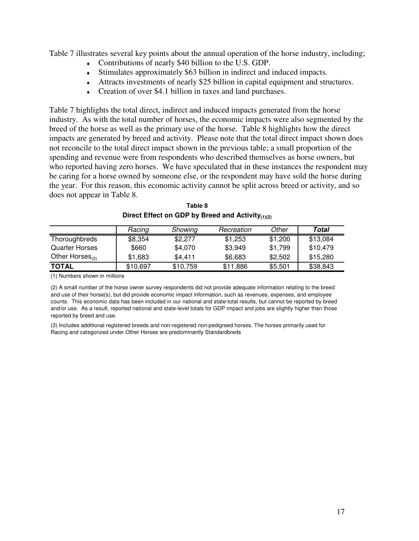Table 7 illustrates several key points about the annual operation of the horse industry, including;

- ♦ Contributions of nearly \$40 billion to the U.S. GDP.
- ♦ Stimulates approximately \$63 billion in indirect and induced impacts.
- ♦ Attracts investments of nearly \$25 billion in capital equipment and structures.
- Creation of over \$4.1 billion in taxes and land purchases.

Table 7 highlights the total direct, indirect and induced impacts generated from the horse industry. As with the total number of horses, the economic impacts were also segmented by the breed of the horse as well as the primary use of the horse. Table 8 highlights how the direct impacts are generated by breed and activity. Please note that the total direct impact shown does not reconcile to the total direct impact shown in the previous table; a small proportion of the spending and revenue were from respondents who described themselves as horse owners, but who reported having zero horses. We have speculated that in these instances the respondent may be caring for a horse owned by someone else, or the respondent may have sold the horse during the year. For this reason, this economic activity cannot be split across breed or activity, and so does not appear in Table 8.

|                       | Racing   | Showing  | Recreation | Other   | Total    |
|-----------------------|----------|----------|------------|---------|----------|
| Thoroughbreds         | \$8,354  | \$2,277  | \$1,253    | \$1,200 | \$13,084 |
| <b>Quarter Horses</b> | \$660    | \$4,070  | \$3.949    | \$1,799 | \$10,479 |
| Other Horses $_{(3)}$ | \$1,683  | \$4.411  | \$6,683    | \$2,502 | \$15,280 |
| <b>TOTAL</b>          | \$10,697 | \$10,759 | \$11,886   | \$5,501 | \$38,843 |

| Table 8                                                      |
|--------------------------------------------------------------|
| Direct Effect on GDP by Breed and Activity <sub>(1)(2)</sub> |

(1) Numbers shown in millions

(2) A small number of the horse owner survey respondents did not provide adequate information relating to the breed and use of their horse(s), but did provide economic impact information, such as revenues, expenses, and employee counts. This economic data has been included in our national and state-total results, but cannot be reported by breed and/or use. As a result, reported national and state-level totals for GDP impact and jobs are slightly higher than those reported by breed and use.

(3) Includes additional registered breeds and non-registered non-pedigreed horses. The horses primarily used for Racing and categorized under Other Horses are predominantly Standardbreds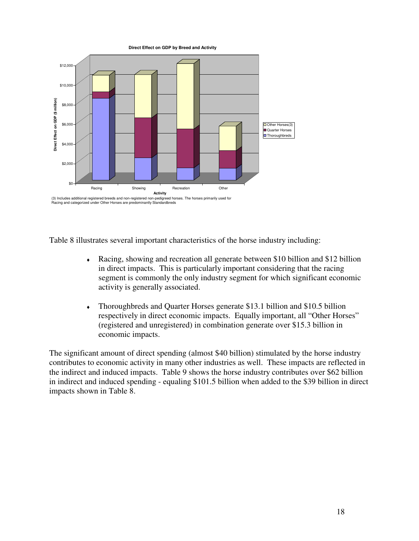

Table 8 illustrates several important characteristics of the horse industry including:

- ♦ Racing, showing and recreation all generate between \$10 billion and \$12 billion in direct impacts. This is particularly important considering that the racing segment is commonly the only industry segment for which significant economic activity is generally associated.
- ♦ Thoroughbreds and Quarter Horses generate \$13.1 billion and \$10.5 billion respectively in direct economic impacts. Equally important, all "Other Horses" (registered and unregistered) in combination generate over \$15.3 billion in economic impacts.

The significant amount of direct spending (almost \$40 billion) stimulated by the horse industry contributes to economic activity in many other industries as well. These impacts are reflected in the indirect and induced impacts. Table 9 shows the horse industry contributes over \$62 billion in indirect and induced spending - equaling \$101.5 billion when added to the \$39 billion in direct impacts shown in Table 8.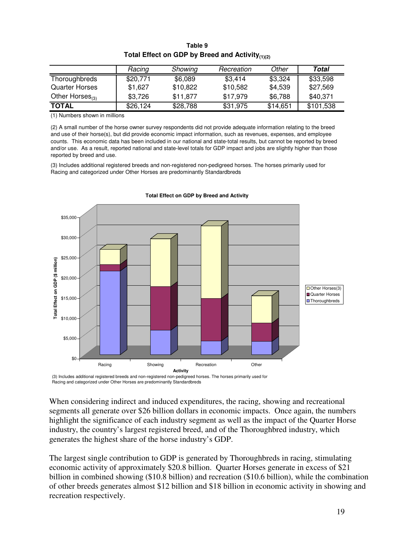|                       | Racing   | Showing  | Recreation | Other    | Total     |
|-----------------------|----------|----------|------------|----------|-----------|
| Thoroughbreds         | \$20,771 | \$6,089  | \$3,414    | \$3,324  | \$33,598  |
| <b>Quarter Horses</b> | \$1.627  | \$10,822 | \$10,582   | \$4,539  | \$27,569  |
| Other Horses $_{(3)}$ | \$3,726  | \$11,877 | \$17.979   | \$6,788  | \$40,371  |
| <b>TOTAL</b>          | \$26,124 | \$28,788 | \$31,975   | \$14,651 | \$101,538 |

**Table 9 Total Effect on GDP by Breed and Activity(1)(2)**

(1) Numbers shown in millions

(2) A small number of the horse owner survey respondents did not provide adequate information relating to the breed and use of their horse(s), but did provide economic impact information, such as revenues, expenses, and employee counts. This economic data has been included in our national and state-total results, but cannot be reported by breed and/or use. As a result, reported national and state-level totals for GDP impact and jobs are slightly higher than those reported by breed and use.

(3) Includes additional registered breeds and non-registered non-pedigreed horses. The horses primarily used for Racing and categorized under Other Horses are predominantly Standardbreds



**Total Effect on GDP by Breed and Activity**

(3) Includes additional registered breeds and non-registered non-pedigreed horses. The horses primarily used for Racing and categorized under Other Horses are predominantly Standardbreds

When considering indirect and induced expenditures, the racing, showing and recreational segments all generate over \$26 billion dollars in economic impacts. Once again, the numbers highlight the significance of each industry segment as well as the impact of the Quarter Horse industry, the country's largest registered breed, and of the Thoroughbred industry, which generates the highest share of the horse industry's GDP.

The largest single contribution to GDP is generated by Thoroughbreds in racing, stimulating economic activity of approximately \$20.8 billion. Quarter Horses generate in excess of \$21 billion in combined showing (\$10.8 billion) and recreation (\$10.6 billion), while the combination of other breeds generates almost \$12 billion and \$18 billion in economic activity in showing and recreation respectively.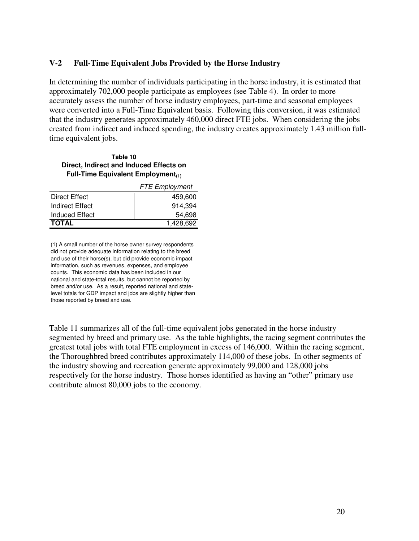#### **V-2 Full-Time Equivalent Jobs Provided by the Horse Industry**

In determining the number of individuals participating in the horse industry, it is estimated that approximately 702,000 people participate as employees (see Table 4). In order to more accurately assess the number of horse industry employees, part-time and seasonal employees were converted into a Full-Time Equivalent basis. Following this conversion, it was estimated that the industry generates approximately 460,000 direct FTE jobs. When considering the jobs created from indirect and induced spending, the industry creates approximately 1.43 million fulltime equivalent jobs.

**Table 10 Direct, Indirect and Induced Effects on Full-Time Equivalent Employment(1)**

|                      | <b>FTE Employment</b> |
|----------------------|-----------------------|
| <b>Direct Effect</b> | 459,600               |
| Indirect Effect      | 914.394               |
| Induced Effect       | 54.698                |
| <b>TOTAL</b>         | 1.428.692             |

(1) A small number of the horse owner survey respondents did not provide adequate information relating to the breed and use of their horse(s), but did provide economic impact information, such as revenues, expenses, and employee counts. This economic data has been included in our national and state-total results, but cannot be reported by breed and/or use. As a result, reported national and statelevel totals for GDP impact and jobs are slightly higher than those reported by breed and use.

Table 11 summarizes all of the full-time equivalent jobs generated in the horse industry segmented by breed and primary use. As the table highlights, the racing segment contributes the greatest total jobs with total FTE employment in excess of 146,000. Within the racing segment, the Thoroughbred breed contributes approximately 114,000 of these jobs. In other segments of the industry showing and recreation generate approximately 99,000 and 128,000 jobs respectively for the horse industry. Those horses identified as having an "other" primary use contribute almost 80,000 jobs to the economy.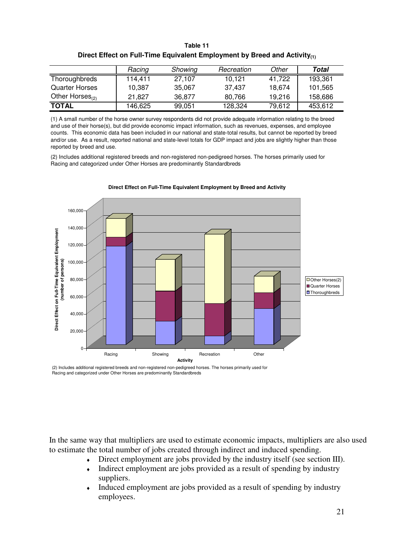|                       | Racing  | Showing | Recreation | Other  | Total   |
|-----------------------|---------|---------|------------|--------|---------|
| Thoroughbreds         | 114.411 | 27.107  | 10.121     | 41.722 | 193,361 |
| <b>Quarter Horses</b> | 10,387  | 35,067  | 37.437     | 18.674 | 101,565 |
| Other Horses $_{(2)}$ | 21.827  | 36.877  | 80.766     | 19.216 | 158,686 |
| <b>TOTAL</b>          | 146,625 | 99,051  | 128,324    | 79.612 | 453,612 |

**Table 11 Direct Effect on Full-Time Equivalent Employment by Breed and Activity(1)**

(1) A small number of the horse owner survey respondents did not provide adequate information relating to the breed and use of their horse(s), but did provide economic impact information, such as revenues, expenses, and employee counts. This economic data has been included in our national and state-total results, but cannot be reported by breed and/or use. As a result, reported national and state-level totals for GDP impact and jobs are slightly higher than those reported by breed and use.

(2) Includes additional registered breeds and non-registered non-pedigreed horses. The horses primarily used for Racing and categorized under Other Horses are predominantly Standardbreds



**Direct Effect on Full-Time Equivalent Employment by Breed and Activity**

(2) Includes additional registered breeds and non-registered non-pedigreed horses. The horses primarily used for Racing and categorized under Other Horses are predominantly Standardbreds

In the same way that multipliers are used to estimate economic impacts, multipliers are also used to estimate the total number of jobs created through indirect and induced spending.

- ♦ Direct employment are jobs provided by the industry itself (see section III).
- Indirect employment are jobs provided as a result of spending by industry suppliers.
- Induced employment are jobs provided as a result of spending by industry employees.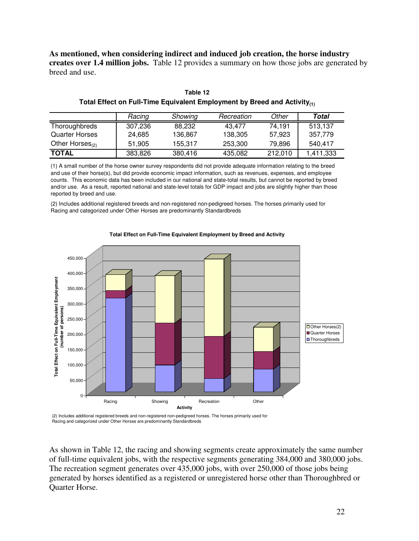**As mentioned, when considering indirect and induced job creation, the horse industry creates over 1.4 million jobs.** Table 12 provides a summary on how those jobs are generated by breed and use.

|                       | Racing  | Showing | Recreation | Other   | Total     |
|-----------------------|---------|---------|------------|---------|-----------|
| Thoroughbreds         | 307.236 | 88.232  | 43.477     | 74.191  | 513,137   |
| <b>Quarter Horses</b> | 24,685  | 136.867 | 138.305    | 57,923  | 357,779   |
| Other Horses $_{(2)}$ | 51,905  | 155.317 | 253,300    | 79.896  | 540.417   |
| <b>TOTAL</b>          | 383,826 | 380,416 | 435,082    | 212.010 | 1,411,333 |

**Table 12 Total Effect on Full-Time Equivalent Employment by Breed and Activity(1)**

(1) A small number of the horse owner survey respondents did not provide adequate information relating to the breed and use of their horse(s), but did provide economic impact information, such as revenues, expenses, and employee counts. This economic data has been included in our national and state-total results, but cannot be reported by breed and/or use. As a result, reported national and state-level totals for GDP impact and jobs are slightly higher than those reported by breed and use.

(2) Includes additional registered breeds and non-registered non-pedigreed horses. The horses primarily used for Racing and categorized under Other Horses are predominantly Standardbreds



#### **Total Effect on Full-Time Equivalent Employment by Breed and Activity**

(2) Includes additional registered breeds and non-registered non-pedigreed horses. The horses primarily used for Racing and categorized under Other Horses are predominantly Standardbreds

As shown in Table 12, the racing and showing segments create approximately the same number of full-time equivalent jobs, with the respective segments generating 384,000 and 380,000 jobs. The recreation segment generates over 435,000 jobs, with over 250,000 of those jobs being generated by horses identified as a registered or unregistered horse other than Thoroughbred or Quarter Horse.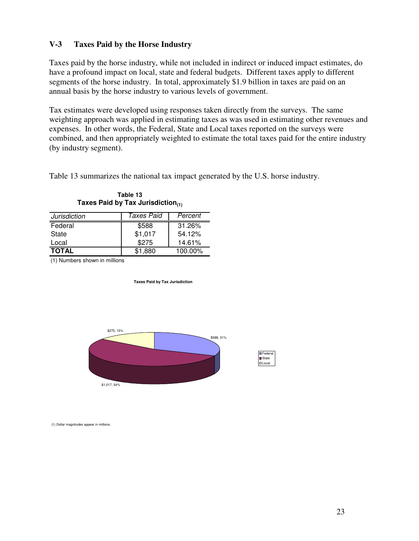#### **V-3 Taxes Paid by the Horse Industry**

Taxes paid by the horse industry, while not included in indirect or induced impact estimates, do have a profound impact on local, state and federal budgets. Different taxes apply to different segments of the horse industry. In total, approximately \$1.9 billion in taxes are paid on an annual basis by the horse industry to various levels of government.

Tax estimates were developed using responses taken directly from the surveys. The same weighting approach was applied in estimating taxes as was used in estimating other revenues and expenses. In other words, the Federal, State and Local taxes reported on the surveys were combined, and then appropriately weighted to estimate the total taxes paid for the entire industry (by industry segment).

Table 13 summarizes the national tax impact generated by the U.S. horse industry.

| <b>Jurisdiction</b> | Taxes Paid | Percent |
|---------------------|------------|---------|
| Federal             | \$588      | 31.26%  |
| State               | \$1,017    | 54.12%  |
| Local               | \$275      | 14.61%  |
| <b>TOTAL</b>        | \$1.880    | 100.00% |

**Table 13 Taxes Paid by Tax Jurisdiction(1)**

(1) Numbers shown in millions

**Taxes Paid by Tax Jurisdiction**





(1) Dollar magnitudes appear in millions.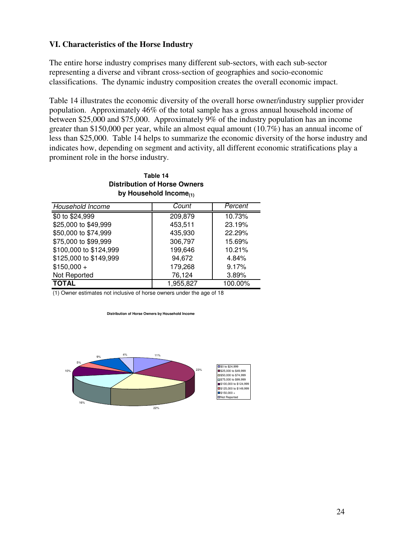#### **VI. Characteristics of the Horse Industry**

The entire horse industry comprises many different sub-sectors, with each sub-sector representing a diverse and vibrant cross-section of geographies and socio-economic classifications. The dynamic industry composition creates the overall economic impact.

Table 14 illustrates the economic diversity of the overall horse owner/industry supplier provider population. Approximately 46% of the total sample has a gross annual household income of between \$25,000 and \$75,000. Approximately 9% of the industry population has an income greater than \$150,000 per year, while an almost equal amount (10.7%) has an annual income of less than \$25,000. Table 14 helps to summarize the economic diversity of the horse industry and indicates how, depending on segment and activity, all different economic stratifications play a prominent role in the horse industry.

#### **Distribution of Horse Owners by Household Income(1) Table 14**

| Household Income       | Count     | Percent |
|------------------------|-----------|---------|
| \$0 to \$24,999        | 209,879   | 10.73%  |
| \$25,000 to \$49,999   | 453,511   | 23.19%  |
| \$50,000 to \$74,999   | 435,930   | 22.29%  |
| \$75,000 to \$99,999   | 306,797   | 15.69%  |
| \$100,000 to \$124,999 | 199,646   | 10.21%  |
| \$125,000 to \$149,999 | 94,672    | 4.84%   |
| $$150,000 +$           | 179,268   | 9.17%   |
| Not Reported           | 76,124    | 3.89%   |
| <b>TOTAL</b>           | 1,955,827 | 100.00% |

(1) Owner estimates not inclusive of horse owners under the age of 18

**Distribution of Horse Owners by Household Income**

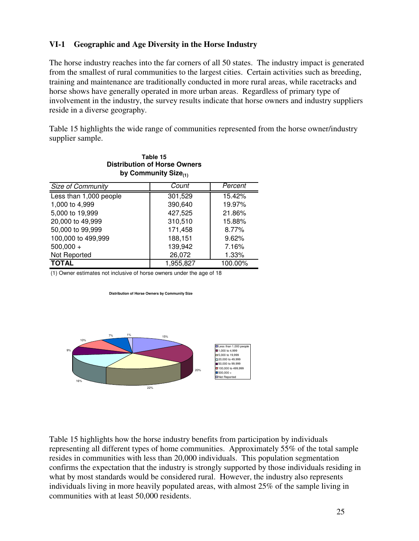#### **VI-1 Geographic and Age Diversity in the Horse Industry**

The horse industry reaches into the far corners of all 50 states. The industry impact is generated from the smallest of rural communities to the largest cities. Certain activities such as breeding, training and maintenance are traditionally conducted in more rural areas, while racetracks and horse shows have generally operated in more urban areas. Regardless of primary type of involvement in the industry, the survey results indicate that horse owners and industry suppliers reside in a diverse geography.

Table 15 highlights the wide range of communities represented from the horse owner/industry supplier sample.

| Table 15                            |
|-------------------------------------|
| <b>Distribution of Horse Owners</b> |
| by Community Size $_{(1)}$          |

| Size of Community      | Count     | Percent |
|------------------------|-----------|---------|
| Less than 1,000 people | 301,529   | 15.42%  |
| 1,000 to 4,999         | 390,640   | 19.97%  |
| 5,000 to 19,999        | 427,525   | 21.86%  |
| 20,000 to 49,999       | 310,510   | 15.88%  |
| 50,000 to 99,999       | 171,458   | 8.77%   |
| 100,000 to 499,999     | 188,151   | 9.62%   |
| $500,000 +$            | 139,942   | 7.16%   |
| Not Reported           | 26,072    | 1.33%   |
| <b>TOTAL</b>           | 1,955,827 | 100.00% |

(1) Owner estimates not inclusive of horse owners under the age of 18

**Distribution of Horse Owners by Community Size**



Table 15 highlights how the horse industry benefits from participation by individuals representing all different types of home communities. Approximately 55% of the total sample resides in communities with less than 20,000 individuals. This population segmentation confirms the expectation that the industry is strongly supported by those individuals residing in what by most standards would be considered rural. However, the industry also represents individuals living in more heavily populated areas, with almost 25% of the sample living in communities with at least 50,000 residents.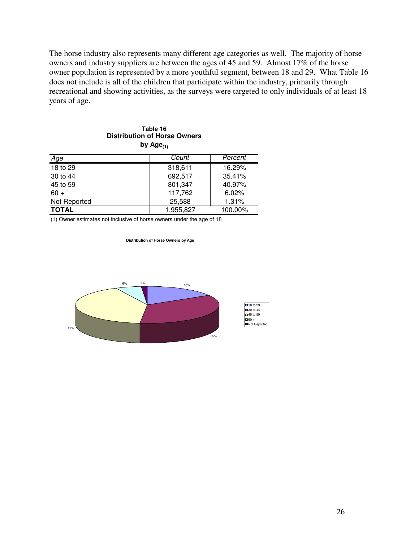The horse industry also represents many different age categories as well. The majority of horse owners and industry suppliers are between the ages of 45 and 59. Almost 17% of the horse owner population is represented by a more youthful segment, between 18 and 29. What Table 16 does not include is all of the children that participate within the industry, primarily through recreational and showing activities, as the surveys were targeted to only individuals of at least 18 years of age.

#### **Table 16 Distribution of Horse Owners** by  $Age_{(1)}$

| <u>Age</u>   | Count     | Percent   |
|--------------|-----------|-----------|
| 18 to 29     | 318,611   | 16.29%    |
| 30 to 44     | 692,517   | 35.41%    |
| 45 to 59     | 801,347   | $40.97\%$ |
| $60 +$       | 117,762   | 6.02%     |
| Not Reported | 25,588    | 1.31%     |
| <b>TOTAL</b> | 1,955,827 | 100.00%   |

(1) Owner estimates not inclusive of horse owners under the age of 18

**Distribution of Horse Owners by Age**

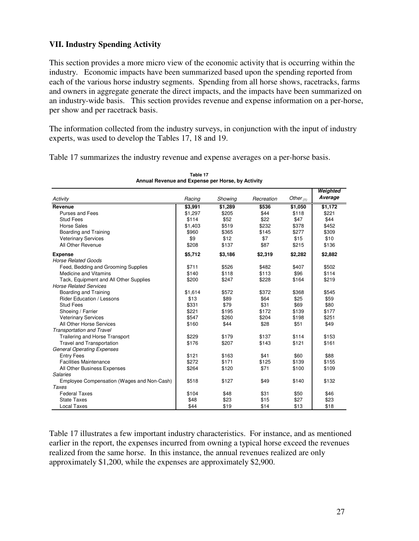### **VII. Industry Spending Activity**

This section provides a more micro view of the economic activity that is occurring within the industry. Economic impacts have been summarized based upon the spending reported from each of the various horse industry segments. Spending from all horse shows, racetracks, farms and owners in aggregate generate the direct impacts, and the impacts have been summarized on an industry-wide basis. This section provides revenue and expense information on a per-horse, per show and per racetrack basis.

The information collected from the industry surveys, in conjunction with the input of industry experts, was used to develop the Tables 17, 18 and 19.

Table 17 summarizes the industry revenue and expense averages on a per-horse basis.

|                                            |         |         |            |             | Weighted |
|--------------------------------------------|---------|---------|------------|-------------|----------|
| Activity                                   | Racing  | Showing | Recreation | Other $(1)$ | Average  |
| Revenue                                    | \$3,991 | \$1,289 | \$536      | \$1,050     | \$1,172  |
| Purses and Fees                            | \$1,297 | \$205   | \$44       | \$118       | \$221    |
| <b>Stud Fees</b>                           | \$114   | \$52    | \$22       | \$47        | \$44     |
| <b>Horse Sales</b>                         | \$1,403 | \$519   | \$232      | \$378       | \$452    |
| Boarding and Training                      | \$960   | \$365   | \$145      | \$277       | \$309    |
| <b>Veterinary Services</b>                 | \$9     | \$12    | \$7        | \$15        | \$10     |
| All Other Revenue                          | \$208   | \$137   | \$87       | \$215       | \$136    |
| <b>Expense</b>                             | \$5,712 | \$3,186 | \$2,319    | \$2,282     | \$2,882  |
| <b>Horse Related Goods</b>                 |         |         |            |             |          |
| Feed, Bedding and Grooming Supplies        | \$711   | \$526   | \$482      | \$407       | \$502    |
| <b>Medicine and Vitamins</b>               | \$140   | \$118   | \$113      | \$96        | \$114    |
| Tack, Equipment and All Other Supplies     | \$200   | \$247   | \$228      | \$164       | \$219    |
| <b>Horse Related Services</b>              |         |         |            |             |          |
| Boarding and Training                      | \$1,614 | \$572   | \$372      | \$368       | \$545    |
| <b>Rider Education / Lessons</b>           | \$13    | \$89    | \$64       | \$25        | \$59     |
| <b>Stud Fees</b>                           | \$331   | \$79    | \$31       | \$69        | \$80     |
| Shoeing / Farrier                          | \$221   | \$195   | \$172      | \$139       | \$177    |
| <b>Veterinary Services</b>                 | \$547   | \$260   | \$204      | \$198       | \$251    |
| All Other Horse Services                   | \$160   | \$44    | \$28       | \$51        | \$49     |
| <b>Transportation and Travel</b>           |         |         |            |             |          |
| Trailering and Horse Transport             | \$229   | \$179   | \$137      | \$114       | \$153    |
| <b>Travel and Transportation</b>           | \$176   | \$207   | \$143      | \$121       | \$161    |
| <b>General Operating Expenses</b>          |         |         |            |             |          |
| <b>Entry Fees</b>                          | \$121   | \$163   | \$41       | \$60        | \$88     |
| <b>Facilities Maintenance</b>              | \$272   | \$171   | \$125      | \$139       | \$155    |
| All Other Business Expenses                | \$264   | \$120   | \$71       | \$100       | \$109    |
| <b>Salaries</b>                            |         |         |            |             |          |
| Employee Compensation (Wages and Non-Cash) | \$518   | \$127   | \$49       | \$140       | \$132    |
| <b>Taxes</b>                               |         |         |            |             |          |
| <b>Federal Taxes</b>                       | \$104   | \$48    | \$31       | \$50        | \$46     |
| <b>State Taxes</b>                         | \$48    | \$23    | \$15       | \$27        | \$23     |
| Local Taxes                                | \$44    | \$19    | \$14       | \$13        | \$18     |

**Table 17 Annual Revenue and Expense per Horse, by Activity**

Table 17 illustrates a few important industry characteristics. For instance, and as mentioned earlier in the report, the expenses incurred from owning a typical horse exceed the revenues realized from the same horse. In this instance, the annual revenues realized are only approximately \$1,200, while the expenses are approximately \$2,900.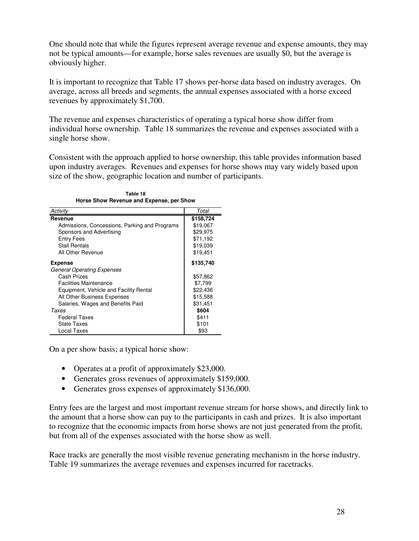One should note that while the figures represent average revenue and expense amounts, they may not be typical amounts—for example, horse sales revenues are usually \$0, but the average is obviously higher.

It is important to recognize that Table 17 shows per-horse data based on industry averages. On average, across all breeds and segments, the annual expenses associated with a horse exceed revenues by approximately \$1,700.

The revenue and expenses characteristics of operating a typical horse show differ from individual horse ownership. Table 18 summarizes the revenue and expenses associated with a single horse show.

Consistent with the approach applied to horse ownership, this table provides information based upon industry averages. Revenues and expenses for horse shows may vary widely based upon size of the show, geographic location and number of participants.

| Activity                                      | Total     |
|-----------------------------------------------|-----------|
| Revenue                                       | \$158,724 |
| Admissions, Concessions, Parking and Programs | \$19,067  |
| Sponsors and Advertising                      | \$29,975  |
| Entry Fees                                    | \$71,192  |
| <b>Stall Rentals</b>                          | \$19,039  |
| All Other Revenue                             | \$19,451  |
| <b>Expense</b>                                | \$135,740 |
| <b>General Operating Expenses</b>             |           |
| Cash Prizes                                   | \$57,862  |
| <b>Facilities Maintenance</b>                 | \$7,799   |
| Equipment, Vehicle and Facility Rental        | \$22,436  |
| All Other Business Expenses                   | \$15,588  |
| Salaries, Wages and Benefits Paid             | \$31,451  |
| Taxes                                         | \$604     |
| <b>Federal Taxes</b>                          | \$411     |
| State Taxes                                   | \$101     |
| Local Taxes                                   | \$93      |

**Table 18 Horse Show Revenue and Expense, per Show**

On a per show basis; a typical horse show:

- Operates at a profit of approximately \$23,000.
- Generates gross revenues of approximately \$159,000.
- Generates gross expenses of approximately \$136,000.

Entry fees are the largest and most important revenue stream for horse shows, and directly link to the amount that a horse show can pay to the participants in cash and prizes. It is also important to recognize that the economic impacts from horse shows are not just generated from the profit, but from all of the expenses associated with the horse show as well.

Race tracks are generally the most visible revenue generating mechanism in the horse industry. Table 19 summarizes the average revenues and expenses incurred for racetracks.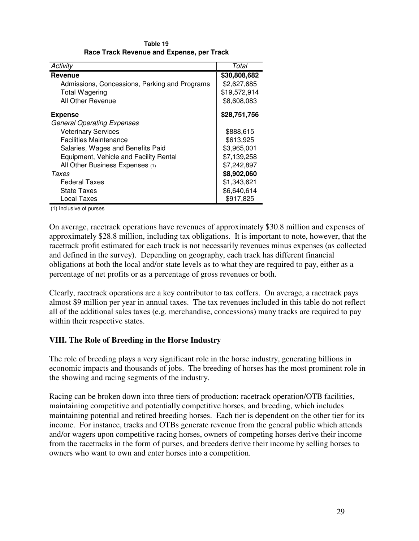| Activity                                      | Total        |
|-----------------------------------------------|--------------|
| Revenue                                       | \$30,808,682 |
| Admissions, Concessions, Parking and Programs | \$2,627,685  |
| <b>Total Wagering</b>                         | \$19,572,914 |
| All Other Revenue                             | \$8,608,083  |
| <b>Expense</b>                                | \$28,751,756 |
| <b>General Operating Expenses</b>             |              |
| <b>Veterinary Services</b>                    | \$888,615    |
| <b>Facilities Maintenance</b>                 | \$613,925    |
| Salaries, Wages and Benefits Paid             | \$3,965,001  |
| Equipment, Vehicle and Facility Rental        | \$7,139,258  |
| All Other Business Expenses (1)               | \$7,242,897  |
| Taxes                                         | \$8,902,060  |
| <b>Federal Taxes</b>                          | \$1,343,621  |
| <b>State Taxes</b>                            | \$6,640,614  |
| Local Taxes                                   | \$917,825    |

**Table 19 Race Track Revenue and Expense, per Track**

(1) Inclusive of purses

On average, racetrack operations have revenues of approximately \$30.8 million and expenses of approximately \$28.8 million, including tax obligations. It is important to note, however, that the racetrack profit estimated for each track is not necessarily revenues minus expenses (as collected and defined in the survey). Depending on geography, each track has different financial obligations at both the local and/or state levels as to what they are required to pay, either as a percentage of net profits or as a percentage of gross revenues or both.

Clearly, racetrack operations are a key contributor to tax coffers. On average, a racetrack pays almost \$9 million per year in annual taxes. The tax revenues included in this table do not reflect all of the additional sales taxes (e.g. merchandise, concessions) many tracks are required to pay within their respective states.

#### **VIII. The Role of Breeding in the Horse Industry**

The role of breeding plays a very significant role in the horse industry, generating billions in economic impacts and thousands of jobs. The breeding of horses has the most prominent role in the showing and racing segments of the industry.

Racing can be broken down into three tiers of production: racetrack operation/OTB facilities, maintaining competitive and potentially competitive horses, and breeding, which includes maintaining potential and retired breeding horses. Each tier is dependent on the other tier for its income. For instance, tracks and OTBs generate revenue from the general public which attends and/or wagers upon competitive racing horses, owners of competing horses derive their income from the racetracks in the form of purses, and breeders derive their income by selling horses to owners who want to own and enter horses into a competition.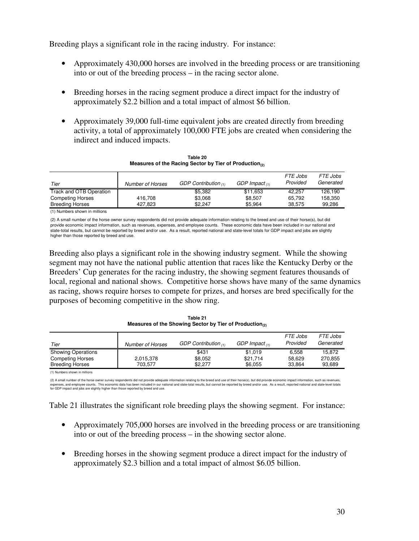Breeding plays a significant role in the racing industry. For instance:

- Approximately 430,000 horses are involved in the breeding process or are transitioning into or out of the breeding process – in the racing sector alone.
- Breeding horses in the racing segment produce a direct impact for the industry of approximately \$2.2 billion and a total impact of almost \$6 billion.
- Approximately 39,000 full-time equivalent jobs are created directly from breeding activity, a total of approximately 100,000 FTE jobs are created when considering the indirect and induced impacts.

| Tier                    | Number of Horses | GDP Contribution $(1)$ | GDP Impact $(1)$ | <i>FTE Jobs</i><br>Provided | <i>FTE Jobs</i><br>Generated |
|-------------------------|------------------|------------------------|------------------|-----------------------------|------------------------------|
| Track and OTB Operation |                  | \$5.382                | \$11.653         | 42.257                      | 126.190                      |
| <b>Competing Horses</b> | 416.708          | \$3.068                | \$8.507          | 65.792                      | 158.350                      |
| <b>Breeding Horses</b>  | 427.823          | \$2.247                | \$5.964          | 38.575                      | 99.286                       |

**Table 20 Measures of the Racing Sector by Tier of Production(2)**

(1) Numbers shown in millions

(2) A small number of the horse owner survey respondents did not provide adequate information relating to the breed and use of their horse(s), but did provide economic impact information, such as revenues, expenses, and employee counts. These economic data have been included in our national and state-total results, but cannot be reported by breed and/or use. As a result, reported national and state-level totals for GDP impact and jobs are slightly higher than those reported by breed and use.

Breeding also plays a significant role in the showing industry segment. While the showing segment may not have the national public attention that races like the Kentucky Derby or the Breeders' Cup generates for the racing industry, the showing segment features thousands of local, regional and national shows. Competitive horse shows have many of the same dynamics as racing, shows require horses to compete for prizes, and horses are bred specifically for the purposes of becoming competitive in the show ring.

**Table 21 Measures of the Showing Sector by Tier of Production(2)**

| Tier                      | <b>Number of Horses</b> | GDP Contribution $(1)$ | GDP Impact $(1)$ | <b>FTE Jobs</b><br>Provided | <i>FTE Jobs</i><br>Generated |
|---------------------------|-------------------------|------------------------|------------------|-----------------------------|------------------------------|
| <b>Showing Operations</b> |                         | \$431                  | \$1,019          | 6.558                       | 15.872                       |
| <b>Competing Horses</b>   | 2,015,378               | \$8.052                | \$21.714         | 58.629                      | 270,855                      |
| <b>Breeding Horses</b>    | 703.577                 | \$2.277                | \$6.055          | 33.864                      | 93.689                       |

(1) Numbers shown in millions

(2) A small number of the horse owner survey respondents did not provide adequate information relating to the breed and use of their horse(s), but did provide economic impact information, such as revenues, expenses, and employee counts. This economic data has been included in our national and state-total results, but cannot be reported by breed and/or use. As a result, reported national and state-level totals<br>for GDP impact

Table 21 illustrates the significant role breeding plays the showing segment. For instance:

- Approximately 705,000 horses are involved in the breeding process or are transitioning into or out of the breeding process – in the showing sector alone.
- Breeding horses in the showing segment produce a direct impact for the industry of approximately \$2.3 billion and a total impact of almost \$6.05 billion.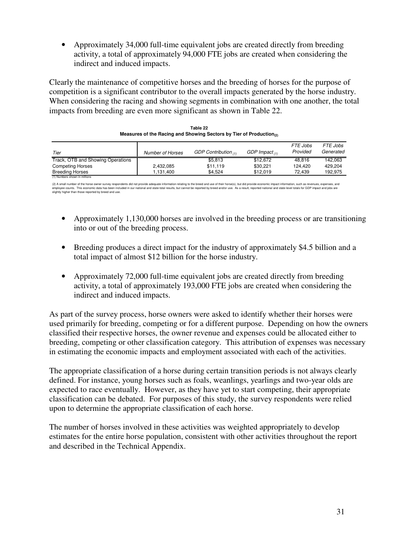• Approximately 34,000 full-time equivalent jobs are created directly from breeding activity, a total of approximately 94,000 FTE jobs are created when considering the indirect and induced impacts.

Clearly the maintenance of competitive horses and the breeding of horses for the purpose of competition is a significant contributor to the overall impacts generated by the horse industry. When considering the racing and showing segments in combination with one another, the total impacts from breeding are even more significant as shown in Table 22.

| Tier                              | Number of Horses | GDP Contribution $(1)$ | GDP Impact $(1)$ | FTE Jobs<br>Provided | FTE Jobs<br>Generated |
|-----------------------------------|------------------|------------------------|------------------|----------------------|-----------------------|
| Track, OTB and Showing Operations |                  | \$5.813                | \$12.672         | 48.816               | 142.063               |
| <b>Competing Horses</b>           | 2,432,085        | \$11.119               | \$30.221         | 124.420              | 429.204               |
| <b>Breeding Horses</b>            | 1.131.400        | \$4.524                | \$12.019         | 72.439               | 192.975               |
| (1) Numbers shown in millions     |                  |                        |                  |                      |                       |

| Table 22                                                                        |
|---------------------------------------------------------------------------------|
| Measures of the Racing and Showing Sectors by Tier of Production <sub>(2)</sub> |

(2) A small number of the horse owner survey respondents ddi not predict in the brance in the formation relating to the breed and use of their horse(s), but did provide economic impact information, such sure one of the pro slightly higher than those reported by breed and use.

- Approximately 1,130,000 horses are involved in the breeding process or are transitioning into or out of the breeding process.
- Breeding produces a direct impact for the industry of approximately \$4.5 billion and a total impact of almost \$12 billion for the horse industry.
- Approximately 72,000 full-time equivalent jobs are created directly from breeding activity, a total of approximately 193,000 FTE jobs are created when considering the indirect and induced impacts.

As part of the survey process, horse owners were asked to identify whether their horses were used primarily for breeding, competing or for a different purpose. Depending on how the owners classified their respective horses, the owner revenue and expenses could be allocated either to breeding, competing or other classification category. This attribution of expenses was necessary in estimating the economic impacts and employment associated with each of the activities.

The appropriate classification of a horse during certain transition periods is not always clearly defined. For instance, young horses such as foals, weanlings, yearlings and two-year olds are expected to race eventually. However, as they have yet to start competing, their appropriate classification can be debated. For purposes of this study, the survey respondents were relied upon to determine the appropriate classification of each horse.

The number of horses involved in these activities was weighted appropriately to develop estimates for the entire horse population, consistent with other activities throughout the report and described in the Technical Appendix.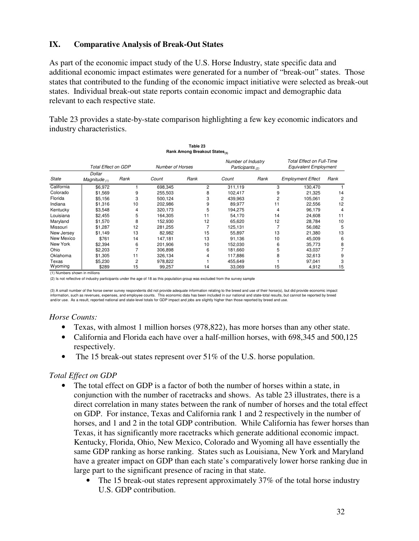#### **IX. Comparative Analysis of Break-Out States**

As part of the economic impact study of the U.S. Horse Industry, state specific data and additional economic impact estimates were generated for a number of "break-out" states. Those states that contributed to the funding of the economic impact initiative were selected as break-out states. Individual break-out state reports contain economic impact and demographic data relevant to each respective state.

Table 23 provides a state-by-state comparison highlighting a few key economic indicators and industry characteristics.

|              | Table 23<br>Rank Among Breakout States <sub>(3)</sub> |                |                  |                |                                          |      |                                                           |      |
|--------------|-------------------------------------------------------|----------------|------------------|----------------|------------------------------------------|------|-----------------------------------------------------------|------|
|              | Total Effect on GDP                                   |                | Number of Horses |                | Number of Industry<br>Participants $(2)$ |      | Total Effect on Full-Time<br><b>Equivalent Employment</b> |      |
| <b>State</b> | Dollar<br>Magnitude $(1)$                             | Rank           | Count            | Rank           | Count                                    | Rank | <b>Employment Effect</b>                                  | Rank |
| California   | \$6,972                                               |                | 698,345          | $\overline{2}$ | 311,119                                  |      | 130,470<br>3                                              |      |
| Colorado     | \$1,569                                               | 9              | 255,503          | 8              | 102,417                                  |      | 9<br>21,325                                               | 14   |
| Florida      | \$5,156                                               | 3              | 500,124          | 3              | 439,963                                  |      | 2<br>105,061                                              |      |
| Indiana      | \$1,316                                               | 10             | 202,986          | 9              | 89,977                                   | 11   | 22,556                                                    | 12   |
| Kentucky     | \$3,548                                               | 4              | 320,173          | 5              | 194,275                                  |      | 4<br>96,179                                               | 4    |
| Louisiana    | \$2,455                                               | 5              | 164,305          | 11             | 54,170                                   |      | 14<br>24,608                                              | 11   |
| Maryland     | \$1,570                                               | 8              | 152,930          | 12             | 65,620                                   |      | 12<br>28,784                                              | 10   |
| Missouri     | \$1,287                                               | 12             | 281,255          |                | 125,131                                  |      | 56,082                                                    |      |
| New Jersey   | \$1,149                                               | 13             | 82,982           | 15             | 55,897                                   |      | 13<br>21,380                                              | 13   |
| New Mexico   | \$761                                                 | 14             | 147.181          | 13             | 91,136                                   |      | 10<br>45,009                                              | 6    |
| New York     | \$2,394                                               | 6              | 201,906          | 10             | 152,030                                  |      | 6<br>35,773                                               |      |
| Ohio         | \$2,203                                               |                | 306,898          | 6              | 181,660                                  |      | 5<br>43,037                                               |      |
| Oklahoma     | \$1,305                                               | 11             | 326,134          | 4              | 117,886                                  |      | 8<br>32,613                                               |      |
| Texas        | \$5,230                                               | $\overline{2}$ | 978,822          |                | 455,649                                  |      | 97,041                                                    |      |
| Wyoming      | \$289                                                 | 15             | 99,257           | 14             | 33,069                                   |      | 15<br>4,912                                               | 15   |

(1) Numbers shown in millions

(2) Is not reflective of industry participants under the age of 18 as this population group was excluded from the survey sample

(3) A small number of the horse owner survey respondents did not provide adequate information relating to the breed and use of their horse(s), but did provide economic impact information, such as revenues, expenses, and employee counts. This economic data has been included in our national and state-total results, but cannot be reported by breed<br>and/or use. As a result, reported national and st

#### *Horse Counts:*

- Texas, with almost 1 million horses (978,822), has more horses than any other state.
- California and Florida each have over a half-million horses, with 698,345 and 500,125 respectively.
- The 15 break-out states represent over 51% of the U.S. horse population.

#### *Total Effect on GDP*

- The total effect on GDP is a factor of both the number of horses within a state, in conjunction with the number of racetracks and shows. As table 23 illustrates, there is a direct correlation in many states between the rank of number of horses and the total effect on GDP. For instance, Texas and California rank 1 and 2 respectively in the number of horses, and 1 and 2 in the total GDP contribution. While California has fewer horses than Texas, it has significantly more racetracks which generate additional economic impact. Kentucky, Florida, Ohio, New Mexico, Colorado and Wyoming all have essentially the same GDP ranking as horse ranking. States such as Louisiana, New York and Maryland have a greater impact on GDP than each state's comparatively lower horse ranking due in large part to the significant presence of racing in that state.
	- The 15 break-out states represent approximately 37% of the total horse industry U.S. GDP contribution.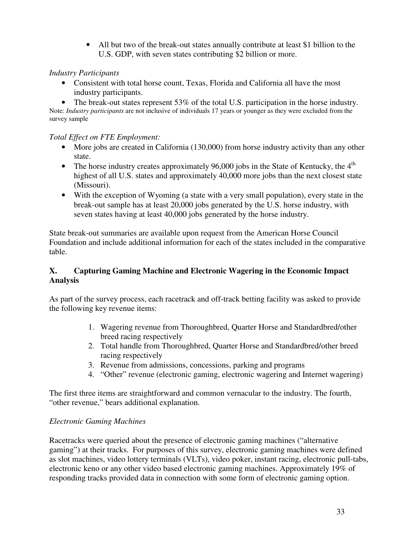• All but two of the break-out states annually contribute at least \$1 billion to the U.S. GDP, with seven states contributing \$2 billion or more.

### *Industry Participants*

• Consistent with total horse count, Texas, Florida and California all have the most industry participants.

• The break-out states represent 53% of the total U.S. participation in the horse industry. Note: *Industry participants* are not inclusive of individuals 17 years or younger as they were excluded from the survey sample

### *Total Effect on FTE Employment:*

- More jobs are created in California (130,000) from horse industry activity than any other state.
- The horse industry creates approximately 96,000 jobs in the State of Kentucky, the  $4<sup>th</sup>$ highest of all U.S. states and approximately 40,000 more jobs than the next closest state (Missouri).
- With the exception of Wyoming (a state with a very small population), every state in the break-out sample has at least 20,000 jobs generated by the U.S. horse industry, with seven states having at least 40,000 jobs generated by the horse industry.

State break-out summaries are available upon request from the American Horse Council Foundation and include additional information for each of the states included in the comparative table.

### **X. Capturing Gaming Machine and Electronic Wagering in the Economic Impact Analysis**

As part of the survey process, each racetrack and off-track betting facility was asked to provide the following key revenue items:

- 1. Wagering revenue from Thoroughbred, Quarter Horse and Standardbred/other breed racing respectively
- 2. Total handle from Thoroughbred, Quarter Horse and Standardbred/other breed racing respectively
- 3. Revenue from admissions, concessions, parking and programs
- 4. "Other" revenue (electronic gaming, electronic wagering and Internet wagering)

The first three items are straightforward and common vernacular to the industry. The fourth, "other revenue," bears additional explanation.

### *Electronic Gaming Machines*

Racetracks were queried about the presence of electronic gaming machines ("alternative gaming") at their tracks. For purposes of this survey, electronic gaming machines were defined as slot machines, video lottery terminals (VLTs), video poker, instant racing, electronic pull-tabs, electronic keno or any other video based electronic gaming machines. Approximately 19% of responding tracks provided data in connection with some form of electronic gaming option.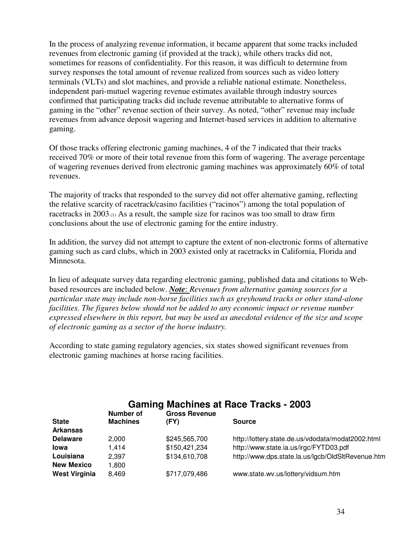In the process of analyzing revenue information, it became apparent that some tracks included revenues from electronic gaming (if provided at the track), while others tracks did not, sometimes for reasons of confidentiality. For this reason, it was difficult to determine from survey responses the total amount of revenue realized from sources such as video lottery terminals (VLTs) and slot machines, and provide a reliable national estimate. Nonetheless, independent pari-mutuel wagering revenue estimates available through industry sources confirmed that participating tracks did include revenue attributable to alternative forms of gaming in the "other" revenue section of their survey. As noted, "other" revenue may include revenues from advance deposit wagering and Internet-based services in addition to alternative gaming.

Of those tracks offering electronic gaming machines, 4 of the 7 indicated that their tracks received 70% or more of their total revenue from this form of wagering. The average percentage of wagering revenues derived from electronic gaming machines was approximately 60% of total revenues.

The majority of tracks that responded to the survey did not offer alternative gaming, reflecting the relative scarcity of racetrack/casino facilities ("racinos") among the total population of racetracks in 2003.(1) As a result, the sample size for racinos was too small to draw firm conclusions about the use of electronic gaming for the entire industry.

In addition, the survey did not attempt to capture the extent of non-electronic forms of alternative gaming such as card clubs, which in 2003 existed only at racetracks in California, Florida and Minnesota.

In lieu of adequate survey data regarding electronic gaming, published data and citations to Webbased resources are included below. *Note*: *Revenues from alternative gaming sources for a particular state may include non-horse facilities such as greyhound tracks or other stand-alone facilities. The figures below should not be added to any economic impact or revenue number expressed elsewhere in this report, but may be used as anecdotal evidence of the size and scope of electronic gaming as a sector of the horse industry.*

According to state gaming regulatory agencies, six states showed significant revenues from electronic gaming machines at horse racing facilities.

| <b>Gaming Machines at Race Tracks - 2003</b><br><b>Gross Revenue</b><br>Number of |                 |               |                                                   |  |
|-----------------------------------------------------------------------------------|-----------------|---------------|---------------------------------------------------|--|
| <b>State</b>                                                                      | <b>Machines</b> | (FY)          | <b>Source</b>                                     |  |
| <b>Arkansas</b>                                                                   |                 |               |                                                   |  |
| <b>Delaware</b>                                                                   | 2.000           | \$245,565,700 | http://lottery.state.de.us/vdodata/modat2002.html |  |
| <b>lowa</b>                                                                       | 1.414           | \$150,421,234 | http://www.state.ia.us/irgc/FYTD03.pdf            |  |
| Louisiana                                                                         | 2.397           | \$134,610,708 | http://www.dps.state.la.us/lgcb/OldSltRevenue.htm |  |
| <b>New Mexico</b>                                                                 | 1,800           |               |                                                   |  |
| <b>West Virginia</b>                                                              | 8,469           | \$717,079,486 | www.state.wv.us/lottery/vidsum.htm                |  |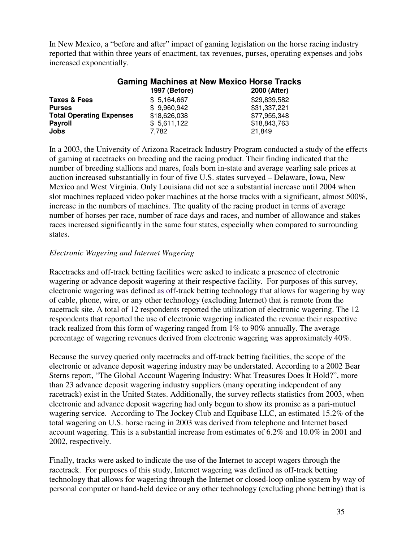In New Mexico, a "before and after" impact of gaming legislation on the horse racing industry reported that within three years of enactment, tax revenues, purses, operating expenses and jobs increased exponentially.

|                                 | <b>Gaming Machines at New Mexico Horse Tracks</b><br>1997 (Before) | 2000 (After) |
|---------------------------------|--------------------------------------------------------------------|--------------|
|                                 |                                                                    |              |
| Taxes & Fees                    | \$5,164,667                                                        | \$29,839,582 |
| <b>Purses</b>                   | \$9,960,942                                                        | \$31,337,221 |
| <b>Total Operating Expenses</b> | \$18,626,038                                                       | \$77,955,348 |
| <b>Payroll</b>                  | \$5,611,122                                                        | \$18,843,763 |
| Jobs                            | 7.782                                                              | 21,849       |

In a 2003, the University of Arizona Racetrack Industry Program conducted a study of the effects of gaming at racetracks on breeding and the racing product. Their finding indicated that the number of breeding stallions and mares, foals born in-state and average yearling sale prices at auction increased substantially in four of five U.S. states surveyed – Delaware, Iowa, New Mexico and West Virginia. Only Louisiana did not see a substantial increase until 2004 when slot machines replaced video poker machines at the horse tracks with a significant, almost 500%, increase in the numbers of machines. The quality of the racing product in terms of average number of horses per race, number of race days and races, and number of allowance and stakes races increased significantly in the same four states, especially when compared to surrounding states.

#### *Electronic Wagering and Internet Wagering*

Racetracks and off-track betting facilities were asked to indicate a presence of electronic wagering or advance deposit wagering at their respective facility. For purposes of this survey, electronic wagering was defined as off-track betting technology that allows for wagering by way of cable, phone, wire, or any other technology (excluding Internet) that is remote from the racetrack site. A total of 12 respondents reported the utilization of electronic wagering. The 12 respondents that reported the use of electronic wagering indicated the revenue their respective track realized from this form of wagering ranged from 1% to 90% annually. The average percentage of wagering revenues derived from electronic wagering was approximately 40%.

Because the survey queried only racetracks and off-track betting facilities, the scope of the electronic or advance deposit wagering industry may be understated. According to a 2002 Bear Sterns report, "The Global Account Wagering Industry: What Treasures Does It Hold?", more than 23 advance deposit wagering industry suppliers (many operating independent of any racetrack) exist in the United States. Additionally, the survey reflects statistics from 2003, when electronic and advance deposit wagering had only begun to show its promise as a pari-mutuel wagering service. According to The Jockey Club and Equibase LLC, an estimated 15.2% of the total wagering on U.S. horse racing in 2003 was derived from telephone and Internet based account wagering. This is a substantial increase from estimates of 6.2% and 10.0% in 2001 and 2002, respectively.

Finally, tracks were asked to indicate the use of the Internet to accept wagers through the racetrack. For purposes of this study, Internet wagering was defined as off-track betting technology that allows for wagering through the Internet or closed-loop online system by way of personal computer or hand-held device or any other technology (excluding phone betting) that is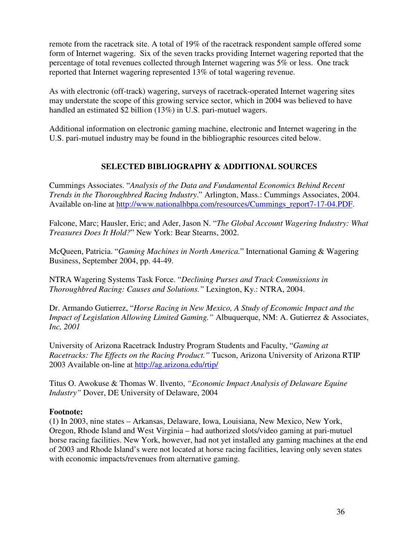remote from the racetrack site. A total of 19% of the racetrack respondent sample offered some form of Internet wagering. Six of the seven tracks providing Internet wagering reported that the percentage of total revenues collected through Internet wagering was 5% or less. One track reported that Internet wagering represented 13% of total wagering revenue.

As with electronic (off-track) wagering, surveys of racetrack-operated Internet wagering sites may understate the scope of this growing service sector, which in 2004 was believed to have handled an estimated \$2 billion (13%) in U.S. pari-mutuel wagers.

Additional information on electronic gaming machine, electronic and Internet wagering in the U.S. pari-mutuel industry may be found in the bibliographic resources cited below.

### **SELECTED BIBLIOGRAPHY & ADDITIONAL SOURCES**

Cummings Associates. "*Analysis of the Data and Fundamental Economics Behind Recent Trends in the Thoroughbred Racing Industry*." Arlington, Mass.: Cummings Associates, 2004. Available on-line at [http://www.nationalhbpa.com/resources/Cummings\\_report7-17-04.PDF.](http://www.nationalhbpa.com/resources/Cummings_report7-17-04.PDF)

Falcone, Marc; Hausler, Eric; and Ader, Jason N. "*The Global Account Wagering Industry: What Treasures Does It Hold?*" New York: Bear Stearns, 2002.

McQueen, Patricia. "*Gaming Machines in North America.*" International Gaming & Wagering Business, September 2004, pp. 44-49.

NTRA Wagering Systems Task Force. "*Declining Purses and Track Commissions in Thoroughbred Racing: Causes and Solutions."* Lexington, Ky.: NTRA, 2004.

Dr. Armando Gutierrez, "*Horse Racing in New Mexico, A Study of Economic Impact and the Impact of Legislation Allowing Limited Gaming."* Albuquerque, NM: A. Gutierrez & Associates, *Inc, 2001*

University of Arizona Racetrack Industry Program Students and Faculty, "*Gaming at Racetracks: The Effects on the Racing Product."* Tucson, Arizona University of Arizona RTIP 2003 Available on-line at <http://ag.arizona.edu/rtip/>

Titus O. Awokuse & Thomas W. Ilvento, *"Economic Impact Analysis of Delaware Equine Industry"* Dover, DE University of Delaware, 2004

### **Footnote:**

(1) In 2003, nine states – Arkansas, Delaware, Iowa, Louisiana, New Mexico, New York, Oregon, Rhode Island and West Virginia – had authorized slots/video gaming at pari-mutuel horse racing facilities. New York, however, had not yet installed any gaming machines at the end of 2003 and Rhode Island's were not located at horse racing facilities, leaving only seven states with economic impacts/revenues from alternative gaming.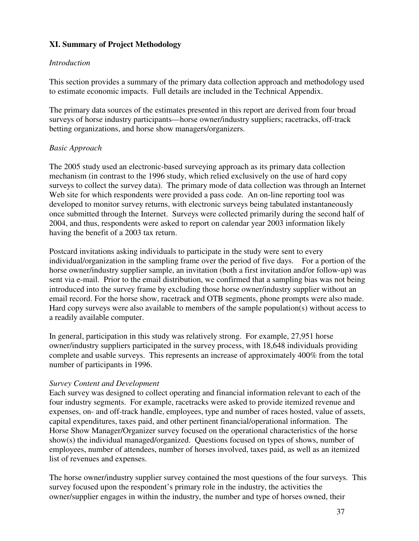### **XI. Summary of Project Methodology**

#### *Introduction*

This section provides a summary of the primary data collection approach and methodology used to estimate economic impacts. Full details are included in the Technical Appendix.

The primary data sources of the estimates presented in this report are derived from four broad surveys of horse industry participants—horse owner/industry suppliers; racetracks, off-track betting organizations, and horse show managers/organizers.

#### *Basic Approach*

The 2005 study used an electronic-based surveying approach as its primary data collection mechanism (in contrast to the 1996 study, which relied exclusively on the use of hard copy surveys to collect the survey data). The primary mode of data collection was through an Internet Web site for which respondents were provided a pass code. An on-line reporting tool was developed to monitor survey returns, with electronic surveys being tabulated instantaneously once submitted through the Internet. Surveys were collected primarily during the second half of 2004, and thus, respondents were asked to report on calendar year 2003 information likely having the benefit of a 2003 tax return.

Postcard invitations asking individuals to participate in the study were sent to every individual/organization in the sampling frame over the period of five days. For a portion of the horse owner/industry supplier sample, an invitation (both a first invitation and/or follow-up) was sent via e-mail. Prior to the email distribution, we confirmed that a sampling bias was not being introduced into the survey frame by excluding those horse owner/industry supplier without an email record. For the horse show, racetrack and OTB segments, phone prompts were also made. Hard copy surveys were also available to members of the sample population(s) without access to a readily available computer.

In general, participation in this study was relatively strong. For example, 27,951 horse owner/industry suppliers participated in the survey process, with 18,648 individuals providing complete and usable surveys. This represents an increase of approximately 400% from the total number of participants in 1996.

#### *Survey Content and Development*

Each survey was designed to collect operating and financial information relevant to each of the four industry segments. For example, racetracks were asked to provide itemized revenue and expenses, on- and off-track handle, employees, type and number of races hosted, value of assets, capital expenditures, taxes paid, and other pertinent financial/operational information. The Horse Show Manager/Organizer survey focused on the operational characteristics of the horse show(s) the individual managed/organized. Questions focused on types of shows, number of employees, number of attendees, number of horses involved, taxes paid, as well as an itemized list of revenues and expenses.

The horse owner/industry supplier survey contained the most questions of the four surveys. This survey focused upon the respondent's primary role in the industry, the activities the owner/supplier engages in within the industry, the number and type of horses owned, their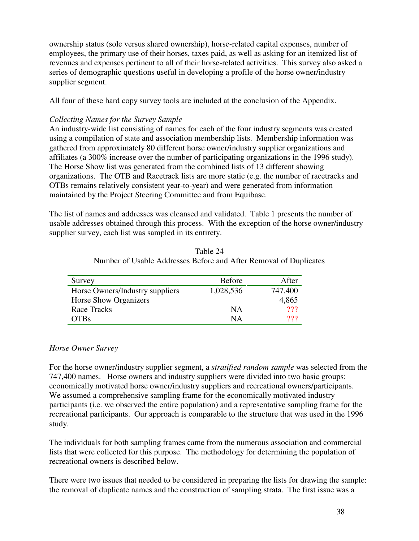ownership status (sole versus shared ownership), horse-related capital expenses, number of employees, the primary use of their horses, taxes paid, as well as asking for an itemized list of revenues and expenses pertinent to all of their horse-related activities. This survey also asked a series of demographic questions useful in developing a profile of the horse owner/industry supplier segment.

All four of these hard copy survey tools are included at the conclusion of the Appendix.

#### *Collecting Names for the Survey Sample*

An industry-wide list consisting of names for each of the four industry segments was created using a compilation of state and association membership lists. Membership information was gathered from approximately 80 different horse owner/industry supplier organizations and affiliates (a 300% increase over the number of participating organizations in the 1996 study). The Horse Show list was generated from the combined lists of 13 different showing organizations. The OTB and Racetrack lists are more static (e.g. the number of racetracks and OTBs remains relatively consistent year-to-year) and were generated from information maintained by the Project Steering Committee and from Equibase.

The list of names and addresses was cleansed and validated. Table 1 presents the number of usable addresses obtained through this process. With the exception of the horse owner/industry supplier survey, each list was sampled in its entirety.

| Tulliber of Osabic Addresses Defore and After Kennoval of Duplica |               |         |
|-------------------------------------------------------------------|---------------|---------|
| Survey                                                            | <b>Before</b> | After   |
| Horse Owners/Industry suppliers                                   | 1,028,536     | 747,400 |

Horse Show Organizers 4,865 Race Tracks NA 2?? OTBs NA ???

| Table 24                                                          |  |
|-------------------------------------------------------------------|--|
| Number of Usable Addresses Before and After Removal of Duplicates |  |

#### *Horse Owner Survey*

For the horse owner/industry supplier segment, a *stratified random sample* was selected from the 747,400 names. Horse owners and industry suppliers were divided into two basic groups: economically motivated horse owner/industry suppliers and recreational owners/participants. We assumed a comprehensive sampling frame for the economically motivated industry participants (i.e. we observed the entire population) and a representative sampling frame for the recreational participants. Our approach is comparable to the structure that was used in the 1996 study.

The individuals for both sampling frames came from the numerous association and commercial lists that were collected for this purpose. The methodology for determining the population of recreational owners is described below.

There were two issues that needed to be considered in preparing the lists for drawing the sample: the removal of duplicate names and the construction of sampling strata. The first issue was a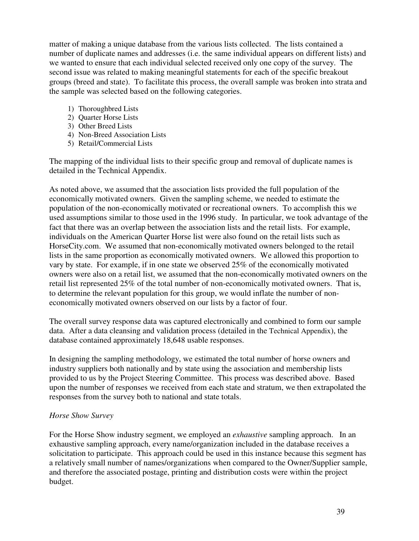matter of making a unique database from the various lists collected. The lists contained a number of duplicate names and addresses (i.e. the same individual appears on different lists) and we wanted to ensure that each individual selected received only one copy of the survey. The second issue was related to making meaningful statements for each of the specific breakout groups (breed and state). To facilitate this process, the overall sample was broken into strata and the sample was selected based on the following categories.

- 1) Thoroughbred Lists
- 2) Quarter Horse Lists
- 3) Other Breed Lists
- 4) Non-Breed Association Lists
- 5) Retail/Commercial Lists

The mapping of the individual lists to their specific group and removal of duplicate names is detailed in the Technical Appendix.

As noted above, we assumed that the association lists provided the full population of the economically motivated owners. Given the sampling scheme, we needed to estimate the population of the non-economically motivated or recreational owners. To accomplish this we used assumptions similar to those used in the 1996 study. In particular, we took advantage of the fact that there was an overlap between the association lists and the retail lists. For example, individuals on the American Quarter Horse list were also found on the retail lists such as HorseCity.com. We assumed that non-economically motivated owners belonged to the retail lists in the same proportion as economically motivated owners. We allowed this proportion to vary by state. For example, if in one state we observed 25% of the economically motivated owners were also on a retail list, we assumed that the non-economically motivated owners on the retail list represented 25% of the total number of non-economically motivated owners. That is, to determine the relevant population for this group, we would inflate the number of noneconomically motivated owners observed on our lists by a factor of four.

The overall survey response data was captured electronically and combined to form our sample data. After a data cleansing and validation process (detailed in the Technical Appendix), the database contained approximately 18,648 usable responses.

In designing the sampling methodology, we estimated the total number of horse owners and industry suppliers both nationally and by state using the association and membership lists provided to us by the Project Steering Committee. This process was described above. Based upon the number of responses we received from each state and stratum, we then extrapolated the responses from the survey both to national and state totals.

### *Horse Show Survey*

For the Horse Show industry segment, we employed an *exhaustive* sampling approach. In an exhaustive sampling approach, every name/organization included in the database receives a solicitation to participate. This approach could be used in this instance because this segment has a relatively small number of names/organizations when compared to the Owner/Supplier sample, and therefore the associated postage, printing and distribution costs were within the project budget.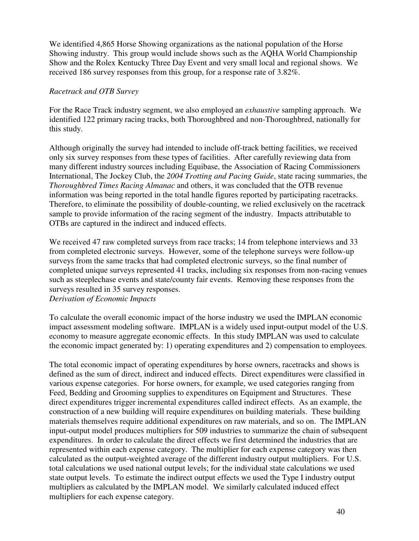We identified 4,865 Horse Showing organizations as the national population of the Horse Showing industry. This group would include shows such as the AQHA World Championship Show and the Rolex Kentucky Three Day Event and very small local and regional shows. We received 186 survey responses from this group, for a response rate of 3.82%.

#### *Racetrack and OTB Survey*

For the Race Track industry segment, we also employed an *exhaustive* sampling approach. We identified 122 primary racing tracks, both Thoroughbred and non-Thoroughbred, nationally for this study.

Although originally the survey had intended to include off-track betting facilities, we received only six survey responses from these types of facilities. After carefully reviewing data from many different industry sources including Equibase, the Association of Racing Commissioners International, The Jockey Club, the *2004 Trotting and Pacing Guide*, state racing summaries, the *Thoroughbred Times Racing Almanac* and others, it was concluded that the OTB revenue information was being reported in the total handle figures reported by participating racetracks. Therefore, to eliminate the possibility of double-counting, we relied exclusively on the racetrack sample to provide information of the racing segment of the industry. Impacts attributable to OTBs are captured in the indirect and induced effects.

We received 47 raw completed surveys from race tracks; 14 from telephone interviews and 33 from completed electronic surveys. However, some of the telephone surveys were follow-up surveys from the same tracks that had completed electronic surveys, so the final number of completed unique surveys represented 41 tracks, including six responses from non-racing venues such as steeplechase events and state/county fair events. Removing these responses from the surveys resulted in 35 survey responses.

*Derivation of Economic Impacts*

To calculate the overall economic impact of the horse industry we used the IMPLAN economic impact assessment modeling software. IMPLAN is a widely used input-output model of the U.S. economy to measure aggregate economic effects. In this study IMPLAN was used to calculate the economic impact generated by: 1) operating expenditures and 2) compensation to employees.

The total economic impact of operating expenditures by horse owners, racetracks and shows is defined as the sum of direct, indirect and induced effects. Direct expenditures were classified in various expense categories. For horse owners, for example, we used categories ranging from Feed, Bedding and Grooming supplies to expenditures on Equipment and Structures. These direct expenditures trigger incremental expenditures called indirect effects. As an example, the construction of a new building will require expenditures on building materials. These building materials themselves require additional expenditures on raw materials, and so on. The IMPLAN input-output model produces multipliers for 509 industries to summarize the chain of subsequent expenditures. In order to calculate the direct effects we first determined the industries that are represented within each expense category. The multiplier for each expense category was then calculated as the output-weighted average of the different industry output multipliers. For U.S. total calculations we used national output levels; for the individual state calculations we used state output levels. To estimate the indirect output effects we used the Type I industry output multipliers as calculated by the IMPLAN model. We similarly calculated induced effect multipliers for each expense category.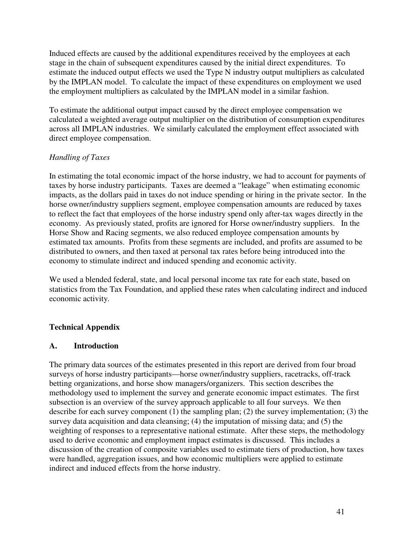Induced effects are caused by the additional expenditures received by the employees at each stage in the chain of subsequent expenditures caused by the initial direct expenditures. To estimate the induced output effects we used the Type N industry output multipliers as calculated by the IMPLAN model. To calculate the impact of these expenditures on employment we used the employment multipliers as calculated by the IMPLAN model in a similar fashion.

To estimate the additional output impact caused by the direct employee compensation we calculated a weighted average output multiplier on the distribution of consumption expenditures across all IMPLAN industries. We similarly calculated the employment effect associated with direct employee compensation.

### *Handling of Taxes*

In estimating the total economic impact of the horse industry, we had to account for payments of taxes by horse industry participants. Taxes are deemed a "leakage" when estimating economic impacts, as the dollars paid in taxes do not induce spending or hiring in the private sector. In the horse owner/industry suppliers segment, employee compensation amounts are reduced by taxes to reflect the fact that employees of the horse industry spend only after-tax wages directly in the economy. As previously stated, profits are ignored for Horse owner/industry suppliers. In the Horse Show and Racing segments, we also reduced employee compensation amounts by estimated tax amounts. Profits from these segments are included, and profits are assumed to be distributed to owners, and then taxed at personal tax rates before being introduced into the economy to stimulate indirect and induced spending and economic activity.

We used a blended federal, state, and local personal income tax rate for each state, based on statistics from the Tax Foundation, and applied these rates when calculating indirect and induced economic activity.

## **Technical Appendix**

### **A. Introduction**

The primary data sources of the estimates presented in this report are derived from four broad surveys of horse industry participants—horse owner/industry suppliers, racetracks, off-track betting organizations, and horse show managers/organizers. This section describes the methodology used to implement the survey and generate economic impact estimates. The first subsection is an overview of the survey approach applicable to all four surveys. We then describe for each survey component (1) the sampling plan; (2) the survey implementation; (3) the survey data acquisition and data cleansing; (4) the imputation of missing data; and (5) the weighting of responses to a representative national estimate. After these steps, the methodology used to derive economic and employment impact estimates is discussed. This includes a discussion of the creation of composite variables used to estimate tiers of production, how taxes were handled, aggregation issues, and how economic multipliers were applied to estimate indirect and induced effects from the horse industry.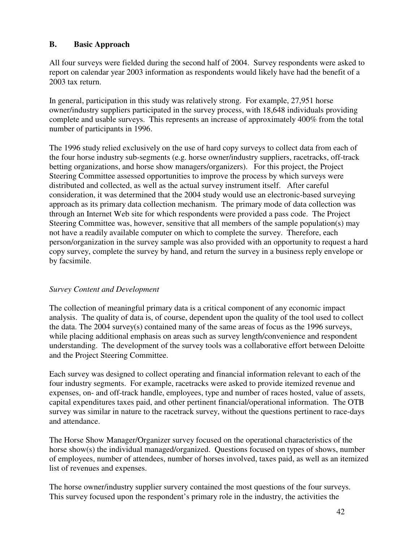### **B. Basic Approach**

All four surveys were fielded during the second half of 2004. Survey respondents were asked to report on calendar year 2003 information as respondents would likely have had the benefit of a 2003 tax return.

In general, participation in this study was relatively strong. For example, 27,951 horse owner/industry suppliers participated in the survey process, with 18,648 individuals providing complete and usable surveys. This represents an increase of approximately 400% from the total number of participants in 1996.

The 1996 study relied exclusively on the use of hard copy surveys to collect data from each of the four horse industry sub-segments (e.g. horse owner/industry suppliers, racetracks, off-track betting organizations, and horse show managers/organizers). For this project, the Project Steering Committee assessed opportunities to improve the process by which surveys were distributed and collected, as well as the actual survey instrument itself. After careful consideration, it was determined that the 2004 study would use an electronic-based surveying approach as its primary data collection mechanism. The primary mode of data collection was through an Internet Web site for which respondents were provided a pass code. The Project Steering Committee was, however, sensitive that all members of the sample population(s) may not have a readily available computer on which to complete the survey. Therefore, each person/organization in the survey sample was also provided with an opportunity to request a hard copy survey, complete the survey by hand, and return the survey in a business reply envelope or by facsimile.

### *Survey Content and Development*

The collection of meaningful primary data is a critical component of any economic impact analysis. The quality of data is, of course, dependent upon the quality of the tool used to collect the data. The 2004 survey(s) contained many of the same areas of focus as the 1996 surveys, while placing additional emphasis on areas such as survey length/convenience and respondent understanding. The development of the survey tools was a collaborative effort between Deloitte and the Project Steering Committee.

Each survey was designed to collect operating and financial information relevant to each of the four industry segments. For example, racetracks were asked to provide itemized revenue and expenses, on- and off-track handle, employees, type and number of races hosted, value of assets, capital expenditures taxes paid, and other pertinent financial/operational information. The OTB survey was similar in nature to the racetrack survey, without the questions pertinent to race-days and attendance.

The Horse Show Manager/Organizer survey focused on the operational characteristics of the horse show(s) the individual managed/organized. Questions focused on types of shows, number of employees, number of attendees, number of horses involved, taxes paid, as well as an itemized list of revenues and expenses.

The horse owner/industry supplier survery contained the most questions of the four surveys. This survey focused upon the respondent's primary role in the industry, the activities the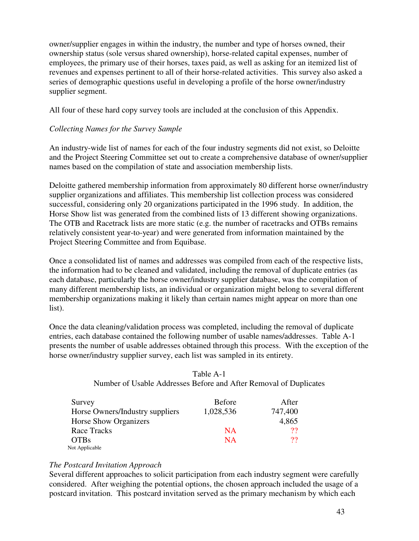owner/supplier engages in within the industry, the number and type of horses owned, their ownership status (sole versus shared ownership), horse-related capital expenses, number of employees, the primary use of their horses, taxes paid, as well as asking for an itemized list of revenues and expenses pertinent to all of their horse-related activities. This survey also asked a series of demographic questions useful in developing a profile of the horse owner/industry supplier segment.

All four of these hard copy survey tools are included at the conclusion of this Appendix.

### *Collecting Names for the Survey Sample*

An industry-wide list of names for each of the four industry segments did not exist, so Deloitte and the Project Steering Committee set out to create a comprehensive database of owner/supplier names based on the compilation of state and association membership lists.

Deloitte gathered membership information from approximately 80 different horse owner/industry supplier organizations and affiliates. This membership list collection process was considered successful, considering only 20 organizations participated in the 1996 study. In addition, the Horse Show list was generated from the combined lists of 13 different showing organizations. The OTB and Racetrack lists are more static (e.g. the number of racetracks and OTBs remains relatively consistent year-to-year) and were generated from information maintained by the Project Steering Committee and from Equibase.

Once a consolidated list of names and addresses was compiled from each of the respective lists, the information had to be cleaned and validated, including the removal of duplicate entries (as each database, particularly the horse owner/industry supplier database, was the compilation of many different membership lists, an individual or organization might belong to several different membership organizations making it likely than certain names might appear on more than one list).

Once the data cleaning/validation process was completed, including the removal of duplicate entries, each database contained the following number of usable names/addresses. Table A-1 presents the number of usable addresses obtained through this process. With the exception of the horse owner/industry supplier survey, each list was sampled in its entirety.

| Table A-1                                                         |
|-------------------------------------------------------------------|
| Number of Usable Addresses Before and After Removal of Duplicates |

| Survey                          | <b>Before</b> | After   |
|---------------------------------|---------------|---------|
| Horse Owners/Industry suppliers | 1,028,536     | 747,400 |
| <b>Horse Show Organizers</b>    |               | 4,865   |
| Race Tracks                     | <b>NA</b>     | 22      |
| <b>OTBs</b>                     | <b>NA</b>     | ??      |
| Not Applicable                  |               |         |

#### *The Postcard Invitation Approach*

Several different approaches to solicit participation from each industry segment were carefully considered. After weighing the potential options, the chosen approach included the usage of a postcard invitation. This postcard invitation served as the primary mechanism by which each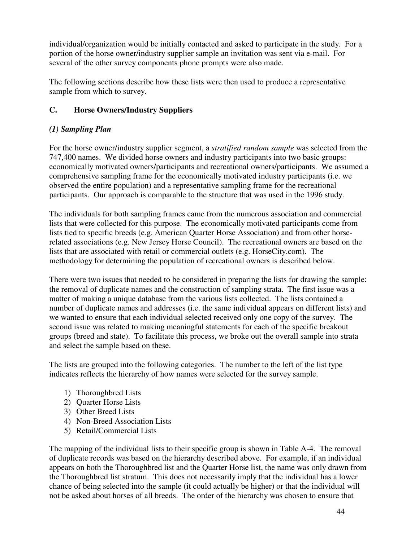individual/organization would be initially contacted and asked to participate in the study. For a portion of the horse owner/industry supplier sample an invitation was sent via e-mail. For several of the other survey components phone prompts were also made.

The following sections describe how these lists were then used to produce a representative sample from which to survey.

### **C. Horse Owners/Industry Suppliers**

### *(1) Sampling Plan*

For the horse owner/industry supplier segment, a *stratified random sample* was selected from the 747,400 names. We divided horse owners and industry participants into two basic groups: economically motivated owners/participants and recreational owners/participants. We assumed a comprehensive sampling frame for the economically motivated industry participants (i.e. we observed the entire population) and a representative sampling frame for the recreational participants. Our approach is comparable to the structure that was used in the 1996 study.

The individuals for both sampling frames came from the numerous association and commercial lists that were collected for this purpose. The economically motivated participants come from lists tied to specific breeds (e.g. American Quarter Horse Association) and from other horserelated associations (e.g. New Jersey Horse Council). The recreational owners are based on the lists that are associated with retail or commercial outlets (e.g. HorseCity.com). The methodology for determining the population of recreational owners is described below.

There were two issues that needed to be considered in preparing the lists for drawing the sample: the removal of duplicate names and the construction of sampling strata. The first issue was a matter of making a unique database from the various lists collected. The lists contained a number of duplicate names and addresses (i.e. the same individual appears on different lists) and we wanted to ensure that each individual selected received only one copy of the survey. The second issue was related to making meaningful statements for each of the specific breakout groups (breed and state). To facilitate this process, we broke out the overall sample into strata and select the sample based on these.

The lists are grouped into the following categories. The number to the left of the list type indicates reflects the hierarchy of how names were selected for the survey sample.

- 1) Thoroughbred Lists
- 2) Quarter Horse Lists
- 3) Other Breed Lists
- 4) Non-Breed Association Lists
- 5) Retail/Commercial Lists

The mapping of the individual lists to their specific group is shown in Table A-4. The removal of duplicate records was based on the hierarchy described above. For example, if an individual appears on both the Thoroughbred list and the Quarter Horse list, the name was only drawn from the Thoroughbred list stratum. This does not necessarily imply that the individual has a lower chance of being selected into the sample (it could actually be higher) or that the individual will not be asked about horses of all breeds. The order of the hierarchy was chosen to ensure that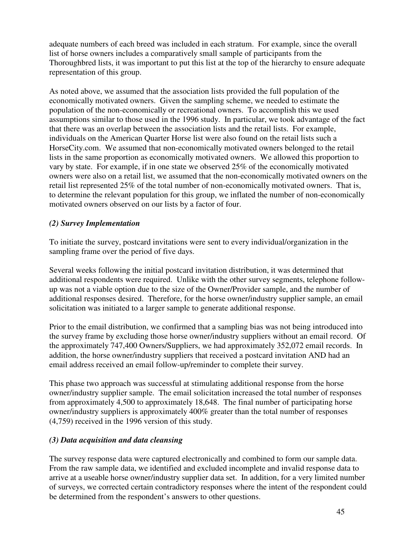adequate numbers of each breed was included in each stratum. For example, since the overall list of horse owners includes a comparatively small sample of participants from the Thoroughbred lists, it was important to put this list at the top of the hierarchy to ensure adequate representation of this group.

As noted above, we assumed that the association lists provided the full population of the economically motivated owners. Given the sampling scheme, we needed to estimate the population of the non-economically or recreational owners. To accomplish this we used assumptions similar to those used in the 1996 study. In particular, we took advantage of the fact that there was an overlap between the association lists and the retail lists. For example, individuals on the American Quarter Horse list were also found on the retail lists such a HorseCity.com. We assumed that non-economically motivated owners belonged to the retail lists in the same proportion as economically motivated owners. We allowed this proportion to vary by state. For example, if in one state we observed 25% of the economically motivated owners were also on a retail list, we assumed that the non-economically motivated owners on the retail list represented 25% of the total number of non-economically motivated owners. That is, to determine the relevant population for this group, we inflated the number of non-economically motivated owners observed on our lists by a factor of four.

### *(2) Survey Implementation*

To initiate the survey, postcard invitations were sent to every individual/organization in the sampling frame over the period of five days.

Several weeks following the initial postcard invitation distribution, it was determined that additional respondents were required. Unlike with the other survey segments, telephone followup was not a viable option due to the size of the Owner/Provider sample, and the number of additional responses desired. Therefore, for the horse owner/industry supplier sample, an email solicitation was initiated to a larger sample to generate additional response.

Prior to the email distribution, we confirmed that a sampling bias was not being introduced into the survey frame by excluding those horse owner/industry suppliers without an email record. Of the approximately 747,400 Owners/Suppliers, we had approximately 352,072 email records. In addition, the horse owner/industry suppliers that received a postcard invitation AND had an email address received an email follow-up/reminder to complete their survey.

This phase two approach was successful at stimulating additional response from the horse owner/industry supplier sample. The email solicitation increased the total number of responses from approximately 4,500 to approximately 18,648. The final number of participating horse owner/industry suppliers is approximately 400% greater than the total number of responses (4,759) received in the 1996 version of this study.

## *(3) Data acquisition and data cleansing*

The survey response data were captured electronically and combined to form our sample data. From the raw sample data, we identified and excluded incomplete and invalid response data to arrive at a useable horse owner/industry supplier data set. In addition, for a very limited number of surveys, we corrected certain contradictory responses where the intent of the respondent could be determined from the respondent's answers to other questions.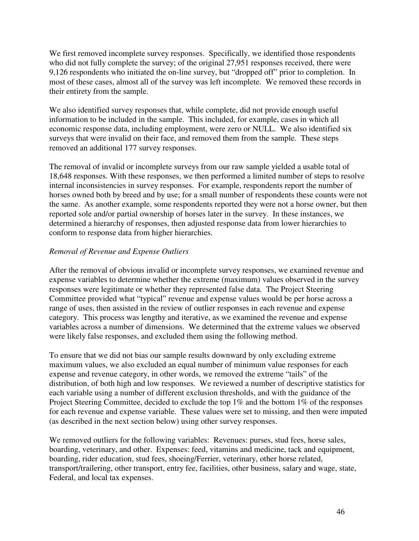We first removed incomplete survey responses. Specifically, we identified those respondents who did not fully complete the survey; of the original 27,951 responses received, there were 9,126 respondents who initiated the on-line survey, but "dropped off" prior to completion. In most of these cases, almost all of the survey was left incomplete. We removed these records in their entirety from the sample.

We also identified survey responses that, while complete, did not provide enough useful information to be included in the sample. This included, for example, cases in which all economic response data, including employment, were zero or NULL. We also identified six surveys that were invalid on their face, and removed them from the sample. These steps removed an additional 177 survey responses.

The removal of invalid or incomplete surveys from our raw sample yielded a usable total of 18,648 responses. With these responses, we then performed a limited number of steps to resolve internal inconsistencies in survey responses. For example, respondents report the number of horses owned both by breed and by use; for a small number of respondents these counts were not the same. As another example, some respondents reported they were not a horse owner, but then reported sole and/or partial ownership of horses later in the survey. In these instances, we determined a hierarchy of responses, then adjusted response data from lower hierarchies to conform to response data from higher hierarchies.

### *Removal of Revenue and Expense Outliers*

After the removal of obvious invalid or incomplete survey responses, we examined revenue and expense variables to determine whether the extreme (maximum) values observed in the survey responses were legitimate or whether they represented false data. The Project Steering Committee provided what "typical" revenue and expense values would be per horse across a range of uses, then assisted in the review of outlier responses in each revenue and expense category. This process was lengthy and iterative, as we examined the revenue and expense variables across a number of dimensions. We determined that the extreme values we observed were likely false responses, and excluded them using the following method.

To ensure that we did not bias our sample results downward by only excluding extreme maximum values, we also excluded an equal number of minimum value responses for each expense and revenue category, in other words, we removed the extreme "tails" of the distribution, of both high and low responses. We reviewed a number of descriptive statistics for each variable using a number of different exclusion thresholds, and with the guidance of the Project Steering Committee, decided to exclude the top 1% and the bottom 1% of the responses for each revenue and expense variable. These values were set to missing, and then were imputed (as described in the next section below) using other survey responses.

We removed outliers for the following variables: Revenues: purses, stud fees, horse sales, boarding, veterinary, and other. Expenses: feed, vitamins and medicine, tack and equipment, boarding, rider education, stud fees, shoeing/Ferrier, veterinary, other horse related, transport/trailering, other transport, entry fee, facilities, other business, salary and wage, state, Federal, and local tax expenses.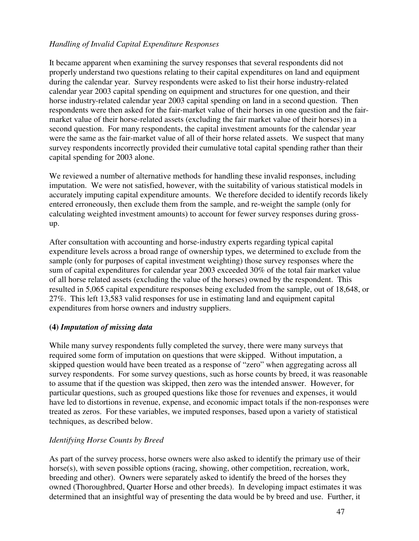#### *Handling of Invalid Capital Expenditure Responses*

It became apparent when examining the survey responses that several respondents did not properly understand two questions relating to their capital expenditures on land and equipment during the calendar year. Survey respondents were asked to list their horse industry-related calendar year 2003 capital spending on equipment and structures for one question, and their horse industry-related calendar year 2003 capital spending on land in a second question. Then respondents were then asked for the fair-market value of their horses in one question and the fairmarket value of their horse-related assets (excluding the fair market value of their horses) in a second question. For many respondents, the capital investment amounts for the calendar year were the same as the fair-market value of all of their horse related assets. We suspect that many survey respondents incorrectly provided their cumulative total capital spending rather than their capital spending for 2003 alone.

We reviewed a number of alternative methods for handling these invalid responses, including imputation. We were not satisfied, however, with the suitability of various statistical models in accurately imputing capital expenditure amounts. We therefore decided to identify records likely entered erroneously, then exclude them from the sample, and re-weight the sample (only for calculating weighted investment amounts) to account for fewer survey responses during grossup.

After consultation with accounting and horse-industry experts regarding typical capital expenditure levels across a broad range of ownership types, we determined to exclude from the sample (only for purposes of capital investment weighting) those survey responses where the sum of capital expenditures for calendar year 2003 exceeded 30% of the total fair market value of all horse related assets (excluding the value of the horses) owned by the respondent. This resulted in 5,065 capital expenditure responses being excluded from the sample, out of 18,648, or 27%. This left 13,583 valid responses for use in estimating land and equipment capital expenditures from horse owners and industry suppliers.

### **(4)** *Imputation of missing data*

While many survey respondents fully completed the survey, there were many surveys that required some form of imputation on questions that were skipped. Without imputation, a skipped question would have been treated as a response of "zero" when aggregating across all survey respondents. For some survey questions, such as horse counts by breed, it was reasonable to assume that if the question was skipped, then zero was the intended answer. However, for particular questions, such as grouped questions like those for revenues and expenses, it would have led to distortions in revenue, expense, and economic impact totals if the non-responses were treated as zeros. For these variables, we imputed responses, based upon a variety of statistical techniques, as described below.

### *Identifying Horse Counts by Breed*

As part of the survey process, horse owners were also asked to identify the primary use of their horse(s), with seven possible options (racing, showing, other competition, recreation, work, breeding and other). Owners were separately asked to identify the breed of the horses they owned (Thoroughbred, Quarter Horse and other breeds). In developing impact estimates it was determined that an insightful way of presenting the data would be by breed and use. Further, it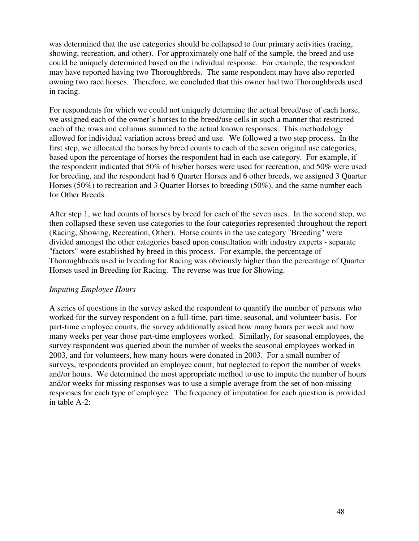was determined that the use categories should be collapsed to four primary activities (racing, showing, recreation, and other). For approximately one half of the sample, the breed and use could be uniquely determined based on the individual response. For example, the respondent may have reported having two Thoroughbreds. The same respondent may have also reported owning two race horses. Therefore, we concluded that this owner had two Thoroughbreds used in racing.

For respondents for which we could not uniquely determine the actual breed/use of each horse, we assigned each of the owner's horses to the breed/use cells in such a manner that restricted each of the rows and columns summed to the actual known responses. This methodology allowed for individual variation across breed and use. We followed a two step process. In the first step, we allocated the horses by breed counts to each of the seven original use categories, based upon the percentage of horses the respondent had in each use category. For example, if the respondent indicated that 50% of his/her horses were used for recreation, and 50% were used for breeding, and the respondent had 6 Quarter Horses and 6 other breeds, we assigned 3 Quarter Horses (50%) to recreation and 3 Quarter Horses to breeding (50%), and the same number each for Other Breeds.

After step 1, we had counts of horses by breed for each of the seven uses. In the second step, we then collapsed these seven use categories to the four categories represented throughout the report (Racing, Showing, Recreation, Other). Horse counts in the use category "Breeding" were divided amongst the other categories based upon consultation with industry experts - separate "factors" were established by breed in this process. For example, the percentage of Thoroughbreds used in breeding for Racing was obviously higher than the percentage of Quarter Horses used in Breeding for Racing. The reverse was true for Showing.

#### *Imputing Employee Hours*

A series of questions in the survey asked the respondent to quantify the number of persons who worked for the survey respondent on a full-time, part-time, seasonal, and volunteer basis. For part-time employee counts, the survey additionally asked how many hours per week and how many weeks per year those part-time employees worked. Similarly, for seasonal employees, the survey respondent was queried about the number of weeks the seasonal employees worked in 2003, and for volunteers, how many hours were donated in 2003. For a small number of surveys, respondents provided an employee count, but neglected to report the number of weeks and/or hours. We determined the most appropriate method to use to impute the number of hours and/or weeks for missing responses was to use a simple average from the set of non-missing responses for each type of employee. The frequency of imputation for each question is provided in table A-2: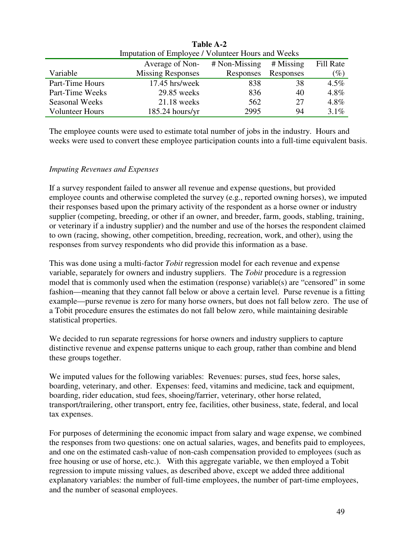|                        | Imputation of Employee / Volunteer Hours and Weeks |                 |           |           |  |
|------------------------|----------------------------------------------------|-----------------|-----------|-----------|--|
|                        | Average of Non-                                    | $#$ Non-Missing | # Missing | Fill Rate |  |
| Variable               | <b>Missing Responses</b>                           | Responses       | Responses | $(\%)$    |  |
| Part-Time Hours        | $17.45$ hrs/week                                   | 838             | 38        | $4.5\%$   |  |
| Part-Time Weeks        | 29.85 weeks                                        | 836             | 40        | 4.8%      |  |
| <b>Seasonal Weeks</b>  | $21.18$ weeks                                      | 562             | 27        | 4.8%      |  |
| <b>Volunteer Hours</b> | $185.24$ hours/yr                                  | 2995            | 94        | $3.1\%$   |  |

**Table A-2**

The employee counts were used to estimate total number of jobs in the industry. Hours and weeks were used to convert these employee participation counts into a full-time equivalent basis.

### *Imputing Revenues and Expenses*

If a survey respondent failed to answer all revenue and expense questions, but provided employee counts and otherwise completed the survey (e.g., reported owning horses), we imputed their responses based upon the primary activity of the respondent as a horse owner or industry supplier (competing, breeding, or other if an owner, and breeder, farm, goods, stabling, training, or veterinary if a industry supplier) and the number and use of the horses the respondent claimed to own (racing, showing, other competition, breeding, recreation, work, and other), using the responses from survey respondents who did provide this information as a base.

This was done using a multi-factor *Tobit* regression model for each revenue and expense variable, separately for owners and industry suppliers. The *Tobit* procedure is a regression model that is commonly used when the estimation (response) variable(s) are "censored" in some fashion—meaning that they cannot fall below or above a certain level. Purse revenue is a fitting example—purse revenue is zero for many horse owners, but does not fall below zero. The use of a Tobit procedure ensures the estimates do not fall below zero, while maintaining desirable statistical properties.

We decided to run separate regressions for horse owners and industry suppliers to capture distinctive revenue and expense patterns unique to each group, rather than combine and blend these groups together.

We imputed values for the following variables: Revenues: purses, stud fees, horse sales, boarding, veterinary, and other. Expenses: feed, vitamins and medicine, tack and equipment, boarding, rider education, stud fees, shoeing/farrier, veterinary, other horse related, transport/trailering, other transport, entry fee, facilities, other business, state, federal, and local tax expenses.

For purposes of determining the economic impact from salary and wage expense, we combined the responses from two questions: one on actual salaries, wages, and benefits paid to employees, and one on the estimated cash-value of non-cash compensation provided to employees (such as free housing or use of horse, etc.). With this aggregate variable, we then employed a Tobit regression to impute missing values, as described above, except we added three additional explanatory variables: the number of full-time employees, the number of part-time employees, and the number of seasonal employees.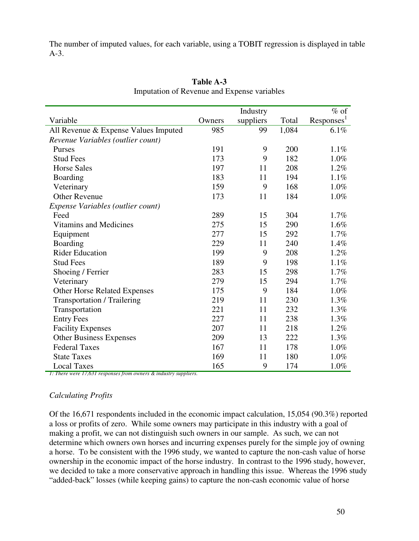The number of imputed values, for each variable, using a TOBIT regression is displayed in table A-3.

|                                      |        | Industry  |       | $%$ of                 |
|--------------------------------------|--------|-----------|-------|------------------------|
| Variable                             | Owners | suppliers | Total | Responses <sup>1</sup> |
| All Revenue & Expense Values Imputed | 985    | 99        | 1,084 | 6.1%                   |
| Revenue Variables (outlier count)    |        |           |       |                        |
| Purses                               | 191    | 9         | 200   | 1.1%                   |
| <b>Stud Fees</b>                     | 173    | 9         | 182   | 1.0%                   |
| <b>Horse Sales</b>                   | 197    | 11        | 208   | 1.2%                   |
| <b>Boarding</b>                      | 183    | 11        | 194   | 1.1%                   |
| Veterinary                           | 159    | 9         | 168   | 1.0%                   |
| <b>Other Revenue</b>                 | 173    | 11        | 184   | 1.0%                   |
| Expense Variables (outlier count)    |        |           |       |                        |
| Feed                                 | 289    | 15        | 304   | 1.7%                   |
| <b>Vitamins and Medicines</b>        | 275    | 15        | 290   | 1.6%                   |
| Equipment                            | 277    | 15        | 292   | 1.7%                   |
| <b>Boarding</b>                      | 229    | 11        | 240   | 1.4%                   |
| <b>Rider Education</b>               | 199    | 9         | 208   | 1.2%                   |
| <b>Stud Fees</b>                     | 189    | 9         | 198   | 1.1%                   |
| Shoeing / Ferrier                    | 283    | 15        | 298   | 1.7%                   |
| Veterinary                           | 279    | 15        | 294   | 1.7%                   |
| <b>Other Horse Related Expenses</b>  | 175    | 9         | 184   | 1.0%                   |
| <b>Transportation / Trailering</b>   | 219    | 11        | 230   | 1.3%                   |
| Transportation                       | 221    | 11        | 232   | 1.3%                   |
| <b>Entry Fees</b>                    | 227    | 11        | 238   | 1.3%                   |
| <b>Facility Expenses</b>             | 207    | 11        | 218   | 1.2%                   |
| <b>Other Business Expenses</b>       | 209    | 13        | 222   | 1.3%                   |
| <b>Federal Taxes</b>                 | 167    | 11        | 178   | 1.0%                   |
| <b>State Taxes</b>                   | 169    | 11        | 180   | 1.0%                   |
| <b>Local Taxes</b>                   | 165    | 9         | 174   | 1.0%                   |

**Table A-3** Imputation of Revenue and Expense variables

*1: There were 17,631 responses from owners & industry suppliers.*

#### *Calculating Profits*

Of the 16,671 respondents included in the economic impact calculation, 15,054 (90.3%) reported a loss or profits of zero. While some owners may participate in this industry with a goal of making a profit, we can not distinguish such owners in our sample. As such, we can not determine which owners own horses and incurring expenses purely for the simple joy of owning a horse. To be consistent with the 1996 study, we wanted to capture the non-cash value of horse ownership in the economic impact of the horse industry. In contrast to the 1996 study, however, we decided to take a more conservative approach in handling this issue. Whereas the 1996 study "added-back" losses (while keeping gains) to capture the non-cash economic value of horse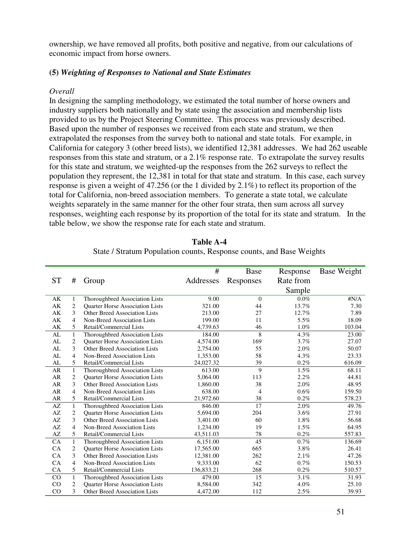ownership, we have removed all profits, both positive and negative, from our calculations of economic impact from horse owners.

#### **(5)** *Weighting of Responses to National and State Estimates*

#### *Overall*

In designing the sampling methodology, we estimated the total number of horse owners and industry suppliers both nationally and by state using the association and membership lists provided to us by the Project Steering Committee. This process was previously described. Based upon the number of responses we received from each state and stratum, we then extrapolated the responses from the survey both to national and state totals. For example, in California for category 3 (other breed lists), we identified 12,381 addresses. We had 262 useable responses from this state and stratum, or a 2.1% response rate. To extrapolate the survey results for this state and stratum, we weighted-up the responses from the 262 surveys to reflect the population they represent, the 12,381 in total for that state and stratum. In this case, each survey response is given a weight of 47.256 (or the 1 divided by 2.1%) to reflect its proportion of the total for California, non-breed association members. To generate a state total, we calculate weights separately in the same manner for the other four strata, then sum across all survey responses, weighting each response by its proportion of the total for its state and stratum. In the table below, we show the response rate for each state and stratum.

|           |                |                                        | #          | <b>Base</b>    | Response  | Base Weight  |
|-----------|----------------|----------------------------------------|------------|----------------|-----------|--------------|
| <b>ST</b> | #              | Group                                  | Addresses  | Responses      | Rate from |              |
|           |                |                                        |            |                | Sample    |              |
|           |                |                                        |            |                |           |              |
| АK        | 1              | Thoroughbred Association Lists         | 9.00       | $\mathbf{0}$   | $0.0\%$   | $\sharp N/A$ |
| AK        | 2              | Quarter Horse Association Lists        | 321.00     | 44             | 13.7%     | 7.30         |
| AK        | 3              | <b>Other Breed Association Lists</b>   | 213.00     | 27             | 12.7%     | 7.89         |
| AK        | 4              | Non-Breed Association Lists            | 199.00     | 11             | 5.5%      | 18.09        |
| AK        | 5              | Retail/Commercial Lists                | 4,739.63   | 46             | 1.0%      | 103.04       |
| AL        | $\mathbf{1}$   | Thoroughbred Association Lists         | 184.00     | 8              | 4.3%      | 23.00        |
| AL        | $\overline{2}$ | Quarter Horse Association Lists        | 4,574.00   | 169            | 3.7%      | 27.07        |
| AL        | 3              | <b>Other Breed Association Lists</b>   | 2,754.00   | 55             | 2.0%      | 50.07        |
| AL        | 4              | Non-Breed Association Lists            | 1,353.00   | 58             | 4.3%      | 23.33        |
| AL        | 5              | Retail/Commercial Lists                | 24,027.32  | 39             | 0.2%      | 616.09       |
| <b>AR</b> | $\mathbf{1}$   | Thoroughbred Association Lists         | 613.00     | 9              | 1.5%      | 68.11        |
| <b>AR</b> | $\overline{c}$ | <b>Ouarter Horse Association Lists</b> | 5,064.00   | 113            | 2.2%      | 44.81        |
| <b>AR</b> | 3              | <b>Other Breed Association Lists</b>   | 1,860.00   | 38             | 2.0%      | 48.95        |
| <b>AR</b> | $\overline{4}$ | Non-Breed Association Lists            | 638.00     | $\overline{4}$ | 0.6%      | 159.50       |
| AR        | 5              | Retail/Commercial Lists                | 21,972.60  | 38             | 0.2%      | 578.23       |
| AZ        | $\mathbf{1}$   | Thoroughbred Association Lists         | 846.00     | 17             | 2.0%      | 49.76        |
| AZ        | 2              | <b>Quarter Horse Association Lists</b> | 5,694.00   | 204            | 3.6%      | 27.91        |
| AZ        | 3              | Other Breed Association Lists          | 3,401.00   | 60             | 1.8%      | 56.68        |
| AZ        | 4              | Non-Breed Association Lists            | 1,234.00   | 19             | 1.5%      | 64.95        |
| AZ        | 5              | Retail/Commercial Lists                | 43,511.03  | 78             | 0.2%      | 557.83       |
| <b>CA</b> | $\mathbf{1}$   | Thoroughbred Association Lists         | 6,151.00   | 45             | 0.7%      | 136.69       |
| CA        | 2              | <b>Ouarter Horse Association Lists</b> | 17,565.00  | 665            | 3.8%      | 26.41        |
| CA        | 3              | <b>Other Breed Association Lists</b>   | 12,381.00  | 262            | 2.1%      | 47.26        |
| CA        | 4              | Non-Breed Association Lists            | 9,333.00   | 62             | 0.7%      | 150.53       |
| CA        | 5              | Retail/Commercial Lists                | 136,833.21 | 268            | 0.2%      | 510.57       |
| CO        | $\mathbf{1}$   | Thoroughbred Association Lists         | 479.00     | 15             | 3.1%      | 31.93        |
| CO        | $\overline{2}$ | <b>Ouarter Horse Association Lists</b> | 8,584.00   | 342            | 4.0%      | 25.10        |
| CO        | 3              | Other Breed Association Lists          | 4,472.00   | 112            | 2.5%      | 39.93        |
|           |                |                                        |            |                |           |              |

**Table A-4** State / Stratum Population counts, Response counts, and Base Weights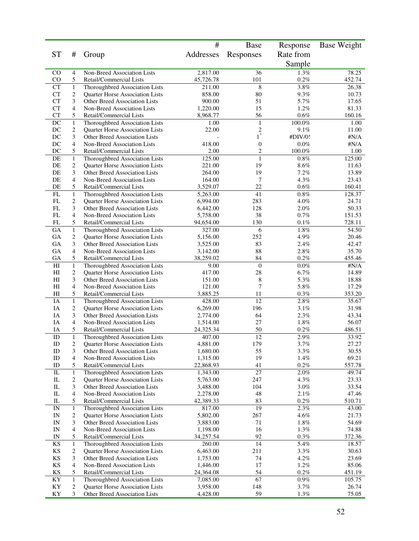|                                  |                         |                                                                   | #                     | <b>Base</b>                                | Response             | <b>Base Weight</b> |
|----------------------------------|-------------------------|-------------------------------------------------------------------|-----------------------|--------------------------------------------|----------------------|--------------------|
| <b>ST</b>                        | #                       | Group                                                             | Addresses             | Responses                                  | Rate from            |                    |
|                                  |                         |                                                                   |                       |                                            | Sample               |                    |
| $\rm CO$                         | 4                       | Non-Breed Association Lists                                       | 2,817.00              | 36                                         | 1.3%                 | 78.25              |
| CO                               | 5                       | Retail/Commercial Lists                                           | 45,726.78             | 101                                        | 0.2%                 | 452.74             |
| CT                               | $\mathbf{1}$            | Thoroughbred Association Lists                                    | 211.00                | 8                                          | 3.8%                 | 26.38              |
| <b>CT</b><br><b>CT</b>           | $\overline{c}$<br>3     | Quarter Horse Association Lists                                   | 858.00                | $80\,$<br>51                               | 9.3%<br>5.7%         | 10.73              |
| <b>CT</b>                        | 4                       | Other Breed Association Lists<br>Non-Breed Association Lists      | 900.00<br>1,220.00    | 15                                         | 1.2%                 | 17.65<br>81.33     |
| CT                               | 5                       | Retail/Commercial Lists                                           | 8,968.77              | 56                                         | $0.6\%$              | 160.16             |
| $\rm DC$                         | $\mathbf{1}$            | Thoroughbred Association Lists                                    | 1.00                  | $\,1\,$                                    | $100.0\%$            | 1.00               |
| DC                               | $\overline{c}$          | Quarter Horse Association Lists                                   | 22.00                 | $\begin{smallmatrix}2\\1\end{smallmatrix}$ | 9.1%                 | 11.00              |
| DC                               | 3                       | Other Breed Association Lists                                     |                       |                                            | #DIV/0!              | $\#\rm N/A$        |
| DC                               | 4                       | Non-Breed Association Lists                                       | 418.00                | $\boldsymbol{0}$                           | $0.0\%$              | #N/A               |
| DC<br>DE                         | 5<br>$\mathbf{1}$       | Retail/Commercial Lists<br>Thoroughbred Association Lists         | 2.00<br>125.00        | $\overline{c}$<br>$\mathbf{1}$             | $100.0\%$<br>$0.8\%$ | 1.00<br>125.00     |
| DE                               | $\mathbf{2}$            | Quarter Horse Association Lists                                   | 221.00                | 19                                         | 8.6%                 | 11.63              |
| DE                               | 3                       | Other Breed Association Lists                                     | 264.00                | 19                                         | 7.2%                 | 13.89              |
| DE                               | 4                       | Non-Breed Association Lists                                       | 164.00                | $\boldsymbol{7}$                           | 4.3%                 | 23.43              |
| DE                               | 5                       | Retail/Commercial Lists                                           | 3,529.07              | 22                                         | 0.6%                 | 160.41             |
| FL                               | $\mathbf{1}$            | Thoroughbred Association Lists                                    | 5,263.00              | $\overline{41}$                            | $0.8\%$              | 128.37             |
| FL                               | $\overline{c}$          | Quarter Horse Association Lists                                   | 6,994.00              | 283                                        | 4.0%                 | 24.71              |
| FL<br>FL                         | 3<br>4                  | Other Breed Association Lists                                     | 6,442.00              | 128<br>38                                  | 2.0%                 | 50.33<br>151.53    |
| FL                               | 5                       | Non-Breed Association Lists<br>Retail/Commercial Lists            | 5,758.00<br>94,654.00 | 130                                        | 0.7%<br>0.1%         | 728.11             |
| GA                               | $\mathbf{1}$            | Thoroughbred Association Lists                                    | 327.00                | 6                                          | $1.8\%$              | 54.50              |
| GA                               | 2                       | Quarter Horse Association Lists                                   | 5,156.00              | 252                                        | 4.9%                 | 20.46              |
| GA                               | 3                       | Other Breed Association Lists                                     | 3,525.00              | 83                                         | 2.4%                 | 42.47              |
| <b>GA</b>                        | 4                       | Non-Breed Association Lists                                       | 3,142.00              | 88                                         | $2.8\%$              | 35.70              |
| GA                               | 5                       | Retail/Commercial Lists                                           | 38,259.02             | 84                                         | $0.2\%$              | 455.46             |
| H                                | $\mathbf{1}$            | Thoroughbred Association Lists                                    | 9.00                  | $\boldsymbol{0}$                           | $0.0\%$              | $\sharp N/A$       |
| H <sub>I</sub><br>H <sub>I</sub> | 2<br>3                  | Quarter Horse Association Lists<br>Other Breed Association Lists  | 417.00<br>151.00      | 28<br>8                                    | 6.7%<br>5.3%         | 14.89<br>18.88     |
| H <sub>I</sub>                   | 4                       | Non-Breed Association Lists                                       | 121.00                | 7                                          | $5.8\%$              | 17.29              |
| H <sub>I</sub>                   | 5                       | Retail/Commercial Lists                                           | 3,885.25              | 11                                         | 0.3%                 | 353.20             |
| IA                               | $\mathbf{1}$            | Thoroughbred Association Lists                                    | 428.00                | 12                                         | 2.8%                 | 35.67              |
| IA                               | $\overline{c}$          | Quarter Horse Association Lists                                   | 6,269.00              | 196                                        | 3.1%                 | 31.98              |
| IA                               | 3                       | Other Breed Association Lists                                     | 2,774.00              | 64                                         | $2.3\%$              | 43.34              |
| IA                               | 4                       | Non-Breed Association Lists                                       | 1,514.00              | 27                                         | $1.8\%$              | 56.07              |
| IA                               | 5                       | Retail/Commercial Lists                                           | 24,325.34             | 50<br>12                                   | $0.2\%$              | 486.51             |
| ID<br>ID                         | $\,1$<br>$\overline{c}$ | Thoroughbred Association Lists<br>Quarter Horse Association Lists | 407.00<br>4,881.00    | 179                                        | $2.9\%$<br>3.7%      | 33.92<br>27.27     |
| ID                               | 3                       | Other Breed Association Lists                                     | 1,680.00              | 55                                         | 3.3%                 | 30.55              |
| ID                               | 4                       | Non-Breed Association Lists                                       | 1,315.00              | 19                                         | $1.4\%$              | 69.21              |
| ID                               | 5                       | Retail/Commercial Lists                                           | 22,868.93             | 41                                         | 0.2%                 | 557.78             |
| ${\rm IL}$                       | $\mathbf{1}$            | Thoroughbred Association Lists                                    | 1,343.00              | 27                                         | $2.0\%$              | 49.74              |
| IL                               | 2                       | Quarter Horse Association Lists                                   | 5,763.00              | 247                                        | 4.3%                 | 23.33              |
| $\rm IL$                         | 3                       | Other Breed Association Lists                                     | 3,488.00              | 104                                        | $3.0\%$              | 33.54              |
| IL<br>IL                         | 4<br>5                  | Non-Breed Association Lists<br>Retail/Commercial Lists            | 2,278.00<br>42,389.33 | 48<br>83                                   | 2.1%<br>0.2%         | 47.46<br>510.71    |
| IN                               | $\mathbf{1}$            | Thoroughbred Association Lists                                    | 817.00                | 19                                         | $2.3\%$              | 43.00              |
| IN                               | $\overline{c}$          | <b>Ouarter Horse Association Lists</b>                            | 5,802.00              | 267                                        | 4.6%                 | 21.73              |
| IN                               | 3                       | Other Breed Association Lists                                     | 3,883.00              | 71                                         | $1.8\%$              | 54.69              |
| IN                               | 4                       | Non-Breed Association Lists                                       | 1,198.00              | 16                                         | $1.3\%$              | 74.88              |
| IN                               | 5                       | Retail/Commercial Lists                                           | 34,257.54             | 92                                         | $0.3\%$              | 372.36             |
| KS                               | $\mathbf{1}$            | Thoroughbred Association Lists                                    | 260.00                | 14                                         | 5.4%                 | 18.57              |
| KS                               | 2                       | Quarter Horse Association Lists                                   | 6,463.00              | 211<br>74                                  | 3.3%                 | 30.63              |
| KS<br>KS                         | 3<br>4                  | Other Breed Association Lists<br>Non-Breed Association Lists      | 1,753.00<br>1,446.00  | 17                                         | 4.2%<br>1.2%         | 23.69<br>85.06     |
| KS                               | 5                       | Retail/Commercial Lists                                           | 24,364.08             | 54                                         | 0.2%                 | 451.19             |
| KY                               | $\mathbf{1}$            | Thoroughbred Association Lists                                    | 7,085.00              | 67                                         | $0.9\%$              | 105.75             |
| KY                               | 2                       | Quarter Horse Association Lists                                   | 3,958.00              | 148                                        | 3.7%                 | 26.74              |
| KY                               | 3                       | Other Breed Association Lists                                     | 4,428.00              | 59                                         | 1.3%                 | 75.05              |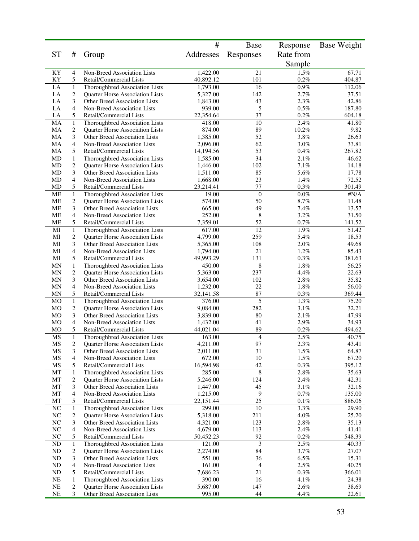|                 |                            |                                                                   | #                     | Base           | Response        | <b>Base Weight</b> |
|-----------------|----------------------------|-------------------------------------------------------------------|-----------------------|----------------|-----------------|--------------------|
| <b>ST</b>       | #                          | Group                                                             | Addresses             | Responses      | Rate from       |                    |
|                 |                            |                                                                   |                       |                | Sample          |                    |
| KY              | $\overline{4}$             | Non-Breed Association Lists                                       | 1,422.00              | 21             | 1.5%            | 67.71              |
| ΚY              | 5                          | Retail/Commercial Lists                                           | 40,892.12             | 101            | 0.2%            | 404.87             |
| LA              | $\mathbf{1}$               | Thoroughbred Association Lists                                    | 1,793.00              | 16             | $0.9\%$         | 112.06             |
| LA              | $\overline{c}$             | Quarter Horse Association Lists                                   | 5,327.00              | 142            | 2.7%            | 37.51              |
| LA              | 3                          | Other Breed Association Lists                                     | 1,843.00              | 43             | 2.3%            | 42.86              |
| LA<br>LA        | $\overline{4}$<br>5        | Non-Breed Association Lists<br>Retail/Commercial Lists            | 939.00<br>22,354.64   | 5<br>37        | $0.5\%$<br>0.2% | 187.80<br>604.18   |
| MA              | $\mathbf{1}$               | Thoroughbred Association Lists                                    | 418.00                | 10             | 2.4%            | 41.80              |
| MA              | $\sqrt{2}$                 | Quarter Horse Association Lists                                   | 874.00                | 89             | 10.2%           | 9.82               |
| MA              | 3                          | <b>Other Breed Association Lists</b>                              | 1,385.00              | 52             | $3.8\%$         | 26.63              |
| MA              | $\overline{4}$             | Non-Breed Association Lists                                       | 2,096.00              | 62             | 3.0%            | 33.81              |
| MA              | 5                          | Retail/Commercial Lists                                           | 14,194.56             | 53             | $0.4\%$         | 267.82             |
| MD              | $\mathbf{1}$               | Thoroughbred Association Lists                                    | 1,585.00              | 34             | 2.1%            | 46.62              |
| MD              | $\sqrt{2}$                 | Quarter Horse Association Lists                                   | 1,446.00              | 102            | $7.1\%$         | 14.18              |
| MD<br>MD        | 3<br>$\overline{4}$        | Other Breed Association Lists<br>Non-Breed Association Lists      | 1,511.00              | 85<br>23       | 5.6%<br>1.4%    | 17.78<br>72.52     |
| MD              | 5                          | Retail/Commercial Lists                                           | 1,668.00<br>23,214.41 | 77             | 0.3%            | 301.49             |
| <b>ME</b>       | $\mathbf{1}$               | Thoroughbred Association Lists                                    | 19.00                 | $\overline{0}$ | $0.0\%$         | $\#\rm{N}/\rm{A}$  |
| MЕ              | $\mathbf{2}$               | Quarter Horse Association Lists                                   | 574.00                | 50             | 8.7%            | 11.48              |
| <b>ME</b>       | 3                          | Other Breed Association Lists                                     | 665.00                | 49             | 7.4%            | 13.57              |
| <b>ME</b>       | 4                          | Non-Breed Association Lists                                       | 252.00                | 8              | 3.2%            | 31.50              |
| ME              | 5                          | Retail/Commercial Lists                                           | 7,359.01              | 52             | $0.7\%$         | 141.52             |
| MI              | $\mathbf{1}$               | Thoroughbred Association Lists                                    | 617.00                | 12             | 1.9%            | 51.42              |
| MI              | $\overline{c}$             | Quarter Horse Association Lists                                   | 4,799.00              | 259            | 5.4%            | 18.53              |
| MI              | 3                          | <b>Other Breed Association Lists</b>                              | 5,365.00              | 108            | 2.0%            | 49.68              |
| MI              | $\overline{4}$             | Non-Breed Association Lists                                       | 1,794.00              | 21             | 1.2%            | 85.43              |
| MI              | 5                          | Retail/Commercial Lists                                           | 49,993.29             | 131            | $0.3\%$<br>1.8% | 381.63             |
| MN<br><b>MN</b> | $\mathbf{1}$<br>$\sqrt{2}$ | Thoroughbred Association Lists<br>Quarter Horse Association Lists | 450.00<br>5,363.00    | 8<br>237       | 4.4%            | 56.25<br>22.63     |
| <b>MN</b>       | 3                          | Other Breed Association Lists                                     | 3,654.00              | 102            | 2.8%            | 35.82              |
| MN              | $\overline{4}$             | Non-Breed Association Lists                                       | 1,232.00              | 22             | 1.8%            | 56.00              |
| MN              | 5                          | Retail/Commercial Lists                                           | 32,141.58             | 87             | 0.3%            | 369.44             |
| MO              | $\mathbf{1}$               | Thoroughbred Association Lists                                    | 376.00                | 5              | $1.3\%$         | 75.20              |
| MO              | $\sqrt{2}$                 | Quarter Horse Association Lists                                   | 9,084.00              | 282            | 3.1%            | 32.21              |
| MO              | 3                          | Other Breed Association Lists                                     | 3,839.00              | 80             | 2.1%            | 47.99              |
| M <sub>O</sub>  | $\overline{4}$             | Non-Breed Association Lists                                       | 1,432.00              | 41             | 2.9%            | 34.93              |
| MO              | 5                          | Retail/Commercial Lists                                           | 44,021.04             | 89             | $0.2\%$         | 494.62             |
| MS              | $\mathbf{1}$               | Thoroughbred Association Lists                                    | 163.00                | $\overline{4}$ | 2.5%            | 40.75              |
| MS              | $\overline{c}$             | Quarter Horse Association Lists<br>Other Breed Association Lists  | 4,211.00              | 97             | 2.3%            | 43.41              |
| MS<br>MS        | 3<br>4                     | Non-Breed Association Lists                                       | 2,011.00<br>672.00    | 31<br>10       | 1.5%<br>1.5%    | 64.87<br>67.20     |
| MS              | 5                          | Retail/Commercial Lists                                           | 16,594.98             | 42             | 0.3%            | 395.12             |
| MT              | $\mathbf{1}$               | Thoroughbred Association Lists                                    | 285.00                | $\,$ 8 $\,$    | $2.8\%$         | 35.63              |
| MT              | $\boldsymbol{2}$           | Quarter Horse Association Lists                                   | 5,246.00              | 124            | 2.4%            | 42.31              |
| MT              | 3                          | Other Breed Association Lists                                     | 1,447.00              | 45             | 3.1%            | 32.16              |
| MT              | 4                          | Non-Breed Association Lists                                       | 1,215.00              | 9              | 0.7%            | 135.00             |
| MT              | 5                          | Retail/Commercial Lists                                           | 22,151.44             | 25             | $0.1\%$         | 886.06             |
| NC              | $\mathbf{1}$               | Thoroughbred Association Lists                                    | 299.00                | 10             | 3.3%            | 29.90              |
| NC              | $\overline{c}$             | <b>Ouarter Horse Association Lists</b>                            | 5,318.00              | 211            | 4.0%            | 25.20              |
| $\rm NC$        | 3                          | Other Breed Association Lists                                     | 4,321.00              | 123            | $2.8\%$         | 35.13              |
| <b>NC</b><br>NC | $\overline{4}$<br>5        | Non-Breed Association Lists<br>Retail/Commercial Lists            | 4,679.00<br>50,452.23 | 113<br>92      | 2.4%<br>$0.2\%$ | 41.41<br>548.39    |
| <b>ND</b>       | $\mathbf{1}$               | Thoroughbred Association Lists                                    | 121.00                | $\mathfrak{Z}$ | 2.5%            | 40.33              |
| ND              | $\overline{c}$             | <b>Quarter Horse Association Lists</b>                            | 2,274.00              | 84             | 3.7%            | 27.07              |
| <b>ND</b>       | 3                          | Other Breed Association Lists                                     | 551.00                | 36             | $6.5\%$         | 15.31              |
| ND              | 4                          | Non-Breed Association Lists                                       | 161.00                | $\overline{4}$ | $2.5\%$         | 40.25              |
| ND              | 5                          | Retail/Commercial Lists                                           | 7,686.23              | 21             | $0.3\%$         | 366.01             |
| NE              | $\mathbf{1}$               | Thoroughbred Association Lists                                    | 390.00                | 16             | 4.1%            | 24.38              |
| <b>NE</b>       | $\sqrt{2}$                 | Quarter Horse Association Lists                                   | 5,687.00              | 147            | 2.6%            | 38.69              |
| <b>NE</b>       | 3                          | Other Breed Association Lists                                     | 995.00                | $44\,$         | 4.4%            | 22.61              |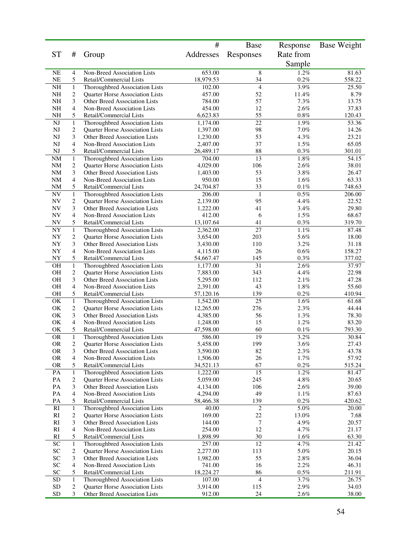|                            |                                |                                                                   | #                     | <b>Base</b>              | Response        | <b>Base Weight</b> |
|----------------------------|--------------------------------|-------------------------------------------------------------------|-----------------------|--------------------------|-----------------|--------------------|
| <b>ST</b>                  | #                              | Group                                                             | Addresses             | Responses                | Rate from       |                    |
|                            |                                |                                                                   |                       |                          | Sample          |                    |
| NE                         | 4                              | Non-Breed Association Lists                                       | 653.00                | 8                        | 1.2%            | 81.63              |
| NE                         | 5                              | Retail/Commercial Lists                                           | 18,979.53             | 34                       | 0.2%            | 558.22             |
| <b>NH</b>                  | $\mathbf{1}$                   | Thoroughbred Association Lists                                    | 102.00                | $\overline{4}$           | 3.9%            | 25.50              |
| NH<br><b>NH</b>            | 2<br>3                         | Quarter Horse Association Lists                                   | 457.00                | 52<br>57                 | 11.4%<br>7.3%   | 8.79               |
| <b>NH</b>                  | 4                              | Other Breed Association Lists<br>Non-Breed Association Lists      | 784.00<br>454.00      | 12                       | 2.6%            | 13.75<br>37.83     |
| NH                         | 5                              | Retail/Commercial Lists                                           | 6,623.83              | 55                       | 0.8%            | 120.43             |
| NJ                         | $\mathbf{1}$                   | Thoroughbred Association Lists                                    | 1,174.00              | $\overline{22}$          | 1.9%            | 53.36              |
| NJ                         | $\overline{c}$                 | Quarter Horse Association Lists                                   | 1,397.00              | 98                       | $7.0\%$         | 14.26              |
| <b>NJ</b>                  | 3                              | Other Breed Association Lists                                     | 1,230.00              | 53                       | 4.3%            | 23.21              |
| NJ                         | 4                              | Non-Breed Association Lists                                       | 2,407.00              | 37                       | 1.5%            | 65.05              |
| NJ                         | 5                              | Retail/Commercial Lists                                           | 26,489.17             | 88                       | 0.3%            | 301.01             |
| <b>NM</b><br><b>NM</b>     | $\mathbf{1}$<br>$\overline{c}$ | Thoroughbred Association Lists<br>Quarter Horse Association Lists | 704.00<br>4,029.00    | 13<br>106                | $1.8\%$<br>2.6% | 54.15<br>38.01     |
| NM                         | 3                              | Other Breed Association Lists                                     | 1,403.00              | 53                       | 3.8%            | 26.47              |
| <b>NM</b>                  | 4                              | Non-Breed Association Lists                                       | 950.00                | 15                       | 1.6%            | 63.33              |
| NM                         | 5                              | Retail/Commercial Lists                                           | 24,704.87             | 33                       | $0.1\%$         | 748.63             |
| ${\rm NV}$                 | $\mathbf{1}$                   | Thoroughbred Association Lists                                    | $\overline{206.00}$   | $\mathbf{1}$             | $0.5\%$         | 206.00             |
| NV                         | $\overline{\mathbf{c}}$        | Quarter Horse Association Lists                                   | 2,139.00              | 95                       | 4.4%            | 22.52              |
| NV                         | 3                              | Other Breed Association Lists                                     | 1,222.00              | 41                       | 3.4%            | 29.80              |
| <b>NV</b>                  | 4<br>5                         | Non-Breed Association Lists<br>Retail/Commercial Lists            | 412.00<br>13,107.64   | 6<br>41                  | 1.5%<br>0.3%    | 68.67<br>319.70    |
| NV<br>${\rm NY}$           | $\mathbf{1}$                   | Thoroughbred Association Lists                                    | 2,362.00              | 27                       | $1.1\%$         | 87.48              |
| NY                         | $\overline{\mathbf{c}}$        | Quarter Horse Association Lists                                   | 3,654.00              | 203                      | 5.6%            | 18.00              |
| ${\rm NY}$                 | 3                              | Other Breed Association Lists                                     | 3,430.00              | 110                      | 3.2%            | 31.18              |
| <b>NY</b>                  | 4                              | Non-Breed Association Lists                                       | 4,115.00              | 26                       | 0.6%            | 158.27             |
| NY                         | 5                              | Retail/Commercial Lists                                           | 54,667.47             | 145                      | $0.3\%$         | 377.02             |
| <b>OH</b>                  | $\mathbf{1}$                   | Thoroughbred Association Lists                                    | 1,177.00              | 31                       | 2.6%            | 37.97              |
| OH                         | 2                              | <b>Quarter Horse Association Lists</b>                            | 7,883.00              | 343                      | 4.4%            | 22.98              |
| <b>OH</b>                  | 3                              | Other Breed Association Lists                                     | 5,295.00              | 112                      | 2.1%            | 47.28              |
| <b>OH</b><br>OH            | 4<br>5                         | Non-Breed Association Lists<br>Retail/Commercial Lists            | 2,391.00<br>57,120.16 | 43<br>139                | $1.8\%$<br>0.2% | 55.60<br>410.94    |
| OK                         | $\,1$                          | Thoroughbred Association Lists                                    | 1,542.00              | $\overline{25}$          | $1.6\%$         | 61.68              |
| OK                         | $\overline{c}$                 | Quarter Horse Association Lists                                   | 12,265.00             | 276                      | 2.3%            | 44.44              |
| OK                         | 3                              | Other Breed Association Lists                                     | 4,385.00              | 56                       | 1.3%            | 78.30              |
| OK                         | 4                              | Non-Breed Association Lists                                       | 1,248.00              | 15                       | 1.2%            | 83.20              |
| OK                         | 5                              | Retail/Commercial Lists                                           | 47,598.00             | 60                       | 0.1%            | 793.30             |
| <b>OR</b>                  | $\,1$                          | Thoroughbred Association Lists                                    | 586.00                | 19                       | 3.2%            | 30.84              |
| <b>OR</b>                  | $\overline{c}$                 | Quarter Horse Association Lists                                   | 5,458.00              | 199                      | 3.6%            | 27.43              |
| <b>OR</b><br><b>OR</b>     | 3<br>4                         | Other Breed Association Lists<br>Non-Breed Association Lists      | 3,590.00<br>1,506.00  | 82<br>26                 | $2.3\%$<br>1.7% | 43.78<br>57.92     |
| <b>OR</b>                  | 5                              | Retail/Commercial Lists                                           | 34,521.13             | 67                       | $0.2\%$         | 515.24             |
| PA                         | $\mathbf{1}$                   | Thoroughbred Association Lists                                    | 1,222.00              | 15                       | 1.2%            | 81.47              |
| PA                         | 2                              | Quarter Horse Association Lists                                   | 5,059.00              | 245                      | 4.8%            | 20.65              |
| PA                         | 3                              | Other Breed Association Lists                                     | 4,134.00              | 106                      | $2.6\%$         | 39.00              |
| PA                         | 4                              | Non-Breed Association Lists                                       | 4,294.00              | 49                       | 1.1%            | 87.63              |
| PA                         | 5                              | Retail/Commercial Lists                                           | 58,466.38             | 139                      | 0.2%            | 420.62             |
| RI                         | $\mathbf{1}$                   | Thoroughbred Association Lists                                    | 40.00                 | $\overline{c}$           | $5.0\%$         | 20.00              |
| RI                         | $\overline{c}$<br>3            | Quarter Horse Association Lists<br>Other Breed Association Lists  | 169.00                | $22\,$<br>7              | 13.0%<br>4.9%   | 7.68               |
| <b>RI</b><br>RI            | 4                              | Non-Breed Association Lists                                       | 144.00<br>254.00      | 12                       | 4.7%            | 20.57<br>21.17     |
| RI                         | 5                              | Retail/Commercial Lists                                           | 1,898.99              | 30                       | 1.6%            | 63.30              |
| $\ensuremath{\mathbf{SC}}$ | $\mathbf{1}$                   | Thoroughbred Association Lists                                    | 257.00                | 12                       | 4.7%            | 21.42              |
| SC                         | 2                              | <b>Quarter Horse Association Lists</b>                            | 2,277.00              | 113                      | $5.0\%$         | 20.15              |
| SC                         | 3                              | Other Breed Association Lists                                     | 1,982.00              | 55                       | $2.8\%$         | 36.04              |
| SC                         | 4                              | Non-Breed Association Lists                                       | 741.00                | 16                       | $2.2\%$         | 46.31              |
| SC                         | 5                              | Retail/Commercial Lists                                           | 18,224.27             | 86                       | $0.5\%$         | 211.91             |
| <b>SD</b>                  | $\mathbf{1}$                   | Thoroughbred Association Lists                                    | 107.00                | $\overline{\mathcal{L}}$ | 3.7%            | 26.75              |
| SD<br><b>SD</b>            | 2<br>3                         | Quarter Horse Association Lists<br>Other Breed Association Lists  | 3,914.00<br>912.00    | 115<br>24                | 2.9%<br>2.6%    | 34.03<br>38.00     |
|                            |                                |                                                                   |                       |                          |                 |                    |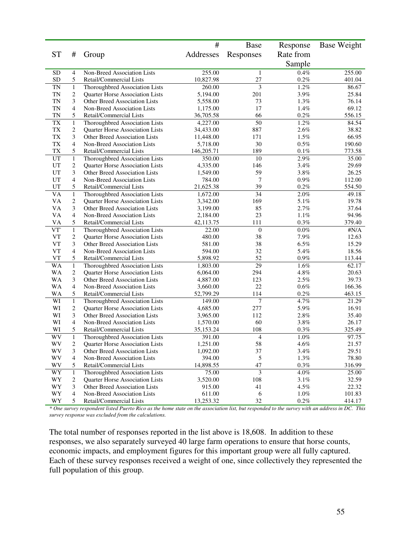|                 |                         |                                        | #          | <b>Base</b>              | Response  | <b>Base Weight</b> |
|-----------------|-------------------------|----------------------------------------|------------|--------------------------|-----------|--------------------|
| <b>ST</b>       | #                       | Group                                  | Addresses  | Responses                | Rate from |                    |
|                 |                         |                                        |            |                          | Sample    |                    |
| <b>SD</b>       | 4                       | Non-Breed Association Lists            | 255.00     | $\mathbf{1}$             | 0.4%      | 255.00             |
| SD              | 5                       | Retail/Commercial Lists                | 10,827.98  | 27                       | 0.2%      | 401.04             |
| <b>TN</b>       | $\,1$                   | Thoroughbred Association Lists         | 260.00     | 3                        | 1.2%      | 86.67              |
| <b>TN</b>       | 2                       | Quarter Horse Association Lists        | 5,194.00   | 201                      | 3.9%      | 25.84              |
| <b>TN</b>       | 3                       | Other Breed Association Lists          | 5,558.00   | 73                       | 1.3%      | 76.14              |
| <b>TN</b>       | 4                       | Non-Breed Association Lists            | 1,175.00   | 17                       | 1.4%      | 69.12              |
| <b>TN</b>       | 5                       | Retail/Commercial Lists                | 36,705.58  | 66                       | $0.2\%$   | 556.15             |
| TX              | $\mathbf{1}$            | Thoroughbred Association Lists         | 4,227.00   | 50                       | 1.2%      | 84.54              |
| TX              | $\overline{\mathbf{c}}$ | Quarter Horse Association Lists        | 34,433.00  | 887                      | 2.6%      | 38.82              |
| TX              | 3                       | <b>Other Breed Association Lists</b>   | 11,448.00  | 171                      | 1.5%      | 66.95              |
| TX              | 4                       | Non-Breed Association Lists            | 5,718.00   | 30                       | 0.5%      | 190.60             |
| TX              | 5                       | Retail/Commercial Lists                | 146,205.71 | 189                      | 0.1%      | 773.58             |
| UT              | $\mathbf{1}$            | Thoroughbred Association Lists         | 350.00     | 10                       | 2.9%      | 35.00              |
| UT              | 2                       | Quarter Horse Association Lists        | 4,335.00   | 146                      | 3.4%      | 29.69              |
| $_{\rm UT}$     | 3                       | Other Breed Association Lists          | 1,549.00   | 59                       | 3.8%      | 26.25              |
| UT              | 4                       | Non-Breed Association Lists            | 784.00     | 7                        | $0.9\%$   | 112.00             |
| UT              | 5                       | Retail/Commercial Lists                | 21,625.38  | 39                       | $0.2\%$   | 554.50             |
| $\overline{VA}$ | $\mathbf{1}$            | Thoroughbred Association Lists         | 1,672.00   | $\overline{34}$          | 2.0%      | 49.18              |
| <b>VA</b>       | $\mathbf{2}$            | <b>Ouarter Horse Association Lists</b> | 3,342.00   | 169                      | 5.1%      | 19.78              |
| VA              | 3                       | Other Breed Association Lists          | 3,199.00   | 85                       | 2.7%      | 37.64              |
| VA              | 4                       | Non-Breed Association Lists            | 2,184.00   | 23                       | $1.1\%$   | 94.96              |
| VA              | 5                       | Retail/Commercial Lists                | 42,113.75  | 111                      | $0.3\%$   | 379.40             |
| VT <sup>\</sup> | $\mathbf{1}$            | Thoroughbred Association Lists         | 22.00      | $\boldsymbol{0}$         | $0.0\%$   | $\sharp N/A$       |
| <b>VT</b>       | 2                       | Quarter Horse Association Lists        | 480.00     | 38                       | 7.9%      | 12.63              |
| VT              | 3                       | Other Breed Association Lists          | 581.00     | 38                       | 6.5%      | 15.29              |
| <b>VT</b>       | 4                       | Non-Breed Association Lists            | 594.00     | 32                       | 5.4%      | 18.56              |
| VT              | 5                       | Retail/Commercial Lists                | 5,898.92   | 52                       | 0.9%      | 113.44             |
| WA              | $\mathbf{1}$            | Thoroughbred Association Lists         | 1,803.00   | 29                       | 1.6%      | 62.17              |
| <b>WA</b>       | $\overline{c}$          | Quarter Horse Association Lists        | 6,064.00   | 294                      | 4.8%      | 20.63              |
| WA              | 3                       | Other Breed Association Lists          | 4,887.00   | 123                      | 2.5%      | 39.73              |
| <b>WA</b>       | 4                       | Non-Breed Association Lists            | 3,660.00   | 22                       | 0.6%      | 166.36             |
| WA              | 5                       | Retail/Commercial Lists                | 52,799.29  | 114                      | $0.2\%$   | 463.15             |
| WI              | $\mathbf{1}$            | Thoroughbred Association Lists         | 149.00     | 7                        | 4.7%      | 21.29              |
| WI              | 2                       | Quarter Horse Association Lists        | 4,685.00   | 277                      | 5.9%      | 16.91              |
| WI              | 3                       | Other Breed Association Lists          | 3,965.00   | 112                      | 2.8%      | 35.40              |
| WI              | 4                       | Non-Breed Association Lists            | 1,570.00   | 60                       | 3.8%      | 26.17              |
| WI              | 5                       | Retail/Commercial Lists                | 35,153.24  | 108                      | 0.3%      | 325.49             |
| WV              | $\,1$                   | Thoroughbred Association Lists         | 391.00     | $\overline{\mathcal{L}}$ | 1.0%      | 97.75              |
| WV              | $\overline{\mathbf{c}}$ | Quarter Horse Association Lists        | 1,251.00   | 58                       | 4.6%      | 21.57              |
| WV              | 3                       | Other Breed Association Lists          | 1,092.00   | 37                       | 3.4%      | 29.51              |
| WV              | 4                       | Non-Breed Association Lists            | 394.00     | $\sqrt{5}$               | 1.3%      | 78.80              |
| WV              | 5                       | Retail/Commercial Lists                | 14,898.55  | 47                       | 0.3%      | 316.99             |
| WY              | $\,1$                   | Thoroughbred Association Lists         | 75.00      | $\overline{\mathbf{3}}$  | $4.0\%$   | 25.00              |
| WY              | $\overline{\mathbf{c}}$ | Quarter Horse Association Lists        | 3,520.00   | 108                      | 3.1%      | 32.59              |
| WY              | 3                       | Other Breed Association Lists          | 915.00     | 41                       | 4.5%      | 22.32              |
| WY              | 4                       | Non-Breed Association Lists            | 611.00     | 6                        | 1.0%      | 101.83             |
| WY              | 5                       | Retail/Commercial Lists                | 13,253.32  | 32                       | $0.2\%$   | 414.17             |

\* One survey respondent listed Puerto Rico as the home state on the association list, but responded to the survey with an address in DC. This *survey response was excluded from the calculations.*

The total number of responses reported in the list above is 18,608. In addition to these responses, we also separately surveyed 40 large farm operations to ensure that horse counts, economic impacts, and employment figures for this important group were all fully captured. Each of these survey responses received a weight of one, since collectively they represented the full population of this group.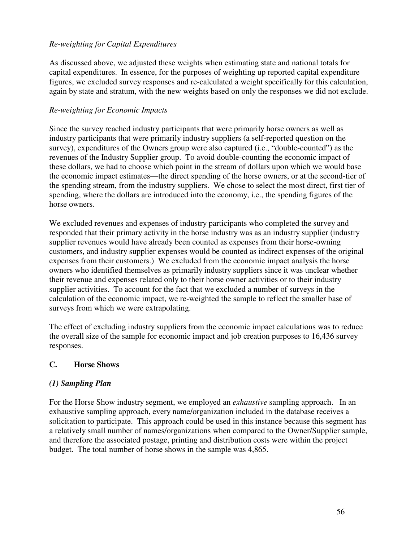### *Re-weighting for Capital Expenditures*

As discussed above, we adjusted these weights when estimating state and national totals for capital expenditures. In essence, for the purposes of weighting up reported capital expenditure figures, we excluded survey responses and re-calculated a weight specifically for this calculation, again by state and stratum, with the new weights based on only the responses we did not exclude.

#### *Re-weighting for Economic Impacts*

Since the survey reached industry participants that were primarily horse owners as well as industry participants that were primarily industry suppliers (a self-reported question on the survey), expenditures of the Owners group were also captured (i.e., "double-counted") as the revenues of the Industry Supplier group. To avoid double-counting the economic impact of these dollars, we had to choose which point in the stream of dollars upon which we would base the economic impact estimates—the direct spending of the horse owners, or at the second-tier of the spending stream, from the industry suppliers. We chose to select the most direct, first tier of spending, where the dollars are introduced into the economy, i.e., the spending figures of the horse owners.

We excluded revenues and expenses of industry participants who completed the survey and responded that their primary activity in the horse industry was as an industry supplier (industry supplier revenues would have already been counted as expenses from their horse-owning customers, and industry supplier expenses would be counted as indirect expenses of the original expenses from their customers.) We excluded from the economic impact analysis the horse owners who identified themselves as primarily industry suppliers since it was unclear whether their revenue and expenses related only to their horse owner activities or to their industry supplier activities. To account for the fact that we excluded a number of surveys in the calculation of the economic impact, we re-weighted the sample to reflect the smaller base of surveys from which we were extrapolating.

The effect of excluding industry suppliers from the economic impact calculations was to reduce the overall size of the sample for economic impact and job creation purposes to 16,436 survey responses.

### **C. Horse Shows**

### *(1) Sampling Plan*

For the Horse Show industry segment, we employed an *exhaustive* sampling approach. In an exhaustive sampling approach, every name/organization included in the database receives a solicitation to participate. This approach could be used in this instance because this segment has a relatively small number of names/organizations when compared to the Owner/Supplier sample, and therefore the associated postage, printing and distribution costs were within the project budget. The total number of horse shows in the sample was 4,865.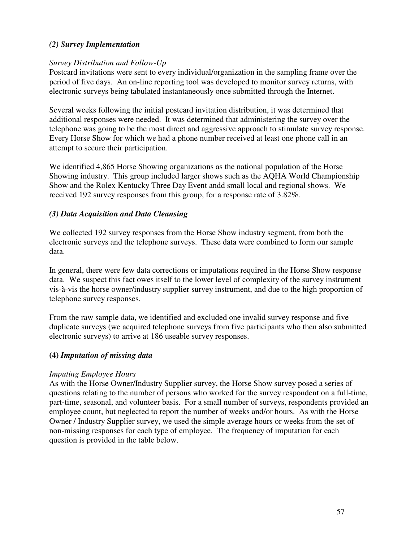### *(2) Survey Implementation*

### *Survey Distribution and Follow-Up*

Postcard invitations were sent to every individual/organization in the sampling frame over the period of five days. An on-line reporting tool was developed to monitor survey returns, with electronic surveys being tabulated instantaneously once submitted through the Internet.

Several weeks following the initial postcard invitation distribution, it was determined that additional responses were needed. It was determined that administering the survey over the telephone was going to be the most direct and aggressive approach to stimulate survey response. Every Horse Show for which we had a phone number received at least one phone call in an attempt to secure their participation.

We identified 4,865 Horse Showing organizations as the national population of the Horse Showing industry. This group included larger shows such as the AQHA World Championship Show and the Rolex Kentucky Three Day Event andd small local and regional shows. We received 192 survey responses from this group, for a response rate of 3.82%.

### *(3) Data Acquisition and Data Cleansing*

We collected 192 survey responses from the Horse Show industry segment, from both the electronic surveys and the telephone surveys. These data were combined to form our sample data.

In general, there were few data corrections or imputations required in the Horse Show response data. We suspect this fact owes itself to the lower level of complexity of the survey instrument vis-à-vis the horse owner/industry supplier survey instrument, and due to the high proportion of telephone survey responses.

From the raw sample data, we identified and excluded one invalid survey response and five duplicate surveys (we acquired telephone surveys from five participants who then also submitted electronic surveys) to arrive at 186 useable survey responses.

## **(4)** *Imputation of missing data*

### *Imputing Employee Hours*

As with the Horse Owner/Industry Supplier survey, the Horse Show survey posed a series of questions relating to the number of persons who worked for the survey respondent on a full-time, part-time, seasonal, and volunteer basis. For a small number of surveys, respondents provided an employee count, but neglected to report the number of weeks and/or hours. As with the Horse Owner / Industry Supplier survey, we used the simple average hours or weeks from the set of non-missing responses for each type of employee. The frequency of imputation for each question is provided in the table below.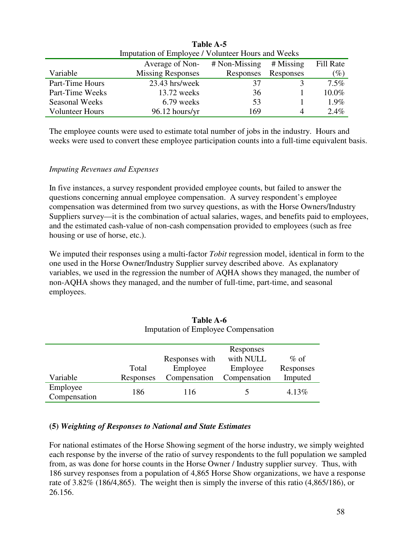|                        | Imputation of Employee / Volunteer Hours and Weeks |                 |           |           |  |
|------------------------|----------------------------------------------------|-----------------|-----------|-----------|--|
|                        | Average of Non-                                    | $#$ Non-Missing | # Missing | Fill Rate |  |
| Variable               | <b>Missing Responses</b>                           | Responses       | Responses | $(\%)$    |  |
| Part-Time Hours        | $23.43$ hrs/week                                   | 37              |           | $7.5\%$   |  |
| Part-Time Weeks        | $13.72$ weeks                                      | 36              |           | 10.0%     |  |
| <b>Seasonal Weeks</b>  | 6.79 weeks                                         | 53              |           | $1.9\%$   |  |
| <b>Volunteer Hours</b> | $96.12$ hours/yr                                   | 169             | 4         | $2.4\%$   |  |

**Table A-5**

The employee counts were used to estimate total number of jobs in the industry. Hours and weeks were used to convert these employee participation counts into a full-time equivalent basis.

### *Imputing Revenues and Expenses*

In five instances, a survey respondent provided employee counts, but failed to answer the questions concerning annual employee compensation. A survey respondent's employee compensation was determined from two survey questions, as with the Horse Owners/Industry Suppliers survey—it is the combination of actual salaries, wages, and benefits paid to employees, and the estimated cash-value of non-cash compensation provided to employees (such as free housing or use of horse, etc.).

We imputed their responses using a multi-factor *Tobit* regression model, identical in form to the one used in the Horse Owner/Industry Supplier survey described above. As explanatory variables, we used in the regression the number of AQHA shows they managed, the number of non-AQHA shows they managed, and the number of full-time, part-time, and seasonal employees.

|           |                | Responses    |           |
|-----------|----------------|--------------|-----------|
|           | Responses with | with NULL    | $\%$ of   |
| Total     | Employee       | Employee     | Responses |
| Responses | Compensation   | Compensation | Imputed   |
| 186       | 116            |              | 4.13%     |
|           |                |              |           |

#### **Table A-6** Imputation of Employee Compensation

### **(5)** *Weighting of Responses to National and State Estimates*

For national estimates of the Horse Showing segment of the horse industry, we simply weighted each response by the inverse of the ratio of survey respondents to the full population we sampled from, as was done for horse counts in the Horse Owner / Industry supplier survey. Thus, with 186 survey responses from a population of 4,865 Horse Show organizations, we have a response rate of 3.82% (186/4,865). The weight then is simply the inverse of this ratio (4,865/186), or 26.156.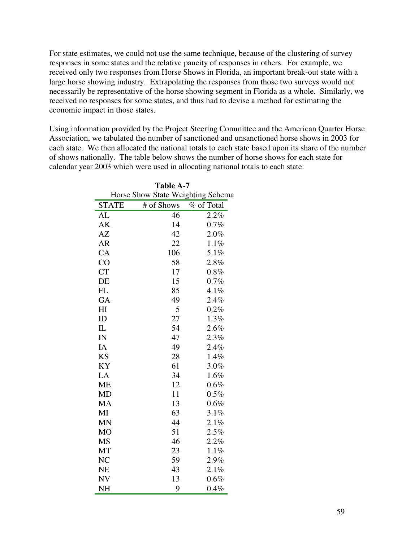For state estimates, we could not use the same technique, because of the clustering of survey responses in some states and the relative paucity of responses in others. For example, we received only two responses from Horse Shows in Florida, an important break-out state with a large horse showing industry. Extrapolating the responses from those two surveys would not necessarily be representative of the horse showing segment in Florida as a whole. Similarly, we received no responses for some states, and thus had to devise a method for estimating the economic impact in those states.

Using information provided by the Project Steering Committee and the American Quarter Horse Association, we tabulated the number of sanctioned and unsanctioned horse shows in 2003 for each state. We then allocated the national totals to each state based upon its share of the number of shows nationally. The table below shows the number of horse shows for each state for calendar year 2003 which were used in allocating national totals to each state:

| Table A-7               |            |                                   |  |  |  |
|-------------------------|------------|-----------------------------------|--|--|--|
|                         |            | Horse Show State Weighting Schema |  |  |  |
| <b>STATE</b>            | # of Shows | % of Total                        |  |  |  |
| AL                      | 46         | 2.2%                              |  |  |  |
| AK                      | 14         | 0.7%                              |  |  |  |
| AZ                      | 42         | $2.0\%$                           |  |  |  |
| <b>AR</b>               | 22         | 1.1%                              |  |  |  |
| CA                      | 106        | 5.1%                              |  |  |  |
| CO                      | 58         | 2.8%                              |  |  |  |
| CT                      | 17         | 0.8%                              |  |  |  |
| DE                      | 15         | 0.7%                              |  |  |  |
| FL                      | 85         | 4.1%                              |  |  |  |
| GA                      | 49         | 2.4%                              |  |  |  |
| H1                      | 5          | 0.2%                              |  |  |  |
| ID                      | 27         | 1.3%                              |  |  |  |
| IL                      | 54         | 2.6%                              |  |  |  |
| $\overline{\mathbb{N}}$ | 47         | 2.3%                              |  |  |  |
| IA                      | 49         | 2.4%                              |  |  |  |
| <b>KS</b>               | 28         | 1.4%                              |  |  |  |
| KY                      | 61         | 3.0%                              |  |  |  |
| LA                      | 34         | 1.6%                              |  |  |  |
| <b>ME</b>               | 12         | 0.6%                              |  |  |  |
| MD                      | 11         | 0.5%                              |  |  |  |
| MA                      | 13         | 0.6%                              |  |  |  |
| MI                      | 63         | 3.1%                              |  |  |  |
| <b>MN</b>               | 44         | 2.1%                              |  |  |  |
| M <sub>O</sub>          | 51         | 2.5%                              |  |  |  |
| MS                      | 46         | 2.2%                              |  |  |  |
| MT                      | 23         | $1.1\%$                           |  |  |  |
| NC                      | 59         | 2.9%                              |  |  |  |
| NE                      | 43         | 2.1%                              |  |  |  |
| NV                      | 13         | 0.6%                              |  |  |  |
| NH                      | 9          | 0.4%                              |  |  |  |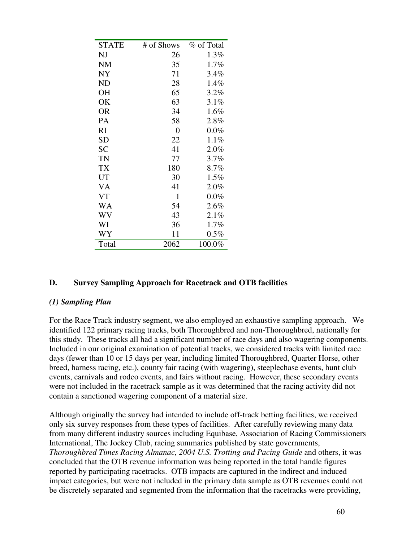| <b>STATE</b> | # of Shows | % of Total |
|--------------|------------|------------|
| NJ           | 26         | 1.3%       |
| NM           | 35         | 1.7%       |
| <b>NY</b>    | 71         | 3.4%       |
| <b>ND</b>    | 28         | 1.4%       |
| <b>OH</b>    | 65         | 3.2%       |
| OK           | 63         | 3.1%       |
| <b>OR</b>    | 34         | 1.6%       |
| PA           | 58         | 2.8%       |
| RI           | 0          | $0.0\%$    |
| <b>SD</b>    | 22         | 1.1%       |
| <b>SC</b>    | 41         | 2.0%       |
| TN           | 77         | 3.7%       |
| TX           | 180        | 8.7%       |
| UT           | 30         | 1.5%       |
| VA           | 41         | 2.0%       |
| <b>VT</b>    | 1          | $0.0\%$    |
| WA           | 54         | $2.6\%$    |
| WV           | 43         | 2.1%       |
| WI           | 36         | 1.7%       |
| WY           | 11         | $0.5\%$    |
| Total        | 2062       | 100.0%     |

#### **D. Survey Sampling Approach for Racetrack and OTB facilities**

#### *(1) Sampling Plan*

For the Race Track industry segment, we also employed an exhaustive sampling approach. We identified 122 primary racing tracks, both Thoroughbred and non-Thoroughbred, nationally for this study. These tracks all had a significant number of race days and also wagering components. Included in our original examination of potential tracks, we considered tracks with limited race days (fewer than 10 or 15 days per year, including limited Thoroughbred, Quarter Horse, other breed, harness racing, etc.), county fair racing (with wagering), steeplechase events, hunt club events, carnivals and rodeo events, and fairs without racing. However, these secondary events were not included in the racetrack sample as it was determined that the racing activity did not contain a sanctioned wagering component of a material size.

Although originally the survey had intended to include off-track betting facilities, we received only six survey responses from these types of facilities. After carefully reviewing many data from many different industry sources including Equibase, Association of Racing Commissioners International, The Jockey Club, racing summaries published by state governments, *Thoroughbred Times Racing Almanac, 2004 U.S. Trotting and Pacing Guide* and others, it was concluded that the OTB revenue information was being reported in the total handle figures reported by participating racetracks. OTB impacts are captured in the indirect and induced impact categories, but were not included in the primary data sample as OTB revenues could not be discretely separated and segmented from the information that the racetracks were providing,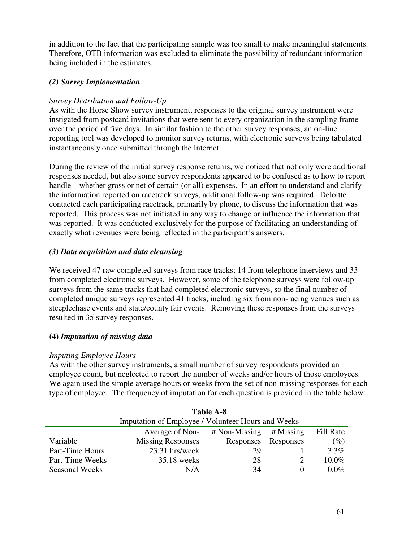in addition to the fact that the participating sample was too small to make meaningful statements. Therefore, OTB information was excluded to eliminate the possibility of redundant information being included in the estimates.

### *(2) Survey Implementation*

### *Survey Distribution and Follow-Up*

As with the Horse Show survey instrument, responses to the original survey instrument were instigated from postcard invitations that were sent to every organization in the sampling frame over the period of five days. In similar fashion to the other survey responses, an on-line reporting tool was developed to monitor survey returns, with electronic surveys being tabulated instantaneously once submitted through the Internet.

During the review of the initial survey response returns, we noticed that not only were additional responses needed, but also some survey respondents appeared to be confused as to how to report handle—whether gross or net of certain (or all) expenses. In an effort to understand and clarify the information reported on racetrack surveys, additional follow-up was required. Deloitte contacted each participating racetrack, primarily by phone, to discuss the information that was reported. This process was not initiated in any way to change or influence the information that was reported. It was conducted exclusively for the purpose of facilitating an understanding of exactly what revenues were being reflected in the participant's answers.

### *(3) Data acquisition and data cleansing*

We received 47 raw completed surveys from race tracks; 14 from telephone interviews and 33 from completed electronic surveys. However, some of the telephone surveys were follow-up surveys from the same tracks that had completed electronic surveys, so the final number of completed unique surveys represented 41 tracks, including six from non-racing venues such as steeplechase events and state/county fair events. Removing these responses from the surveys resulted in 35 survey responses.

## **(4)** *Imputation of missing data*

### *Imputing Employee Hours*

As with the other survey instruments, a small number of survey respondents provided an employee count, but neglected to report the number of weeks and/or hours of those employees. We again used the simple average hours or weeks from the set of non-missing responses for each type of employee. The frequency of imputation for each question is provided in the table below:

|                       | Table A-8                |                                                    |           |           |  |  |
|-----------------------|--------------------------|----------------------------------------------------|-----------|-----------|--|--|
|                       |                          | Imputation of Employee / Volunteer Hours and Weeks |           |           |  |  |
|                       | Average of Non-          | $# \text{Non-Missing}$ # Missing                   |           | Fill Rate |  |  |
| Variable              | <b>Missing Responses</b> | Responses                                          | Responses | $(\%)$    |  |  |
| Part-Time Hours       | 23.31 hrs/week           | 29                                                 |           | 3.3%      |  |  |
| Part-Time Weeks       | 35.18 weeks              | 28                                                 |           | 10.0%     |  |  |
| <b>Seasonal Weeks</b> | N/A                      | 34                                                 |           | $0.0\%$   |  |  |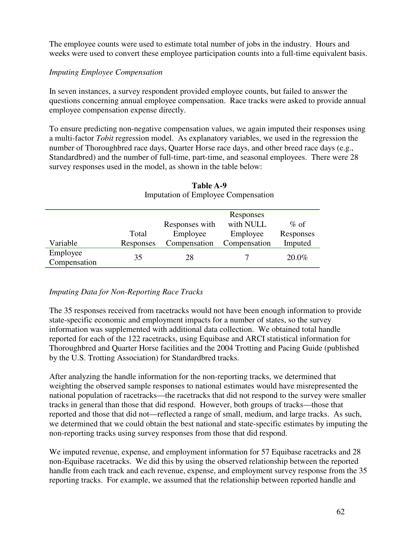The employee counts were used to estimate total number of jobs in the industry. Hours and weeks were used to convert these employee participation counts into a full-time equivalent basis.

#### *Imputing Employee Compensation*

In seven instances, a survey respondent provided employee counts, but failed to answer the questions concerning annual employee compensation. Race tracks were asked to provide annual employee compensation expense directly.

To ensure predicting non-negative compensation values, we again imputed their responses using a multi-factor *Tobit* regression model. As explanatory variables, we used in the regression the number of Thoroughbred race days, Quarter Horse race days, and other breed race days (e.g., Standardbred) and the number of full-time, part-time, and seasonal employees. There were 28 survey responses used in the model, as shown in the table below:

|                          |           | Responses      |              |           |
|--------------------------|-----------|----------------|--------------|-----------|
|                          |           | Responses with | with NULL    | $\%$ of   |
|                          | Total     | Employee       | Employee     | Responses |
| Variable                 | Responses | Compensation   | Compensation | Imputed   |
| Employee<br>Compensation | 35        | 28             |              | 20.0%     |

**Table A-9** Imputation of Employee Compensation

### *Imputing Data for Non-Reporting Race Tracks*

The 35 responses received from racetracks would not have been enough information to provide state-specific economic and employment impacts for a number of states, so the survey information was supplemented with additional data collection. We obtained total handle reported for each of the 122 racetracks, using Equibase and ARCI statistical information for Thoroughbred and Quarter Horse facilities and the 2004 Trotting and Pacing Guide (published by the U.S. Trotting Association) for Standardbred tracks.

After analyzing the handle information for the non-reporting tracks, we determined that weighting the observed sample responses to national estimates would have misrepresented the national population of racetracks—the racetracks that did not respond to the survey were smaller tracks in general than those that did respond. However, both groups of tracks—those that reported and those that did not—reflected a range of small, medium, and large tracks. As such, we determined that we could obtain the best national and state-specific estimates by imputing the non-reporting tracks using survey responses from those that did respond.

We imputed revenue, expense, and employment information for 57 Equibase racetracks and 28 non-Equibase racetracks. We did this by using the observed relationship between the reported handle from each track and each revenue, expense, and employment survey response from the 35 reporting tracks. For example, we assumed that the relationship between reported handle and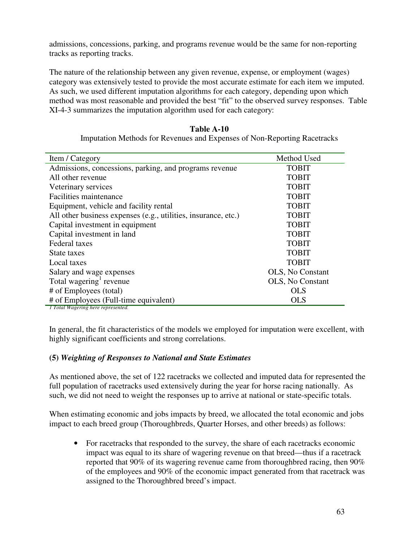admissions, concessions, parking, and programs revenue would be the same for non-reporting tracks as reporting tracks.

The nature of the relationship between any given revenue, expense, or employment (wages) category was extensively tested to provide the most accurate estimate for each item we imputed. As such, we used different imputation algorithms for each category, depending upon which method was most reasonable and provided the best "fit" to the observed survey responses. Table XI-4-3 summarizes the imputation algorithm used for each category:

| Item / Category                                                | Method Used              |
|----------------------------------------------------------------|--------------------------|
| Admissions, concessions, parking, and programs revenue         | <b>TOBIT</b>             |
| All other revenue                                              | <b>TOBIT</b>             |
| Veterinary services                                            | <b>TOBIT</b>             |
| Facilities maintenance                                         | <b>TOBIT</b>             |
| Equipment, vehicle and facility rental                         | <b>TOBIT</b>             |
| All other business expenses (e.g., utilities, insurance, etc.) | <b>TOBIT</b>             |
| Capital investment in equipment                                | <b>TOBIT</b>             |
| Capital investment in land                                     | <b>TOBIT</b>             |
| Federal taxes                                                  | <b>TOBIT</b>             |
| State taxes                                                    | <b>TOBIT</b>             |
| Local taxes                                                    | <b>TOBIT</b>             |
| Salary and wage expenses                                       | <b>OLS</b> , No Constant |
| Total wagering <sup>1</sup> revenue                            | OLS, No Constant         |
| # of Employees (total)                                         | <b>OLS</b>               |
| # of Employees (Full-time equivalent)                          | <b>OLS</b>               |
| 1 Total Wagering here represented.                             |                          |

| <b>Table A-10</b>                                                        |
|--------------------------------------------------------------------------|
| Imputation Methods for Revenues and Expenses of Non-Reporting Racetracks |

In general, the fit characteristics of the models we employed for imputation were excellent, with highly significant coefficients and strong correlations.

### **(5)** *Weighting of Responses to National and State Estimates*

As mentioned above, the set of 122 racetracks we collected and imputed data for represented the full population of racetracks used extensively during the year for horse racing nationally. As such, we did not need to weight the responses up to arrive at national or state-specific totals.

When estimating economic and jobs impacts by breed, we allocated the total economic and jobs impact to each breed group (Thoroughbreds, Quarter Horses, and other breeds) as follows:

• For racetracks that responded to the survey, the share of each racetracks economic impact was equal to its share of wagering revenue on that breed—thus if a racetrack reported that 90% of its wagering revenue came from thoroughbred racing, then 90% of the employees and 90% of the economic impact generated from that racetrack was assigned to the Thoroughbred breed's impact.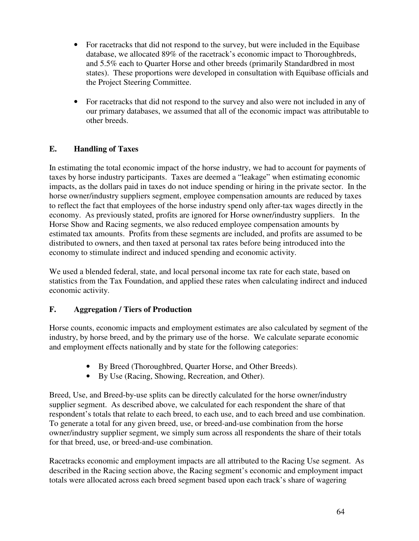- For racetracks that did not respond to the survey, but were included in the Equibase database, we allocated 89% of the racetrack's economic impact to Thoroughbreds, and 5.5% each to Quarter Horse and other breeds (primarily Standardbred in most states). These proportions were developed in consultation with Equibase officials and the Project Steering Committee.
- For racetracks that did not respond to the survey and also were not included in any of our primary databases, we assumed that all of the economic impact was attributable to other breeds.

## **E. Handling of Taxes**

In estimating the total economic impact of the horse industry, we had to account for payments of taxes by horse industry participants. Taxes are deemed a "leakage" when estimating economic impacts, as the dollars paid in taxes do not induce spending or hiring in the private sector. In the horse owner/industry suppliers segment, employee compensation amounts are reduced by taxes to reflect the fact that employees of the horse industry spend only after-tax wages directly in the economy. As previously stated, profits are ignored for Horse owner/industry suppliers. In the Horse Show and Racing segments, we also reduced employee compensation amounts by estimated tax amounts. Profits from these segments are included, and profits are assumed to be distributed to owners, and then taxed at personal tax rates before being introduced into the economy to stimulate indirect and induced spending and economic activity.

We used a blended federal, state, and local personal income tax rate for each state, based on statistics from the Tax Foundation, and applied these rates when calculating indirect and induced economic activity.

### **F. Aggregation / Tiers of Production**

Horse counts, economic impacts and employment estimates are also calculated by segment of the industry, by horse breed, and by the primary use of the horse. We calculate separate economic and employment effects nationally and by state for the following categories:

- By Breed (Thoroughbred, Quarter Horse, and Other Breeds).
- By Use (Racing, Showing, Recreation, and Other).

Breed, Use, and Breed-by-use splits can be directly calculated for the horse owner/industry supplier segment. As described above, we calculated for each respondent the share of that respondent's totals that relate to each breed, to each use, and to each breed and use combination. To generate a total for any given breed, use, or breed-and-use combination from the horse owner/industry supplier segment, we simply sum across all respondents the share of their totals for that breed, use, or breed-and-use combination.

Racetracks economic and employment impacts are all attributed to the Racing Use segment. As described in the Racing section above, the Racing segment's economic and employment impact totals were allocated across each breed segment based upon each track's share of wagering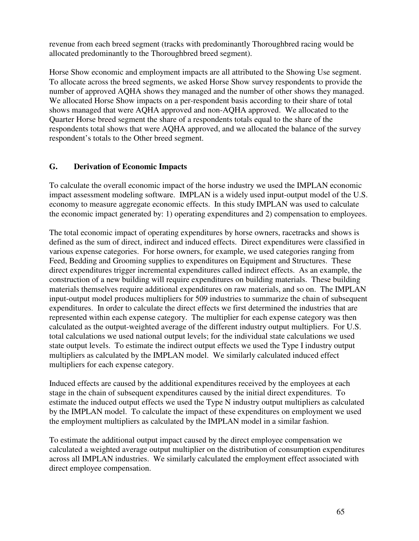revenue from each breed segment (tracks with predominantly Thoroughbred racing would be allocated predominantly to the Thoroughbred breed segment).

Horse Show economic and employment impacts are all attributed to the Showing Use segment. To allocate across the breed segments, we asked Horse Show survey respondents to provide the number of approved AQHA shows they managed and the number of other shows they managed. We allocated Horse Show impacts on a per-respondent basis according to their share of total shows managed that were AQHA approved and non-AQHA approved. We allocated to the Quarter Horse breed segment the share of a respondents totals equal to the share of the respondents total shows that were AQHA approved, and we allocated the balance of the survey respondent's totals to the Other breed segment.

### **G. Derivation of Economic Impacts**

To calculate the overall economic impact of the horse industry we used the IMPLAN economic impact assessment modeling software. IMPLAN is a widely used input-output model of the U.S. economy to measure aggregate economic effects. In this study IMPLAN was used to calculate the economic impact generated by: 1) operating expenditures and 2) compensation to employees.

The total economic impact of operating expenditures by horse owners, racetracks and shows is defined as the sum of direct, indirect and induced effects. Direct expenditures were classified in various expense categories. For horse owners, for example, we used categories ranging from Feed, Bedding and Grooming supplies to expenditures on Equipment and Structures. These direct expenditures trigger incremental expenditures called indirect effects. As an example, the construction of a new building will require expenditures on building materials. These building materials themselves require additional expenditures on raw materials, and so on. The IMPLAN input-output model produces multipliers for 509 industries to summarize the chain of subsequent expenditures. In order to calculate the direct effects we first determined the industries that are represented within each expense category. The multiplier for each expense category was then calculated as the output-weighted average of the different industry output multipliers. For U.S. total calculations we used national output levels; for the individual state calculations we used state output levels. To estimate the indirect output effects we used the Type I industry output multipliers as calculated by the IMPLAN model. We similarly calculated induced effect multipliers for each expense category.

Induced effects are caused by the additional expenditures received by the employees at each stage in the chain of subsequent expenditures caused by the initial direct expenditures. To estimate the induced output effects we used the Type N industry output multipliers as calculated by the IMPLAN model. To calculate the impact of these expenditures on employment we used the employment multipliers as calculated by the IMPLAN model in a similar fashion.

To estimate the additional output impact caused by the direct employee compensation we calculated a weighted average output multiplier on the distribution of consumption expenditures across all IMPLAN industries. We similarly calculated the employment effect associated with direct employee compensation.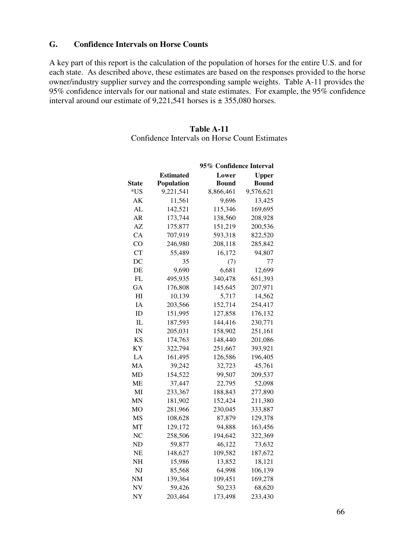#### **G. Confidence Intervals on Horse Counts**

A key part of this report is the calculation of the population of horses for the entire U.S. and for each state. As described above, these estimates are based on the responses provided to the horse owner/industry supplier survey and the corresponding sample weights. Table A-11 provides the 95% confidence intervals for our national and state estimates. For example, the 95% confidence interval around our estimate of 9,221,541 horses is  $\pm$  355,080 horses.

#### **Table A-11**

Confidence Intervals on Horse Count Estimates

|              |                   | 95% Confidence Interval |           |
|--------------|-------------------|-------------------------|-----------|
|              | Estimated         | Lower                   | Upper     |
| <b>State</b> | <b>Population</b> | Bound                   | Bound     |
| *US          | 9,221,541         | 8,866,461               | 9,576,621 |
| AΚ           | 11,561            | 9,696                   | 13,425    |
| AL           | 142,521           | 115,346                 | 169,695   |
| AR           | 173,744           | 138,560                 | 208,928   |
| AZ           | 175,877           | 151,219                 | 200,536   |
| CA           | 707,919           | 593,318                 | 822,520   |
| CO           | 246,980           | 208,118                 | 285,842   |
| CT           | 55,489            | 16,172                  | 94,807    |
| DC           | 35                | (7)                     | 77        |
| DE           | 9,690             | 6,681                   | 12,699    |
| FL           | 495,935           | 340,478                 | 651,393   |
| GА           | 176,808           | 145,645                 | 207,971   |
| ΗΙ           | 10,139            | 5,717                   | 14,562    |
| IA           | 203,566           | 152,714                 | 254,417   |
| ID           | 151,995           | 127,858                 | 176,132   |
| IL           | 187,593           | 144,416                 | 230,771   |
| IN           | 205,031           | 158,902                 | 251,161   |
| <b>KS</b>    | 174,763           | 148,440                 | 201,086   |
| ΚY           | 322,794           | 251,667                 | 393,921   |
| LA           | 161,495           | 126,586                 | 196,405   |
| MA           | 39,242            | 32,723                  | 45,761    |
| MD           | 154,522           | 99,507                  | 209,537   |
| MЕ           | 37,447            | 22,795                  | 52,098    |
| MI           | 233,367           | 188,843                 | 277,890   |
| MN           | 181,902           | 152,424                 | 211,380   |
| MО           | 281,966           | 230,045                 | 333,887   |
| MS           | 108,628           | 87,879                  | 129,378   |
| MТ           | 129,172           | 94,888                  | 163,456   |
| NC           | 258,506           | 194,642                 | 322,369   |
| ND           | 59,877            | 46,122                  | 73,632    |
| NE           | 148,627           | 109,582                 | 187,672   |
| NΗ           | 15,986            | 13,852                  | 18,121    |
| NJ           | 85,568            | 64,998                  | 106,139   |
| NΜ           | 139,364           | 109,451                 | 169,278   |
| <b>NV</b>    | 59,426            | 50,233                  | 68,620    |
| NY           | 203,464           | 173,498                 | 233,430   |